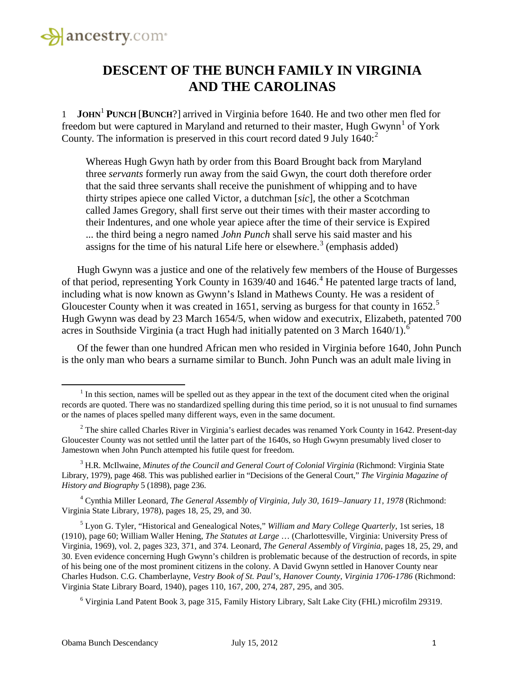

#### **DESCENT OF THE BUNCH FAMILY IN VIRGINIA AND THE CAROLINAS**

1 **JOHN**<sup>1</sup> **PUNCH** [**BUNCH**?] arrived in Virginia before 1640. He and two other men fled for freedom but were captured in Maryland and returned to their master, Hugh Gwynn<sup>[1](#page-0-0)</sup> of York County. The information is preserved in this court record dated 9 July  $1640$ :

Whereas Hugh Gwyn hath by order from this Board Brought back from Maryland three *servants* formerly run away from the said Gwyn, the court doth therefore order that the said three servants shall receive the punishment of whipping and to have thirty stripes apiece one called Victor, a dutchman [*sic*], the other a Scotchman called James Gregory, shall first serve out their times with their master according to their Indentures, and one whole year apiece after the time of their service is Expired ... the third being a negro named *John Punch* shall serve his said master and his assigns for the time of his natural Life here or elsewhere.<sup>[3](#page-0-2)</sup> (emphasis added)

Hugh Gwynn was a justice and one of the relatively few members of the House of Burgesses of that period, representing York County in 1639/[4](#page-0-3)0 and 1646.<sup>4</sup> He patented large tracts of land, including what is now known as Gwynn's Island in Mathews County. He was a resident of Gloucester County when it was created in 16[5](#page-0-4)1, serving as burgess for that county in  $1652$ .<sup>5</sup> Hugh Gwynn was dead by 23 March 1654/5, when widow and executrix, Elizabeth, patented 700 acres in Southside Virginia (a tract Hugh had initially patented on 3 March  $1640/1$  $1640/1$  $1640/1$ ).<sup>6</sup>

Of the fewer than one hundred African men who resided in Virginia before 1640, John Punch is the only man who bears a surname similar to Bunch. John Punch was an adult male living in

<span id="page-0-3"></span><sup>4</sup> Cynthia Miller Leonard, *The General Assembly of Virginia, July 30, 1619–January 11, 1978* (Richmond: Virginia State Library, 1978), pages 18, 25, 29, and 30.

<span id="page-0-5"></span><sup>6</sup> Virginia Land Patent Book 3, page 315, Family History Library, Salt Lake City (FHL) microfilm 29319.

<span id="page-0-0"></span> $<sup>1</sup>$  In this section, names will be spelled out as they appear in the text of the document cited when the original</sup> records are quoted. There was no standardized spelling during this time period, so it is not unusual to find surnames or the names of places spelled many different ways, even in the same document.

<span id="page-0-1"></span><sup>&</sup>lt;sup>2</sup> The shire called Charles River in Virginia's earliest decades was renamed York County in 1642. Present-day Gloucester County was not settled until the latter part of the 1640s, so Hugh Gwynn presumably lived closer to Jamestown when John Punch attempted his futile quest for freedom.

<span id="page-0-2"></span><sup>3</sup> H.R. McIlwaine, *Minutes of the Council and General Court of Colonial Virginia* (Richmond: Virginia State Library, 1979), page 468. This was published earlier in "Decisions of the General Court," *The Virginia Magazine of History and Biography* 5 (1898), page 236.

<span id="page-0-4"></span><sup>5</sup> Lyon G. Tyler, "Historical and Genealogical Notes," *William and Mary College Quarterly*, 1st series, 18 (1910), page 60; William Waller Hening, *The Statutes at Large* … (Charlottesville, Virginia: University Press of Virginia, 1969), vol. 2, pages 323, 371, and 374. Leonard, *The General Assembly of Virginia*, pages 18, 25, 29, and 30. Even evidence concerning Hugh Gwynn's children is problematic because of the destruction of records, in spite of his being one of the most prominent citizens in the colony. A David Gwynn settled in Hanover County near Charles Hudson. C.G. Chamberlayne, *Vestry Book of St. Paul's, Hanover County, Virginia 1706-1786* (Richmond: Virginia State Library Board, 1940), pages 110, 167, 200, 274, 287, 295, and 305.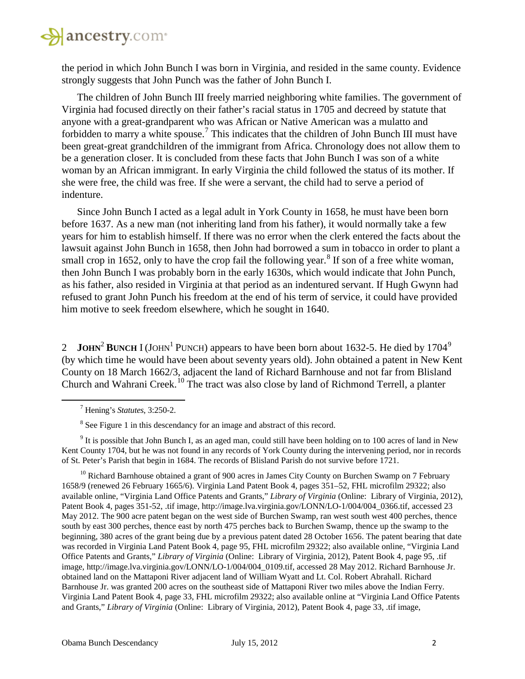

the period in which John Bunch I was born in Virginia, and resided in the same county. Evidence strongly suggests that John Punch was the father of John Bunch I.

The children of John Bunch III freely married neighboring white families. The government of Virginia had focused directly on their father's racial status in 1705 and decreed by statute that anyone with a great-grandparent who was African or Native American was a mulatto and forbidden to marry a white spouse.<sup>[7](#page-1-0)</sup> This indicates that the children of John Bunch III must have been great-great grandchildren of the immigrant from Africa. Chronology does not allow them to be a generation closer. It is concluded from these facts that John Bunch I was son of a white woman by an African immigrant. In early Virginia the child followed the status of its mother. If she were free, the child was free. If she were a servant, the child had to serve a period of indenture.

Since John Bunch I acted as a legal adult in York County in 1658, he must have been born before 1637. As a new man (not inheriting land from his father), it would normally take a few years for him to establish himself. If there was no error when the clerk entered the facts about the lawsuit against John Bunch in 1658, then John had borrowed a sum in tobacco in order to plant a small crop in 1652, only to have the crop fail the following year.<sup>[8](#page-1-1)</sup> If son of a free white woman, then John Bunch I was probably born in the early 1630s, which would indicate that John Punch, as his father, also resided in Virginia at that period as an indentured servant. If Hugh Gwynn had refused to grant John Punch his freedom at the end of his term of service, it could have provided him motive to seek freedom elsewhere, which he sought in 1640.

2 **JOHN<sup>2</sup> BUNCH** I (JOHN<sup>1</sup> PUNCH) appears to have been born about 1632-5. He died by 1704<sup>[9](#page-1-2)</sup> (by which time he would have been about seventy years old). John obtained a patent in New Kent County on 18 March 1662/3, adjacent the land of Richard Barnhouse and not far from Blisland Church and Wahrani Creek.<sup>[10](#page-1-3)</sup> The tract was also close by land of Richmond Terrell, a planter

<span id="page-1-0"></span>l

<span id="page-1-3"></span><sup>10</sup> Richard Barnhouse obtained a grant of 900 acres in James City County on Burchen Swamp on 7 February 1658/9 (renewed 26 February 1665/6). Virginia Land Patent Book 4, pages 351–52, FHL microfilm 29322; also available online, "Virginia Land Office Patents and Grants," *Library of Virginia* (Online: Library of Virginia, 2012), Patent Book 4, pages 351-52, .tif image, http://image.lva.virginia.gov/LONN/LO-1/004/004\_0366.tif, accessed 23 May 2012. The 900 acre patent began on the west side of Burchen Swamp, ran west south west 400 perches, thence south by east 300 perches, thence east by north 475 perches back to Burchen Swamp, thence up the swamp to the beginning, 380 acres of the grant being due by a previous patent dated 28 October 1656. The patent bearing that date was recorded in Virginia Land Patent Book 4, page 95, FHL microfilm 29322; also available online, "Virginia Land Office Patents and Grants," *Library of Virginia* (Online: Library of Virginia, 2012), Patent Book 4, page 95, .tif image, http://image.lva.virginia.gov/LONN/LO-1/004/004\_0109.tif, accessed 28 May 2012. Richard Barnhouse Jr. obtained land on the Mattaponi River adjacent land of William Wyatt and Lt. Col. Robert Abrahall. Richard Barnhouse Jr. was granted 200 acres on the southeast side of Mattaponi River two miles above the Indian Ferry. Virginia Land Patent Book 4, page 33, FHL microfilm 29322; also available online at "Virginia Land Office Patents and Grants," *Library of Virginia* (Online: Library of Virginia, 2012), Patent Book 4, page 33, .tif image,

<sup>7</sup> Hening's *Statutes*, 3:250-2.

<sup>&</sup>lt;sup>8</sup> See Figure 1 in this descendancy for an image and abstract of this record.

<span id="page-1-2"></span><span id="page-1-1"></span> $9$  It is possible that John Bunch I, as an aged man, could still have been holding on to 100 acres of land in New Kent County 1704, but he was not found in any records of York County during the intervening period, nor in records of St. Peter's Parish that begin in 1684. The records of Blisland Parish do not survive before 1721.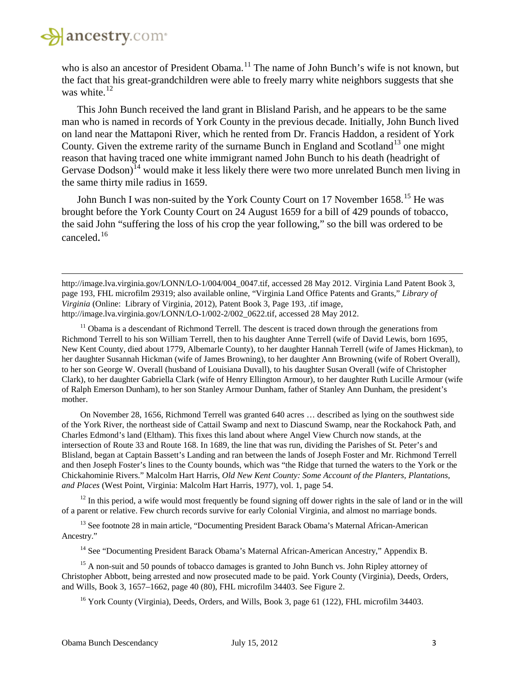

 $\overline{\phantom{a}}$ 

who is also an ancestor of President Obama.<sup>[11](#page-2-0)</sup> The name of John Bunch's wife is not known, but the fact that his great-grandchildren were able to freely marry white neighbors suggests that she was white.<sup>[12](#page-2-1)</sup>

This John Bunch received the land grant in Blisland Parish, and he appears to be the same man who is named in records of York County in the previous decade. Initially, John Bunch lived on land near the Mattaponi River, which he rented from Dr. Francis Haddon, a resident of York County. Given the extreme rarity of the surname Bunch in England and Scotland<sup>[13](#page-2-2)</sup> one might reason that having traced one white immigrant named John Bunch to his death (headright of Gervase Dodson)<sup>[14](#page-2-3)</sup> would make it less likely there were two more unrelated Bunch men living in the same thirty mile radius in 1659.

John Bunch I was non-suited by the York County Court on 17 November 1658.<sup>[15](#page-2-4)</sup> He was brought before the York County Court on 24 August 1659 for a bill of 429 pounds of tobacco, the said John "suffering the loss of his crop the year following," so the bill was ordered to be canceled. [16](#page-2-5)

http://image.lva.virginia.gov/LONN/LO-1/004/004 0047.tif, accessed 28 May 2012. Virginia Land Patent Book 3, page 193, FHL microfilm 29319; also available online, "Virginia Land Office Patents and Grants," *Library of Virginia* (Online: Library of Virginia, 2012), Patent Book 3, Page 193, .tif image, http://image.lva.virginia.gov/LONN/LO-1/002-2/002\_0622.tif, accessed 28 May 2012.

<span id="page-2-0"></span> $11$  Obama is a descendant of Richmond Terrell. The descent is traced down through the generations from Richmond Terrell to his son William Terrell, then to his daughter Anne Terrell (wife of David Lewis, born 1695, New Kent County, died about 1779, Albemarle County), to her daughter Hannah Terrell (wife of James Hickman), to her daughter Susannah Hickman (wife of James Browning), to her daughter Ann Browning (wife of Robert Overall), to her son George W. Overall (husband of Louisiana Duvall), to his daughter Susan Overall (wife of Christopher Clark), to her daughter Gabriella Clark (wife of Henry Ellington Armour), to her daughter Ruth Lucille Armour (wife of Ralph Emerson Dunham), to her son Stanley Armour Dunham, father of Stanley Ann Dunham, the president's mother.

On November 28, 1656, Richmond Terrell was granted 640 acres … described as lying on the southwest side of the York River, the northeast side of Cattail Swamp and next to Diascund Swamp, near the Rockahock Path, and Charles Edmond's land (Eltham). This fixes this land about where Angel View Church now stands, at the intersection of Route 33 and Route 168. In 1689, the line that was run, dividing the Parishes of St. Peter's and Blisland, began at Captain Bassett's Landing and ran between the lands of Joseph Foster and Mr. Richmond Terrell and then Joseph Foster's lines to the County bounds, which was "the Ridge that turned the waters to the York or the Chickahominie Rivers." Malcolm Hart Harris, *Old New Kent County: Some Account of the Planters, Plantations, and Places* (West Point, Virginia: Malcolm Hart Harris, 1977), vol. 1, page 54.

<span id="page-2-1"></span> $12$  In this period, a wife would most frequently be found signing off dower rights in the sale of land or in the will of a parent or relative. Few church records survive for early Colonial Virginia, and almost no marriage bonds.

<span id="page-2-2"></span><sup>13</sup> See footnote 28 in main article, "Documenting President Barack Obama's Maternal African-American Ancestry."

<sup>14</sup> See "Documenting President Barack Obama's Maternal African-American Ancestry," Appendix B.

<span id="page-2-5"></span><span id="page-2-4"></span><span id="page-2-3"></span> $15$  A non-suit and 50 pounds of tobacco damages is granted to John Bunch vs. John Ripley attorney of Christopher Abbott, being arrested and now prosecuted made to be paid. York County (Virginia), Deeds, Orders, and Wills, Book 3, 1657–1662, page 40 (80), FHL microfilm 34403. See Figure 2.

<sup>16</sup> York County (Virginia), Deeds, Orders, and Wills, Book 3, page 61 (122), FHL microfilm 34403.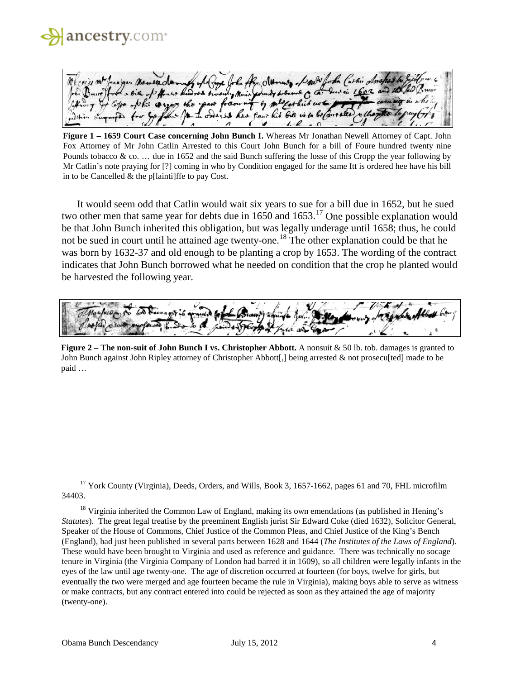

ha the dromes draw + Ruwres two Mini n they Paul

**Figure 1 – 1659 Court Case concerning John Bunch I.** Whereas Mr Jonathan Newell Attorney of Capt. John Fox Attorney of Mr John Catlin Arrested to this Court John Bunch for a bill of Foure hundred twenty nine Pounds tobacco & co. … due in 1652 and the said Bunch suffering the losse of this Cropp the year following by Mr Catlin's note praying for [?] coming in who by Condition engaged for the same Itt is ordered hee have his bill in to be Cancelled & the p[lainti]ffe to pay Cost.

It would seem odd that Catlin would wait six years to sue for a bill due in 1652, but he sued two other men that same year for debts due in  $1650$  and  $1653$ .<sup>[17](#page-3-0)</sup> One possible explanation would be that John Bunch inherited this obligation, but was legally underage until 1658; thus, he could not be sued in court until he attained age twenty-one.<sup>[18](#page-3-1)</sup> The other explanation could be that he was born by 1632-37 and old enough to be planting a crop by 1653. The wording of the contract indicates that John Bunch borrowed what he needed on condition that the crop he planted would be harvested the following year.



**Figure 2 – The non-suit of John Bunch I vs. Christopher Abbott.** A nonsuit & 50 lb. tob. damages is granted to John Bunch against John Ripley attorney of Christopher Abbott[,] being arrested & not prosecu[ted] made to be paid …

<span id="page-3-0"></span><sup>&</sup>lt;sup>17</sup> York County (Virginia), Deeds, Orders, and Wills, Book 3, 1657-1662, pages 61 and 70, FHL microfilm 34403.

<span id="page-3-1"></span> $18$  Virginia inherited the Common Law of England, making its own emendations (as published in Hening's *Statutes*). The great legal treatise by the preeminent English jurist Sir Edward Coke (died 1632), Solicitor General, Speaker of the House of Commons, Chief Justice of the Common Pleas, and Chief Justice of the King's Bench (England), had just been published in several parts between 1628 and 1644 (*The Institutes of the Laws of England*). These would have been brought to Virginia and used as reference and guidance. There was technically no socage tenure in Virginia (the Virginia Company of London had barred it in 1609), so all children were legally infants in the eyes of the law until age twenty-one. The age of discretion occurred at fourteen (for boys, twelve for girls, but eventually the two were merged and age fourteen became the rule in Virginia), making boys able to serve as witness or make contracts, but any contract entered into could be rejected as soon as they attained the age of majority (twenty-one).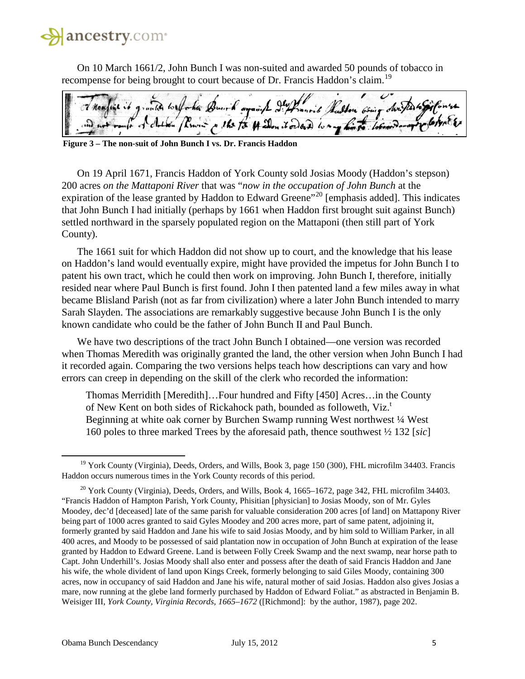On 10 March 1661/2, John Bunch I was non-suited and awarded 50 pounds of tobacco in recompense for being brought to court because of Dr. Francis Haddon's claim.<sup>[19](#page-4-0)</sup>

Burk against Ily Prairie Ralton sein po the for 14 alon it ordered to my him

**Figure 3 – The non-suit of John Bunch I vs. Dr. Francis Haddon**

On 19 April 1671, Francis Haddon of York County sold Josias Moody (Haddon's stepson) 200 acres *on the Mattaponi River* that was "*now in the occupation of John Bunch* at the expiration of the lease granted by Haddon to Edward Greene"<sup>[20](#page-4-1)</sup> [emphasis added]. This indicates that John Bunch I had initially (perhaps by 1661 when Haddon first brought suit against Bunch) settled northward in the sparsely populated region on the Mattaponi (then still part of York County).

The 1661 suit for which Haddon did not show up to court, and the knowledge that his lease on Haddon's land would eventually expire, might have provided the impetus for John Bunch I to patent his own tract, which he could then work on improving. John Bunch I, therefore, initially resided near where Paul Bunch is first found. John I then patented land a few miles away in what became Blisland Parish (not as far from civilization) where a later John Bunch intended to marry Sarah Slayden. The associations are remarkably suggestive because John Bunch I is the only known candidate who could be the father of John Bunch II and Paul Bunch.

We have two descriptions of the tract John Bunch I obtained—one version was recorded when Thomas Meredith was originally granted the land, the other version when John Bunch I had it recorded again. Comparing the two versions helps teach how descriptions can vary and how errors can creep in depending on the skill of the clerk who recorded the information:

Thomas Merridith [Meredith]…Four hundred and Fifty [450] Acres…in the County of New Kent on both sides of Rickahock path, bounded as followeth, Viz.<sup>t</sup> Beginning at white oak corner by Burchen Swamp running West northwest ¼ West 160 poles to three marked Trees by the aforesaid path, thence southwest ½ 132 [*sic*]

<span id="page-4-0"></span><sup>&</sup>lt;sup>19</sup> York County (Virginia), Deeds, Orders, and Wills, Book 3, page 150 (300), FHL microfilm 34403. Francis Haddon occurs numerous times in the York County records of this period.

<span id="page-4-1"></span> $20$  York County (Virginia), Deeds, Orders, and Wills, Book 4, 1665–1672, page 342, FHL microfilm 34403. "Francis Haddon of Hampton Parish, York County, Phisitian [physician] to Josias Moody, son of Mr. Gyles Moodey, dec'd [deceased] late of the same parish for valuable consideration 200 acres [of land] on Mattapony River being part of 1000 acres granted to said Gyles Moodey and 200 acres more, part of same patent, adjoining it, formerly granted by said Haddon and Jane his wife to said Josias Moody, and by him sold to William Parker, in all 400 acres, and Moody to be possessed of said plantation now in occupation of John Bunch at expiration of the lease granted by Haddon to Edward Greene. Land is between Folly Creek Swamp and the next swamp, near horse path to Capt. John Underhill's. Josias Moody shall also enter and possess after the death of said Francis Haddon and Jane his wife, the whole divident of land upon Kings Creek, formerly belonging to said Giles Moody, containing 300 acres, now in occupancy of said Haddon and Jane his wife, natural mother of said Josias. Haddon also gives Josias a mare, now running at the glebe land formerly purchased by Haddon of Edward Foliat." as abstracted in Benjamin B. Weisiger III, *York County, Virginia Records, 1665–1672* ([Richmond]: by the author, 1987), page 202.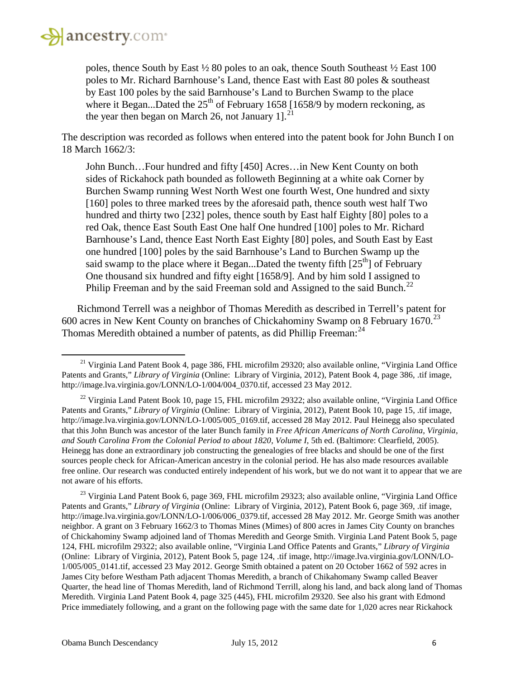

 $\overline{\phantom{a}}$ 

poles, thence South by East ½ 80 poles to an oak, thence South Southeast ½ East 100 poles to Mr. Richard Barnhouse's Land, thence East with East 80 poles & southeast by East 100 poles by the said Barnhouse's Land to Burchen Swamp to the place where it Began...Dated the  $25<sup>th</sup>$  of February 1658 [1658/9 by modern reckoning, as the year then began on March 26, not January 1]. $^{21}$  $^{21}$  $^{21}$ 

The description was recorded as follows when entered into the patent book for John Bunch I on 18 March 1662/3:

John Bunch…Four hundred and fifty [450] Acres…in New Kent County on both sides of Rickahock path bounded as followeth Beginning at a white oak Corner by Burchen Swamp running West North West one fourth West, One hundred and sixty [160] poles to three marked trees by the aforesaid path, thence south west half Two hundred and thirty two [232] poles, thence south by East half Eighty [80] poles to a red Oak, thence East South East One half One hundred [100] poles to Mr. Richard Barnhouse's Land, thence East North East Eighty [80] poles, and South East by East one hundred [100] poles by the said Barnhouse's Land to Burchen Swamp up the said swamp to the place where it Began...Dated the twenty fifth  $[25<sup>th</sup>]$  of February One thousand six hundred and fifty eight [1658/9]. And by him sold I assigned to Philip Freeman and by the said Freeman sold and Assigned to the said Bunch.<sup>[22](#page-5-1)</sup>

Richmond Terrell was a neighbor of Thomas Meredith as described in Terrell's patent for 600 acres in New Kent County on branches of Chickahominy Swamp on 8 February 1670.<sup>[23](#page-5-2)</sup> Thomas Meredith obtained a number of patents, as did Phillip Freeman:<sup>[24](#page-5-3)</sup>

<span id="page-5-3"></span><span id="page-5-2"></span><sup>23</sup> Virginia Land Patent Book 6, page 369, FHL microfilm 29323; also available online, "Virginia Land Office" Patents and Grants," *Library of Virginia* (Online: Library of Virginia, 2012), Patent Book 6, page 369, .tif image, http://image.lva.virginia.gov/LONN/LO-1/006/006\_0379.tif, accessed 28 May 2012. Mr. George Smith was another neighbor. A grant on 3 February 1662/3 to Thomas Mines (Mimes) of 800 acres in James City County on branches of Chickahominy Swamp adjoined land of Thomas Meredith and George Smith. Virginia Land Patent Book 5, page 124, FHL microfilm 29322; also available online, "Virginia Land Office Patents and Grants," *Library of Virginia* (Online: Library of Virginia, 2012), Patent Book 5, page 124, .tif image, http://image.lva.virginia.gov/LONN/LO-1/005/005\_0141.tif, accessed 23 May 2012. George Smith obtained a patent on 20 October 1662 of 592 acres in James City before Westham Path adjacent Thomas Meredith, a branch of Chikahomany Swamp called Beaver Quarter, the head line of Thomas Meredith, land of Richmond Terrill, along his land, and back along land of Thomas Meredith. Virginia Land Patent Book 4, page 325 (445), FHL microfilm 29320. See also his grant with Edmond Price immediately following, and a grant on the following page with the same date for 1,020 acres near Rickahock

<span id="page-5-0"></span><sup>&</sup>lt;sup>21</sup> Virginia Land Patent Book 4, page 386, FHL microfilm 29320; also available online, "Virginia Land Office Patents and Grants," *Library of Virginia* (Online: Library of Virginia, 2012), Patent Book 4, page 386, .tif image, http://image.lva.virginia.gov/LONN/LO-1/004/004 0370.tif, accessed 23 May 2012.

<span id="page-5-1"></span><sup>&</sup>lt;sup>22</sup> Virginia Land Patent Book 10, page 15, FHL microfilm 29322; also available online, "Virginia Land Office Patents and Grants," *Library of Virginia* (Online: Library of Virginia, 2012)*,* Patent Book 10, page 15, .tif image, http://image.lva.virginia.gov/LONN/LO-1/005/005\_0169.tif, accessed 28 May 2012. Paul Heinegg also speculated that this John Bunch was ancestor of the later Bunch family in *Free African Americans of North Carolina, Virginia, and South Carolina From the Colonial Period to about 1820, Volume I*, 5th ed. (Baltimore: Clearfield, 2005). Heinegg has done an extraordinary job constructing the genealogies of free blacks and should be one of the first sources people check for African-American ancestry in the colonial period. He has also made resources available free online. Our research was conducted entirely independent of his work, but we do not want it to appear that we are not aware of his efforts.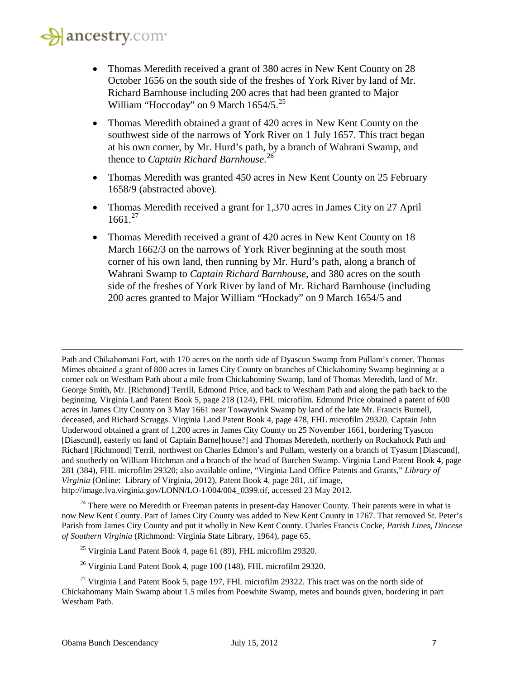$\overline{\phantom{a}}$ 

- Thomas Meredith received a grant of 380 acres in New Kent County on 28 October 1656 on the south side of the freshes of York River by land of Mr. Richard Barnhouse including 200 acres that had been granted to Major William "Hoccoday" on 9 March 1654/5.<sup>[25](#page-6-0)</sup>
- Thomas Meredith obtained a grant of 420 acres in New Kent County on the southwest side of the narrows of York River on 1 July 1657. This tract began at his own corner, by Mr. Hurd's path, by a branch of Wahrani Swamp, and thence to *Captain Richard Barnhouse*. [26](#page-6-1)
- Thomas Meredith was granted 450 acres in New Kent County on 25 February 1658/9 (abstracted above).
- Thomas Meredith received a grant for 1,370 acres in James City on 27 April  $1661.<sup>27</sup>$  $1661.<sup>27</sup>$  $1661.<sup>27</sup>$
- Thomas Meredith received a grant of 420 acres in New Kent County on 18 March 1662/3 on the narrows of York River beginning at the south most corner of his own land, then running by Mr. Hurd's path, along a branch of Wahrani Swamp to *Captain Richard Barnhouse*, and 380 acres on the south side of the freshes of York River by land of Mr. Richard Barnhouse (including 200 acres granted to Major William "Hockady" on 9 March 1654/5 and

Path and Chikahomani Fort, with 170 acres on the north side of Dyascun Swamp from Pullam's corner. Thomas Mimes obtained a grant of 800 acres in James City County on branches of Chickahominy Swamp beginning at a corner oak on Westham Path about a mile from Chickahominy Swamp, land of Thomas Meredith, land of Mr. George Smith, Mr. [Richmond] Terrill, Edmond Price, and back to Westham Path and along the path back to the beginning. Virginia Land Patent Book 5, page 218 (124), FHL microfilm. Edmund Price obtained a patent of 600 acres in James City County on 3 May 1661 near Towaywink Swamp by land of the late Mr. Francis Burnell, deceased, and Richard Scruggs. Virginia Land Patent Book 4, page 478, FHL microfilm 29320. Captain John Underwood obtained a grant of 1,200 acres in James City County on 25 November 1661, bordering Tyascon [Diascund], easterly on land of Captain Barne[house?] and Thomas Meredeth, northerly on Rockahock Path and Richard [Richmond] Terril, northwest on Charles Edmon's and Pullam, westerly on a branch of Tyasum [Diascund], and southerly on William Hitchman and a branch of the head of Burchen Swamp. Virginia Land Patent Book 4, page 281 (384), FHL microfilm 29320; also available online, "Virginia Land Office Patents and Grants," *Library of Virginia* (Online: Library of Virginia, 2012), Patent Book 4, page 281, .tif image, http://image.lva.virginia.gov/LONN/LO-1/004/004\_0399.tif, accessed 23 May 2012.

 $24$  There were no Meredith or Freeman patents in present-day Hanover County. Their patents were in what is now New Kent County. Part of James City County was added to New Kent County in 1767. That removed St. Peter's Parish from James City County and put it wholly in New Kent County. Charles Francis Cocke, *Parish Lines, Diocese of Southern Virginia* (Richmond: Virginia State Library, 1964), page 65.

<sup>25</sup> Virginia Land Patent Book 4, page 61 (89), FHL microfilm 29320.

 $^{26}$  Virginia Land Patent Book 4, page 100 (148), FHL microfilm 29320.

<span id="page-6-2"></span><span id="page-6-1"></span><span id="page-6-0"></span><sup>&</sup>lt;sup>27</sup> Virginia Land Patent Book 5, page 197, FHL microfilm 29322. This tract was on the north side of Chickahomany Main Swamp about 1.5 miles from Poewhite Swamp, metes and bounds given, bordering in part Westham Path.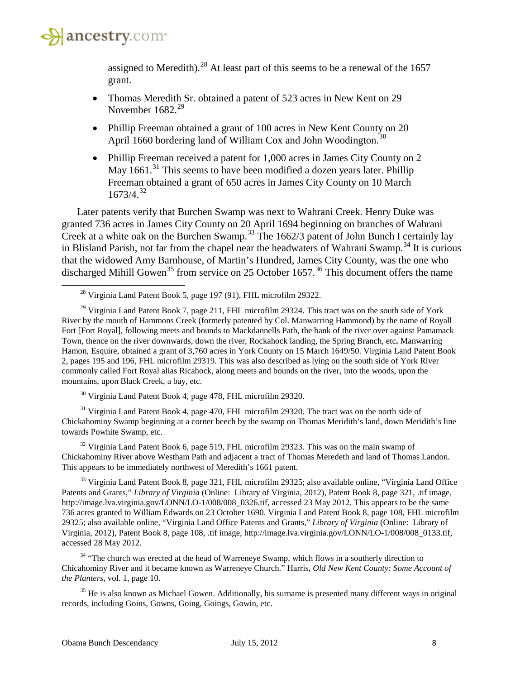

l

assigned to Meredith).<sup>[28](#page-7-0)</sup> At least part of this seems to be a renewal of the 1657 grant.

- Thomas Meredith Sr. obtained a patent of 523 acres in New Kent on 29 November  $1682<sup>29</sup>$  $1682<sup>29</sup>$  $1682<sup>29</sup>$
- Phillip Freeman obtained a grant of 100 acres in New Kent County on 20 April 1660 bordering land of William Cox and John Woodington.<sup>[30](#page-7-2)</sup>
- Phillip Freeman received a patent for 1,000 acres in James City County on 2 May  $1661$ <sup>[31](#page-7-3)</sup>. This seems to have been modified a dozen years later. Phillip Freeman obtained a grant of 650 acres in James City County on 10 March  $1673/4.<sup>32</sup>$  $1673/4.<sup>32</sup>$  $1673/4.<sup>32</sup>$

Later patents verify that Burchen Swamp was next to Wahrani Creek. Henry Duke was granted 736 acres in James City County on 20 April 1694 beginning on branches of Wahrani Creek at a white oak on the Burchen Swamp.<sup>[33](#page-7-5)</sup> The 1662/3 patent of John Bunch I certainly lay in Blisland Parish, not far from the chapel near the headwaters of Wahrani Swamp.<sup>[34](#page-7-6)</sup> It is curious that the widowed Amy Barnhouse, of Martin's Hundred, James City County, was the one who discharged Mihill Gowen<sup>[35](#page-7-7)</sup> from service on 25 October 1657.<sup>[36](#page-7-8)</sup> This document offers the name

<span id="page-7-1"></span><span id="page-7-0"></span> $^{29}$  Virginia Land Patent Book 7, page 211, FHL microfilm 29324. This tract was on the south side of York River by the mouth of Hammons Creek (formerly patented by Col. Manwarring Hammond) by the name of Royall Fort [Fort Royal], following meets and bounds to Mackdannells Path, the bank of the river over against Pamamack Town, thence on the river downwards, down the river, Rockahock landing, the Spring Branch, etc**.** Manwarring Hamon, Esquire, obtained a grant of 3,760 acres in York County on 15 March 1649/50. Virginia Land Patent Book 2, pages 195 and 196, FHL microfilm 29319. This was also described as lying on the south side of York River commonly called Fort Royal alias Ricahock, along meets and bounds on the river, into the woods, upon the mountains, upon Black Creek, a bay, etc.

 $30$  Virginia Land Patent Book 4, page 478, FHL microfilm 29320.

<span id="page-7-8"></span><span id="page-7-3"></span><span id="page-7-2"></span><sup>31</sup> Virginia Land Patent Book 4, page 470, FHL microfilm 29320. The tract was on the north side of Chickahominy Swamp beginning at a corner beech by the swamp on Thomas Meridith's land, down Meridith's line towards Powhite Swamp, etc.

<span id="page-7-4"></span> $32$  Virginia Land Patent Book 6, page 519, FHL microfilm 29323. This was on the main swamp of Chickahominy River above Westham Path and adjacent a tract of Thomas Meredeth and land of Thomas Landon. This appears to be immediately northwest of Meredith's 1661 patent.

<span id="page-7-5"></span><sup>33</sup> Virginia Land Patent Book 8, page 321, FHL microfilm 29325; also available online, "Virginia Land Office Patents and Grants," *Library of Virginia* (Online: Library of Virginia, 2012), Patent Book 8, page 321, .tif image*,* http://image.lva.virginia.gov/LONN/LO-1/008/008 0326.tif, accessed 23 May 2012. This appears to be the same 736 acres granted to William Edwards on 23 October 1690. Virginia Land Patent Book 8, page 108, FHL microfilm 29325; also available online, "Virginia Land Office Patents and Grants," *Library of Virginia* (Online: Library of Virginia, 2012), Patent Book 8, page 108, .tif image, http://image.lva.virginia.gov/LONN/LO-1/008/008\_0133.tif, accessed 28 May 2012.

<span id="page-7-6"></span><sup>34</sup> "The church was erected at the head of Warreneye Swamp, which flows in a southerly direction to Chicahominy River and it became known as Warreneye Church." Harris, *Old New Kent County: Some Account of the Planters*, vol. 1, page 10.

<span id="page-7-7"></span><sup>35</sup> He is also known as Michael Gowen. Additionally, his surname is presented many different ways in original records, including Goins, Gowns, Going, Goings, Gowin, etc.

<sup>&</sup>lt;sup>28</sup> Virginia Land Patent Book 5, page 197 (91), FHL microfilm 29322.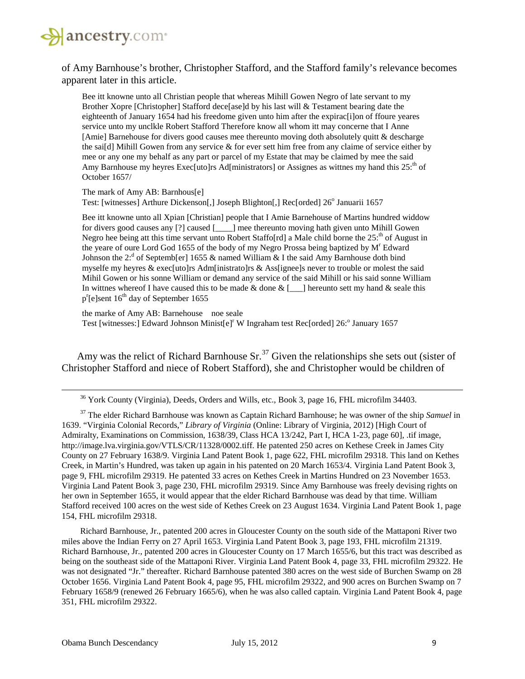

of Amy Barnhouse's brother, Christopher Stafford, and the Stafford family's relevance becomes apparent later in this article.

Bee itt knowne unto all Christian people that whereas Mihill Gowen Negro of late servant to my Brother Xopre [Christopher] Stafford dece[ase]d by his last will & Testament bearing date the eighteenth of January 1654 had his freedome given unto him after the expirac[i]on of ffoure yeares service unto my unclkle Robert Stafford Therefore know all whom itt may concerne that I Anne [Amie] Barnehouse for divers good causes mee thereunto moving doth absolutely quitt & descharge the sai[d] Mihill Gowen from any service  $\&$  for ever sett him free from any claime of service either by mee or any one my behalf as any part or parcel of my Estate that may be claimed by mee the said Amy Barnhouse my heyres Exec[uto]rs Ad[ministrators] or Assignes as wittnes my hand this 25<sup>th</sup> of October 1657/

The mark of Amy AB: Barnhous[e] Test: [witnesses] Arthure Dickenson[,] Joseph Blighton[,] Rec[orded] 26° Januarii 1657

Bee itt knowne unto all Xpian [Christian] people that I Amie Barnehouse of Martins hundred widdow for divers good causes any [?] caused [\_\_\_\_] mee thereunto moving hath given unto Mihill Gowen Negro hee being att this time servant unto Robert Staffo $r$ d a Male child borne the 25:<sup>th</sup> of August in the yeare of oure Lord God 1655 of the body of my Negro Prossa being baptized by M<sup>r</sup> Edward Johnson the 2:<sup>d</sup> of Septemb[er] 1655 & named William & I the said Amy Barnhouse doth bind myselfe my heyres & exec[uto]rs Adm[inistrato]rs & Ass[ignee]s never to trouble or molest the said Mihil Gowen or his sonne William or demand any service of the said Mihill or his said sonne William In wittnes whereof I have caused this to be made & done  $\&$  [\_\_\_] hereunto sett my hand  $\&$  seale this p<sup>r</sup>[e]sent 16<sup>th</sup> day of September 1655

the marke of Amy AB: Barnehouse noe seale Test [witnesses:] Edward Johnson Minist[e]<sup>r</sup> W Ingraham test Rec[orded] 26:<sup>o</sup> January 1657

Amy was the relict of Richard Barnhouse  $Sr^{37}$  $Sr^{37}$  $Sr^{37}$  Given the relationships she sets out (sister of Christopher Stafford and niece of Robert Stafford), she and Christopher would be children of

<sup>36</sup> York County (Virginia), Deeds, Orders and Wills, etc., Book 3, page 16, FHL microfilm 34403.

<span id="page-8-0"></span><sup>37</sup> The elder Richard Barnhouse was known as Captain Richard Barnhouse; he was owner of the ship *Samuel* in 1639. "Virginia Colonial Records," *Library of Virginia* (Online: Library of Virginia, 2012) [High Court of Admiralty, Examinations on Commission, 1638/39, Class HCA 13/242, Part I, HCA 1-23, page 60], .tif image, http://image.lva.virginia.gov/VTLS/CR/11328/0002.tiff. He patented 250 acres on Kethese Creek in James City County on 27 February 1638/9. Virginia Land Patent Book 1, page 622, FHL microfilm 29318. This land on Kethes Creek, in Martin's Hundred, was taken up again in his patented on 20 March 1653/4. Virginia Land Patent Book 3, page 9, FHL microfilm 29319. He patented 33 acres on Kethes Creek in Martins Hundred on 23 November 1653. Virginia Land Patent Book 3, page 230, FHL microfilm 29319. Since Amy Barnhouse was freely devising rights on her own in September 1655, it would appear that the elder Richard Barnhouse was dead by that time. William Stafford received 100 acres on the west side of Kethes Creek on 23 August 1634. Virginia Land Patent Book 1, page 154, FHL microfilm 29318.

Richard Barnhouse, Jr., patented 200 acres in Gloucester County on the south side of the Mattaponi River two miles above the Indian Ferry on 27 April 1653. Virginia Land Patent Book 3, page 193, FHL microfilm 21319. Richard Barnhouse, Jr., patented 200 acres in Gloucester County on 17 March 1655/6, but this tract was described as being on the southeast side of the Mattaponi River. Virginia Land Patent Book 4, page 33, FHL microfilm 29322. He was not designated "Jr." thereafter. Richard Barnhouse patented 380 acres on the west side of Burchen Swamp on 28 October 1656. Virginia Land Patent Book 4, page 95, FHL microfilm 29322, and 900 acres on Burchen Swamp on 7 February 1658/9 (renewed 26 February 1665/6), when he was also called captain. Virginia Land Patent Book 4, page 351, FHL microfilm 29322.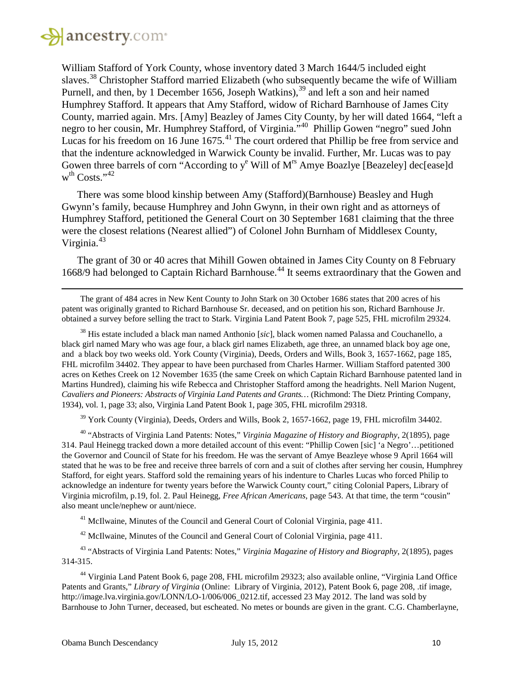

l

William Stafford of York County, whose inventory dated 3 March 1644/5 included eight slaves.<sup>[38](#page-9-0)</sup> Christopher Stafford married Elizabeth (who subsequently became the wife of William Purnell, and then, by 1 December 1656, Joseph Watkins),  $39$  and left a son and heir named Humphrey Stafford. It appears that Amy Stafford, widow of Richard Barnhouse of James City County, married again. Mrs. [Amy] Beazley of James City County, by her will dated 1664, "left a negro to her cousin, Mr. Humphrey Stafford, of Virginia.<sup>140</sup> Phillip Gowen "negro" sued John Lucas for his freedom on 16 June  $1675$ .<sup>[41](#page-9-3)</sup> The court ordered that Phillip be free from service and that the indenture acknowledged in Warwick County be invalid. Further, Mr. Lucas was to pay Gowen three barrels of corn "According to  $y^e$  Will of M<sup>rs</sup> Amye Boazlye [Beazeley] dec[ease]d w<sup>th</sup> Costs."<sup>[42](#page-9-4)</sup>

There was some blood kinship between Amy (Stafford)(Barnhouse) Beasley and Hugh Gwynn's family, because Humphrey and John Gwynn, in their own right and as attorneys of Humphrey Stafford, petitioned the General Court on 30 September 1681 claiming that the three were the closest relations (Nearest allied") of Colonel John Burnham of Middlesex County, Virginia.<sup>[43](#page-9-5)</sup>

The grant of 30 or 40 acres that Mihill Gowen obtained in James City County on 8 February 1668/9 had belonged to Captain Richard Barnhouse.<sup>[44](#page-9-6)</sup> It seems extraordinary that the Gowen and

<span id="page-9-0"></span><sup>38</sup> His estate included a black man named Anthonio [*sic*], black women named Palassa and Couchanello, a black girl named Mary who was age four, a black girl names Elizabeth, age three, an unnamed black boy age one, and a black boy two weeks old. York County (Virginia), Deeds, Orders and Wills, Book 3, 1657-1662, page 185, FHL microfilm 34402. They appear to have been purchased from Charles Harmer. William Stafford patented 300 acres on Kethes Creek on 12 November 1635 (the same Creek on which Captain Richard Barnhouse patented land in Martins Hundred), claiming his wife Rebecca and Christopher Stafford among the headrights. Nell Marion Nugent, *Cavaliers and Pioneers: Abstracts of Virginia Land Patents and Grants…* (Richmond: The Dietz Printing Company, 1934), vol. 1, page 33; also, Virginia Land Patent Book 1, page 305, FHL microfilm 29318.

<sup>39</sup> York County (Virginia), Deeds, Orders and Wills, Book 2, 1657-1662, page 19, FHL microfilm 34402.

<span id="page-9-2"></span><span id="page-9-1"></span><sup>40</sup> "Abstracts of Virginia Land Patents: Notes," *Virginia Magazine of History and Biography*, 2(1895), page 314. Paul Heinegg tracked down a more detailed account of this event: "Phillip Cowen [sic] 'a Negro'…petitioned the Governor and Council of State for his freedom. He was the servant of Amye Beazleye whose 9 April 1664 will stated that he was to be free and receive three barrels of corn and a suit of clothes after serving her cousin, Humphrey Stafford, for eight years. Stafford sold the remaining years of his indenture to Charles Lucas who forced Philip to acknowledge an indenture for twenty years before the Warwick County court," citing Colonial Papers, Library of Virginia microfilm, p.19, fol. 2. Paul Heinegg, *Free African Americans*, page 543. At that time, the term "cousin" also meant uncle/nephew or aunt/niece.

<sup>41</sup> McIlwaine, Minutes of the Council and General Court of Colonial Virginia, page 411.

<sup>42</sup> McIlwaine, Minutes of the Council and General Court of Colonial Virginia, page 411.

<span id="page-9-5"></span><span id="page-9-4"></span><span id="page-9-3"></span><sup>43</sup> "Abstracts of Virginia Land Patents: Notes," *Virginia Magazine of History and Biography*, 2(1895), pages 314-315.

<span id="page-9-6"></span><sup>44</sup> Virginia Land Patent Book 6, page 208, FHL microfilm 29323; also available online, "Virginia Land Office Patents and Grants," *Library of Virginia* (Online: Library of Virginia, 2012), Patent Book 6, page 208, .tif image*,* http://image.lva.virginia.gov/LONN/LO-1/006/006\_0212.tif, accessed 23 May 2012. The land was sold by Barnhouse to John Turner, deceased, but escheated. No metes or bounds are given in the grant. C.G. Chamberlayne,

The grant of 484 acres in New Kent County to John Stark on 30 October 1686 states that 200 acres of his patent was originally granted to Richard Barnhouse Sr. deceased, and on petition his son, Richard Barnhouse Jr. obtained a survey before selling the tract to Stark. Virginia Land Patent Book 7, page 525, FHL microfilm 29324.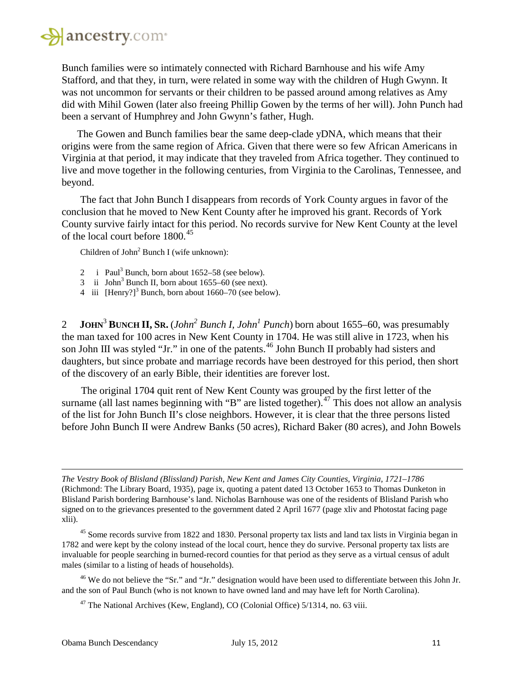

Bunch families were so intimately connected with Richard Barnhouse and his wife Amy Stafford, and that they, in turn, were related in some way with the children of Hugh Gwynn. It was not uncommon for servants or their children to be passed around among relatives as Amy did with Mihil Gowen (later also freeing Phillip Gowen by the terms of her will). John Punch had been a servant of Humphrey and John Gwynn's father, Hugh.

The Gowen and Bunch families bear the same deep-clade yDNA, which means that their origins were from the same region of Africa. Given that there were so few African Americans in Virginia at that period, it may indicate that they traveled from Africa together. They continued to live and move together in the following centuries, from Virginia to the Carolinas, Tennessee, and beyond.

The fact that John Bunch I disappears from records of York County argues in favor of the conclusion that he moved to New Kent County after he improved his grant. Records of York County survive fairly intact for this period. No records survive for New Kent County at the level of the local court before 1800. [45](#page-10-0)

Children of John<sup>2</sup> Bunch I (wife unknown):

- 2 i Paul<sup>3</sup> Bunch, born about  $1652-58$  (see below).
- 3 ii John<sup>3</sup> Bunch II, born about  $1655-60$  (see next).
- 4 iii  $[Henry?]$ <sup>3</sup> Bunch, born about 1660–70 (see below).

2 **JOHN**<sup>3</sup> **BUNCH II, SR.** (*John2 Bunch I, John1 Punch*) born about 1655–60, was presumably the man taxed for 100 acres in New Kent County in 1704. He was still alive in 1723, when his son John III was styled "Jr." in one of the patents.<sup>[46](#page-10-1)</sup> John Bunch II probably had sisters and daughters, but since probate and marriage records have been destroyed for this period, then short of the discovery of an early Bible, their identities are forever lost.

The original 1704 quit rent of New Kent County was grouped by the first letter of the surname (all last names beginning with "B" are listed together).<sup>[47](#page-10-2)</sup> This does not allow an analysis of the list for John Bunch II's close neighbors. However, it is clear that the three persons listed before John Bunch II were Andrew Banks (50 acres), Richard Baker (80 acres), and John Bowels

*The Vestry Book of Blisland (Blissland) Parish, New Kent and James City Counties, Virginia, 1721–1786* (Richmond: The Library Board, 1935), page ix, quoting a patent dated 13 October 1653 to Thomas Dunketon in Blisland Parish bordering Barnhouse's land. Nicholas Barnhouse was one of the residents of Blisland Parish who signed on to the grievances presented to the government dated 2 April 1677 (page xliv and Photostat facing page xlii).

<span id="page-10-0"></span><sup>45</sup> Some records survive from 1822 and 1830. Personal property tax lists and land tax lists in Virginia began in 1782 and were kept by the colony instead of the local court, hence they do survive. Personal property tax lists are invaluable for people searching in burned-record counties for that period as they serve as a virtual census of adult males (similar to a listing of heads of households).

<span id="page-10-2"></span><span id="page-10-1"></span><sup>46</sup> We do not believe the "Sr." and "Jr." designation would have been used to differentiate between this John Jr. and the son of Paul Bunch (who is not known to have owned land and may have left for North Carolina).

<sup>47</sup> The National Archives (Kew, England), CO (Colonial Office) 5/1314, no. 63 viii.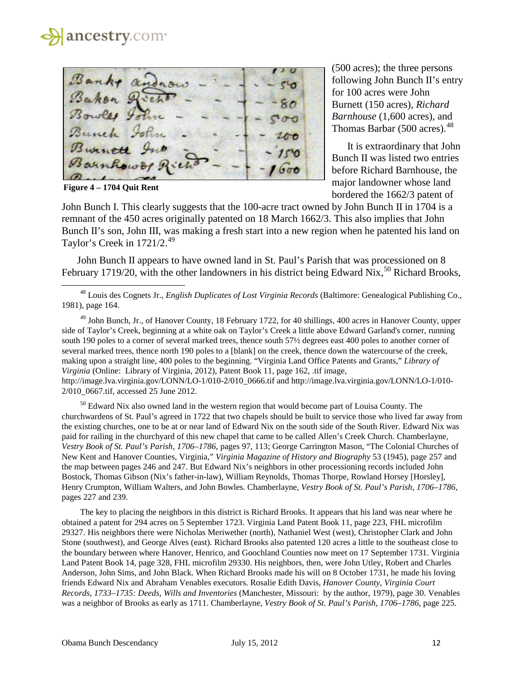

**Figure 4 – 1704 Quit Rent** 

l

(500 acres); the three persons following John Bunch II's entry for 100 acres were John Burnett (150 acres), *Richard Barnhouse* (1,600 acres), and Thomas Barbar  $(500 \text{ acres})$ .<sup>[48](#page-11-0)</sup>

It is extraordinary that John Bunch II was listed two entries before Richard Barnhouse, the major landowner whose land bordered the 1662/3 patent of

John Bunch I. This clearly suggests that the 100-acre tract owned by John Bunch II in 1704 is a remnant of the 450 acres originally patented on 18 March 1662/3. This also implies that John Bunch II's son, John III, was making a fresh start into a new region when he patented his land on Taylor's Creek in 1721/2.<sup>[49](#page-11-1)</sup>

John Bunch II appears to have owned land in St. Paul's Parish that was processioned on 8 February 1719/20, with the other landowners in his district being Edward Nix,  $^{50}$  $^{50}$  $^{50}$  Richard Brooks,

<span id="page-11-0"></span><sup>48</sup> Louis des Cognets Jr., *English Duplicates of Lost Virginia Records* (Baltimore: Genealogical Publishing Co., 1981), page 164.

<span id="page-11-1"></span><sup>49</sup> John Bunch, Jr., of Hanover County, 18 February 1722, for 40 shillings, 400 acres in Hanover County, upper side of Taylor's Creek, beginning at a white oak on Taylor's Creek a little above Edward Garland's corner, running south 190 poles to a corner of several marked trees, thence south 57½ degrees east 400 poles to another corner of several marked trees, thence north 190 poles to a [blank] on the creek, thence down the watercourse of the creek, making upon a straight line, 400 poles to the beginning. "Virginia Land Office Patents and Grants," *Library of Virginia* (Online: Library of Virginia, 2012), Patent Book 11, page 162, .tif image, http://image.lva.virginia.gov/LONN/LO-1/010-2/010\_0666.tif and http://image.lva.virginia.gov/LONN/LO-1/010- 2/010\_0667.tif, accessed 25 June 2012.

<span id="page-11-2"></span> $50$  Edward Nix also owned land in the western region that would become part of Louisa County. The churchwardens of St. Paul's agreed in 1722 that two chapels should be built to service those who lived far away from the existing churches, one to be at or near land of Edward Nix on the south side of the South River. Edward Nix was paid for railing in the churchyard of this new chapel that came to be called Allen's Creek Church. Chamberlayne, *Vestry Book of St. Paul's Parish, 1706–1786*, pages 97, 113; George Carrington Mason, "The Colonial Churches of New Kent and Hanover Counties, Virginia," *Virginia Magazine of History and Biography* 53 (1945), page 257 and the map between pages 246 and 247. But Edward Nix's neighbors in other processioning records included John Bostock, Thomas Gibson (Nix's father-in-law), William Reynolds, Thomas Thorpe, Rowland Horsey [Horsley], Henry Crumpton, William Walters, and John Bowles. Chamberlayne, *Vestry Book of St. Paul's Parish, 1706–1786*, pages 227 and 239.

The key to placing the neighbors in this district is Richard Brooks. It appears that his land was near where he obtained a patent for 294 acres on 5 September 1723. Virginia Land Patent Book 11, page 223, FHL microfilm 29327. His neighbors there were Nicholas Meriwether (north), Nathaniel West (west), Christopher Clark and John Stone (southwest), and George Alves (east). Richard Brooks also patented 120 acres a little to the southeast close to the boundary between where Hanover, Henrico, and Goochland Counties now meet on 17 September 1731. Virginia Land Patent Book 14, page 328, FHL microfilm 29330. His neighbors, then, were John Utley, Robert and Charles Anderson, John Sims, and John Black. When Richard Brooks made his will on 8 October 1731, he made his loving friends Edward Nix and Abraham Venables executors. Rosalie Edith Davis, *Hanover County, Virginia Court Records, 1733–1735: Deeds, Wills and Inventories* (Manchester, Missouri: by the author, 1979), page 30. Venables was a neighbor of Brooks as early as 1711. Chamberlayne, *Vestry Book of St. Paul's Parish, 1706–1786*, page 225.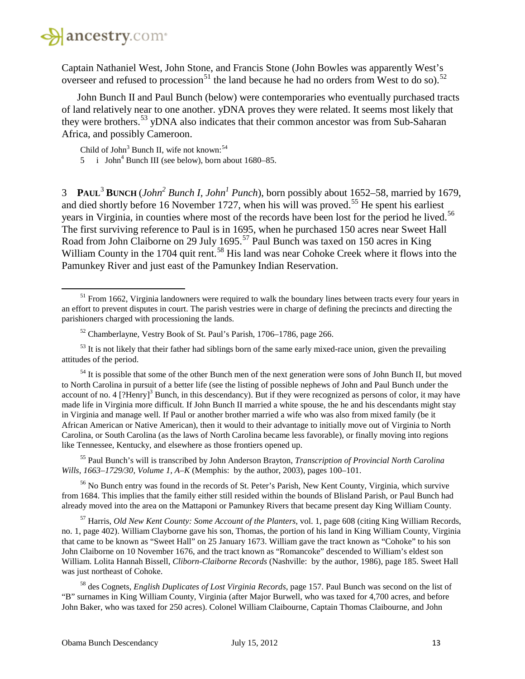

l

Captain Nathaniel West, John Stone, and Francis Stone (John Bowles was apparently West's overseer and refused to procession<sup>[51](#page-12-0)</sup> the land because he had no orders from West to do so).<sup>[52](#page-12-1)</sup>

John Bunch II and Paul Bunch (below) were contemporaries who eventually purchased tracts of land relatively near to one another. yDNA proves they were related. It seems most likely that they were brothers.<sup>[53](#page-12-2)</sup> yDNA also indicates that their common ancestor was from Sub-Saharan Africa, and possibly Cameroon.

Child of John<sup>3</sup> Bunch II, wife not known:  $54$ 

5 i John<sup>4</sup> Bunch III (see below), born about  $1680-85$ .

3 **PAUL**<sup>3</sup> **BUNCH** (*John2 Bunch I, John1 Punch*), born possibly about 1652–58, married by 1679, and died shortly before 16 November 1727, when his will was proved.<sup>[55](#page-12-4)</sup> He spent his earliest years in Virginia, in counties where most of the records have been lost for the period he lived.<sup>[56](#page-12-5)</sup> The first surviving reference to Paul is in 1695, when he purchased 150 acres near Sweet Hall Road from John Claiborne on 29 July 1695.<sup>[57](#page-12-6)</sup> Paul Bunch was taxed on 150 acres in King William County in the 1704 quit rent.<sup>[58](#page-12-7)</sup> His land was near Cohoke Creek where it flows into the Pamunkey River and just east of the Pamunkey Indian Reservation.

<span id="page-12-2"></span><span id="page-12-1"></span> $<sup>53</sup>$  It is not likely that their father had siblings born of the same early mixed-race union, given the prevailing</sup> attitudes of the period.

<span id="page-12-3"></span> $54$  It is possible that some of the other Bunch men of the next generation were sons of John Bunch II, but moved to North Carolina in pursuit of a better life (see the listing of possible nephews of John and Paul Bunch under the account of no. 4 [?Henry]<sup>3</sup> Bunch, in this descendancy). But if they were recognized as persons of color, it may have made life in Virginia more difficult. If John Bunch II married a white spouse, the he and his descendants might stay in Virginia and manage well. If Paul or another brother married a wife who was also from mixed family (be it African American or Native American), then it would to their advantage to initially move out of Virginia to North Carolina, or South Carolina (as the laws of North Carolina became less favorable), or finally moving into regions like Tennessee, Kentucky, and elsewhere as those frontiers opened up.

<span id="page-12-4"></span><sup>55</sup> Paul Bunch's will is transcribed by John Anderson Brayton, *Transcription of Provincial North Carolina Wills, 1663–1729/30, Volume 1, A–K* (Memphis: by the author, 2003), pages 100–101.

<span id="page-12-5"></span><sup>56</sup> No Bunch entry was found in the records of St. Peter's Parish, New Kent County, Virginia, which survive from 1684. This implies that the family either still resided within the bounds of Blisland Parish, or Paul Bunch had already moved into the area on the Mattaponi or Pamunkey Rivers that became present day King William County.

<span id="page-12-6"></span><sup>57</sup> Harris, *Old New Kent County: Some Account of the Planters*, vol. 1, page 608 (citing King William Records, no. 1, page 402). William Clayborne gave his son, Thomas, the portion of his land in King William County, Virginia that came to be known as "Sweet Hall" on 25 January 1673. William gave the tract known as "Cohoke" to his son John Claiborne on 10 November 1676, and the tract known as "Romancoke" descended to William's eldest son William. Lolita Hannah Bissell, *Cliborn-Claiborne Records* (Nashville: by the author, 1986), page 185. Sweet Hall was just northeast of Cohoke.

<span id="page-12-7"></span><sup>58</sup> des Cognets, *English Duplicates of Lost Virginia Records*, page 157. Paul Bunch was second on the list of "B" surnames in King William County, Virginia (after Major Burwell, who was taxed for 4,700 acres, and before John Baker, who was taxed for 250 acres). Colonel William Claibourne, Captain Thomas Claibourne, and John

<span id="page-12-0"></span><sup>&</sup>lt;sup>51</sup> From 1662, Virginia landowners were required to walk the boundary lines between tracts every four years in an effort to prevent disputes in court. The parish vestries were in charge of defining the precincts and directing the parishioners charged with processioning the lands.

<sup>52</sup> Chamberlayne, Vestry Book of St. Paul's Parish, 1706–1786, page 266.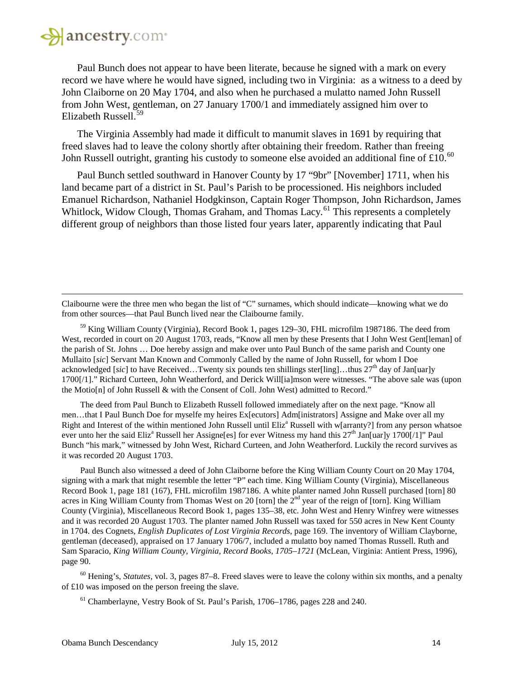# **A** ancestry.com

l

Paul Bunch does not appear to have been literate, because he signed with a mark on every record we have where he would have signed, including two in Virginia: as a witness to a deed by John Claiborne on 20 May 1704, and also when he purchased a mulatto named John Russell from John West, gentleman, on 27 January 1700/1 and immediately assigned him over to Elizabeth Russell.<sup>[59](#page-13-0)</sup>

The Virginia Assembly had made it difficult to manumit slaves in 1691 by requiring that freed slaves had to leave the colony shortly after obtaining their freedom. Rather than freeing John Russell outright, granting his custody to someone else avoided an additional fine of £10.<sup>[60](#page-13-1)</sup>

Paul Bunch settled southward in Hanover County by 17 "9br" [November] 1711, when his land became part of a district in St. Paul's Parish to be processioned. His neighbors included Emanuel Richardson, Nathaniel Hodgkinson, Captain Roger Thompson, John Richardson, James Whitlock, Widow Clough, Thomas Graham, and Thomas Lacy.<sup>[61](#page-13-2)</sup> This represents a completely different group of neighbors than those listed four years later, apparently indicating that Paul

Claibourne were the three men who began the list of "C" surnames, which should indicate—knowing what we do from other sources—that Paul Bunch lived near the Claibourne family.

<span id="page-13-0"></span><sup>59</sup> King William County (Virginia), Record Book 1, pages 129–30, FHL microfilm 1987186. The deed from West, recorded in court on 20 August 1703, reads, "Know all men by these Presents that I John West Gent[leman] of the parish of St. Johns … Doe hereby assign and make over unto Paul Bunch of the same parish and County one Mullaito [*sic*] Servant Man Known and Commonly Called by the name of John Russell, for whom I Doe acknowledged [sic] to have Received...Twenty six pounds ten shillings ster[ling]...thus  $27<sup>th</sup>$  day of Jan[uar]y 1700[/1]." Richard Curteen, John Weatherford, and Derick Will[ia]mson were witnesses. "The above sale was (upon the Motio[n] of John Russell & with the Consent of Coll. John West) admitted to Record."

The deed from Paul Bunch to Elizabeth Russell followed immediately after on the next page. "Know all men…that I Paul Bunch Doe for myselfe my heires Ex[ecutors] Adm[inistrators] Assigne and Make over all my Right and Interest of the within mentioned John Russell until Eliz<sup>a</sup> Russell with w[arranty?] from any person whatsoe ever unto her the said Eliz<sup>a</sup> Russell her Assigne[es] for ever Witness my hand this 27<sup>th</sup> Jan[uar]y 1700[/1]" Paul Bunch "his mark," witnessed by John West, Richard Curteen, and John Weatherford. Luckily the record survives as it was recorded 20 August 1703.

Paul Bunch also witnessed a deed of John Claiborne before the King William County Court on 20 May 1704, signing with a mark that might resemble the letter "P" each time. King William County (Virginia), Miscellaneous Record Book 1, page 181 (167), FHL microfilm 1987186. A white planter named John Russell purchased [torn] 80 acres in King William County from Thomas West on 20 [torn] the 2<sup>nd</sup> year of the reign of [torn]. King William County (Virginia), Miscellaneous Record Book 1, pages 135–38, etc. John West and Henry Winfrey were witnesses and it was recorded 20 August 1703. The planter named John Russell was taxed for 550 acres in New Kent County in 1704. des Cognets, *English Duplicates of Lost Virginia Records*, page 169. The inventory of William Clayborne, gentleman (deceased), appraised on 17 January 1706/7, included a mulatto boy named Thomas Russell. Ruth and Sam Sparacio, *King William County, Virginia, Record Books, 1705–1721* (McLean, Virginia: Antient Press, 1996), page 90.

<span id="page-13-2"></span><span id="page-13-1"></span><sup>60</sup> Hening's, *Statutes,* vol. 3, pages 87–8. Freed slaves were to leave the colony within six months, and a penalty of £10 was imposed on the person freeing the slave.

<sup>61</sup> Chamberlayne, Vestry Book of St. Paul's Parish, 1706–1786, pages 228 and 240.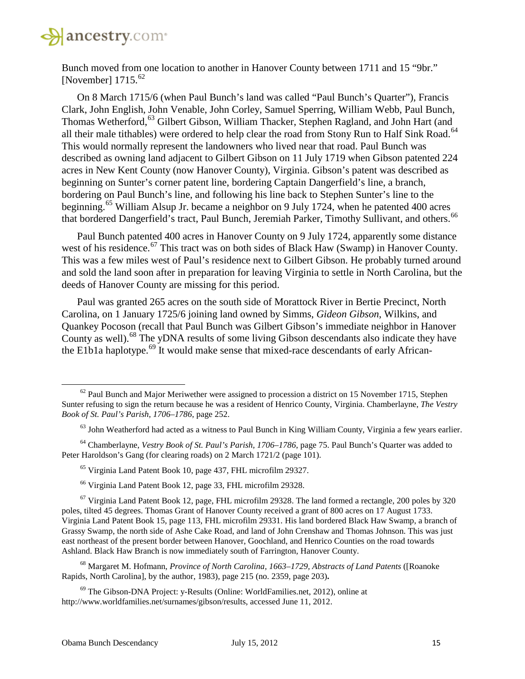

Bunch moved from one location to another in Hanover County between 1711 and 15 "9br." [November]  $1715^{62}$  $1715^{62}$  $1715^{62}$ 

On 8 March 1715/6 (when Paul Bunch's land was called "Paul Bunch's Quarter"), Francis Clark, John English, John Venable, John Corley, Samuel Sperring, William Webb, Paul Bunch, Thomas Wetherford,<sup>[63](#page-14-1)</sup> Gilbert Gibson, William Thacker, Stephen Ragland, and John Hart (and all their male tithables) were ordered to help clear the road from Stony Run to Half Sink Road.<sup>[64](#page-14-2)</sup> This would normally represent the landowners who lived near that road. Paul Bunch was described as owning land adjacent to Gilbert Gibson on 11 July 1719 when Gibson patented 224 acres in New Kent County (now Hanover County), Virginia. Gibson's patent was described as beginning on Sunter's corner patent line, bordering Captain Dangerfield's line, a branch, bordering on Paul Bunch's line, and following his line back to Stephen Sunter's line to the beginning.<sup>[65](#page-14-3)</sup> William Alsup Jr. became a neighbor on 9 July 1724, when he patented 400 acres that bordered Dangerfield's tract, Paul Bunch, Jeremiah Parker, Timothy Sullivant, and others.<sup>[66](#page-14-4)</sup>

Paul Bunch patented 400 acres in Hanover County on 9 July 1724, apparently some distance west of his residence.<sup>[67](#page-14-5)</sup> This tract was on both sides of Black Haw (Swamp) in Hanover County. This was a few miles west of Paul's residence next to Gilbert Gibson. He probably turned around and sold the land soon after in preparation for leaving Virginia to settle in North Carolina, but the deeds of Hanover County are missing for this period.

Paul was granted 265 acres on the south side of Morattock River in Bertie Precinct, North Carolina, on 1 January 1725/6 joining land owned by Simms, *Gideon Gibson*, Wilkins, and Quankey Pocoson (recall that Paul Bunch was Gilbert Gibson's immediate neighbor in Hanover County as well).<sup>[68](#page-14-6)</sup> The yDNA results of some living Gibson descendants also indicate they have the E1b1a haplotype.<sup>[69](#page-14-7)</sup> It would make sense that mixed-race descendants of early African-

<sup>66</sup> Virginia Land Patent Book 12, page 33, FHL microfilm 29328.

<span id="page-14-6"></span><sup>68</sup> Margaret M. Hofmann, *Province of North Carolina, 1663–1729, Abstracts of Land Patents* ([Roanoke Rapids, North Carolina], by the author, 1983), page 215 (no. 2359, page 203)**.**

<span id="page-14-7"></span> $69$  The Gibson-DNA Project: y-Results (Online: WorldFamilies.net, 2012), online at http://www.worldfamilies.net/surnames/gibson/results, accessed June 11, 2012.

<span id="page-14-0"></span> $62$  Paul Bunch and Major Meriwether were assigned to procession a district on 15 November 1715, Stephen Sunter refusing to sign the return because he was a resident of Henrico County, Virginia. Chamberlayne, *The Vestry Book of St. Paul's Parish, 1706–1786*, page 252.

 $63$  John Weatherford had acted as a witness to Paul Bunch in King William County, Virginia a few years earlier.

<span id="page-14-3"></span><span id="page-14-2"></span><span id="page-14-1"></span><sup>64</sup> Chamberlayne, *Vestry Book of St. Paul's Parish, 1706–1786*, page 75. Paul Bunch's Quarter was added to Peter Haroldson's Gang (for clearing roads) on 2 March 1721/2 (page 101).

<sup>65</sup> Virginia Land Patent Book 10, page 437, FHL microfilm 29327.

<span id="page-14-5"></span><span id="page-14-4"></span> $67$  Virginia Land Patent Book 12, page, FHL microfilm 29328. The land formed a rectangle, 200 poles by 320 poles, tilted 45 degrees. Thomas Grant of Hanover County received a grant of 800 acres on 17 August 1733. Virginia Land Patent Book 15, page 113, FHL microfilm 29331. His land bordered Black Haw Swamp, a branch of Grassy Swamp, the north side of Ashe Cake Road, and land of John Crenshaw and Thomas Johnson. This was just east northeast of the present border between Hanover, Goochland, and Henrico Counties on the road towards Ashland. Black Haw Branch is now immediately south of Farrington, Hanover County.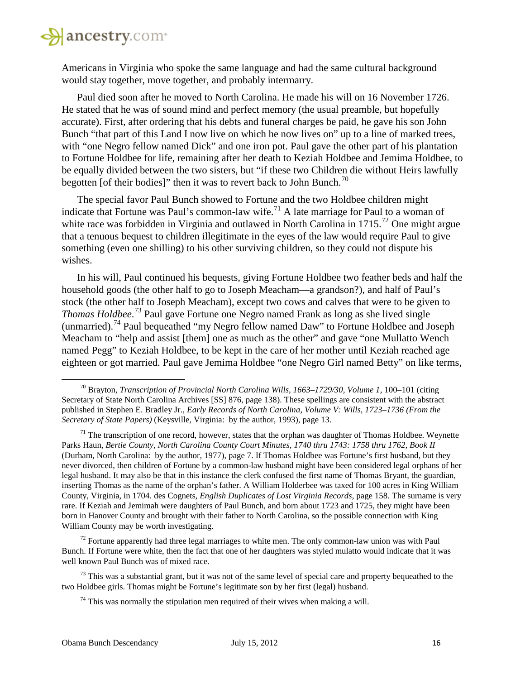

Americans in Virginia who spoke the same language and had the same cultural background would stay together, move together, and probably intermarry.

Paul died soon after he moved to North Carolina. He made his will on 16 November 1726. He stated that he was of sound mind and perfect memory (the usual preamble, but hopefully accurate). First, after ordering that his debts and funeral charges be paid, he gave his son John Bunch "that part of this Land I now live on which he now lives on" up to a line of marked trees, with "one Negro fellow named Dick" and one iron pot. Paul gave the other part of his plantation to Fortune Holdbee for life, remaining after her death to Keziah Holdbee and Jemima Holdbee, to be equally divided between the two sisters, but "if these two Children die without Heirs lawfully begotten [of their bodies]" then it was to revert back to John Bunch.<sup>[70](#page-15-0)</sup>

The special favor Paul Bunch showed to Fortune and the two Holdbee children might indicate that Fortune was Paul's common-law wife.<sup>[71](#page-15-1)</sup> A late marriage for Paul to a woman of white race was forbidden in Virginia and outlawed in North Carolina in  $1715$ <sup>[72](#page-15-2)</sup> One might argue that a tenuous bequest to children illegitimate in the eyes of the law would require Paul to give something (even one shilling) to his other surviving children, so they could not dispute his wishes.

In his will, Paul continued his bequests, giving Fortune Holdbee two feather beds and half the household goods (the other half to go to Joseph Meacham—a grandson?), and half of Paul's stock (the other half to Joseph Meacham), except two cows and calves that were to be given to *Thomas Holdbee*. [73](#page-15-3) Paul gave Fortune one Negro named Frank as long as she lived single (unmarried).[74](#page-15-4) Paul bequeathed "my Negro fellow named Daw" to Fortune Holdbee and Joseph Meacham to "help and assist [them] one as much as the other" and gave "one Mullatto Wench named Pegg" to Keziah Holdbee, to be kept in the care of her mother until Keziah reached age eighteen or got married. Paul gave Jemima Holdbee "one Negro Girl named Betty" on like terms,

<span id="page-15-2"></span> $<sup>72</sup>$  Fortune apparently had three legal marriages to white men. The only common-law union was with Paul</sup> Bunch. If Fortune were white, then the fact that one of her daughters was styled mulatto would indicate that it was well known Paul Bunch was of mixed race.

<span id="page-15-4"></span><span id="page-15-3"></span> $^{73}$  This was a substantial grant, but it was not of the same level of special care and property bequeathed to the two Holdbee girls. Thomas might be Fortune's legitimate son by her first (legal) husband.

<span id="page-15-0"></span><sup>&</sup>lt;sup>70</sup> Bravton, *Transcription of Provincial North Carolina Wills, 1663–1729/30, Volume 1, 100–101* (citing Secretary of State North Carolina Archives [SS] 876, page 138). These spellings are consistent with the abstract published in Stephen E. Bradley Jr., *Early Records of North Carolina, Volume V: Wills, 1723–1736 (From the Secretary of State Papers)* (Keysville, Virginia: by the author, 1993), page 13.

<span id="page-15-1"></span> $71$  The transcription of one record, however, states that the orphan was daughter of Thomas Holdbee. Weynette Parks Haun, *Bertie County, North Carolina County Court Minutes, 1740 thru 1743: 1758 thru 1762, Book II*  (Durham, North Carolina: by the author, 1977), page 7. If Thomas Holdbee was Fortune's first husband, but they never divorced, then children of Fortune by a common-law husband might have been considered legal orphans of her legal husband. It may also be that in this instance the clerk confused the first name of Thomas Bryant, the guardian, inserting Thomas as the name of the orphan's father. A William Holderbee was taxed for 100 acres in King William County, Virginia, in 1704. des Cognets, *English Duplicates of Lost Virginia Records*, page 158. The surname is very rare. If Keziah and Jemimah were daughters of Paul Bunch, and born about 1723 and 1725, they might have been born in Hanover County and brought with their father to North Carolina, so the possible connection with King William County may be worth investigating.

 $74$  This was normally the stipulation men required of their wives when making a will.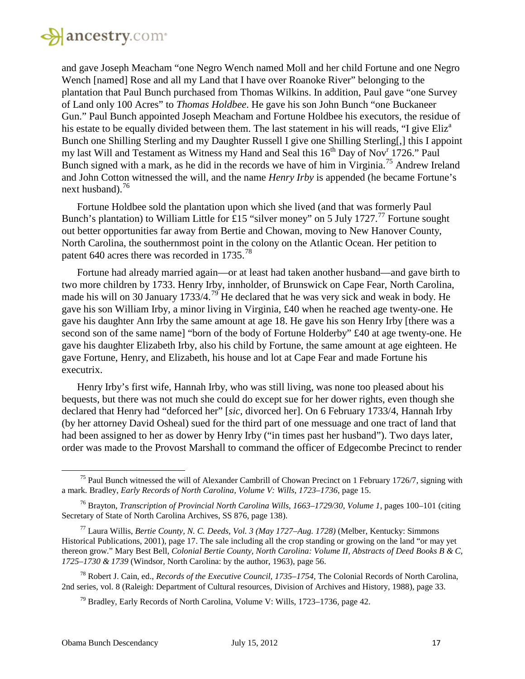

and gave Joseph Meacham "one Negro Wench named Moll and her child Fortune and one Negro Wench [named] Rose and all my Land that I have over Roanoke River" belonging to the plantation that Paul Bunch purchased from Thomas Wilkins. In addition, Paul gave "one Survey of Land only 100 Acres" to *Thomas Holdbee*. He gave his son John Bunch "one Buckaneer Gun." Paul Bunch appointed Joseph Meacham and Fortune Holdbee his executors, the residue of his estate to be equally divided between them. The last statement in his will reads, "I give Eliz<sup>a</sup>" Bunch one Shilling Sterling and my Daughter Russell I give one Shilling Sterling[,] this I appoint my last Will and Testament as Witness my Hand and Seal this 16<sup>th</sup> Day of Nov<sup>r</sup> 1726." Paul Bunch signed with a mark, as he did in the records we have of him in Virginia.<sup>[75](#page-16-0)</sup> Andrew Ireland and John Cotton witnessed the will, and the name *Henry Irby* is appended (he became Fortune's next husband).<sup>[76](#page-16-1)</sup>

Fortune Holdbee sold the plantation upon which she lived (and that was formerly Paul Bunch's plantation) to William Little for £15 "silver money" on 5 July 1727.<sup>[77](#page-16-2)</sup> Fortune sought out better opportunities far away from Bertie and Chowan, moving to New Hanover County, North Carolina, the southernmost point in the colony on the Atlantic Ocean. Her petition to patent 640 acres there was recorded in 1735.<sup>[78](#page-16-3)</sup>

Fortune had already married again—or at least had taken another husband—and gave birth to two more children by 1733. Henry Irby, innholder, of Brunswick on Cape Fear, North Carolina, made his will on 30 January 1733/4.<sup>[79](#page-16-4)</sup> He declared that he was very sick and weak in body. He gave his son William Irby, a minor living in Virginia, £40 when he reached age twenty-one. He gave his daughter Ann Irby the same amount at age 18. He gave his son Henry Irby [there was a second son of the same name] "born of the body of Fortune Holderby" £40 at age twenty-one. He gave his daughter Elizabeth Irby, also his child by Fortune, the same amount at age eighteen. He gave Fortune, Henry, and Elizabeth, his house and lot at Cape Fear and made Fortune his executrix.

Henry Irby's first wife, Hannah Irby, who was still living, was none too pleased about his bequests, but there was not much she could do except sue for her dower rights, even though she declared that Henry had "deforced her" [*sic*, divorced her]. On 6 February 1733/4, Hannah Irby (by her attorney David Osheal) sued for the third part of one messuage and one tract of land that had been assigned to her as dower by Henry Irby ("in times past her husband"). Two days later, order was made to the Provost Marshall to command the officer of Edgecombe Precinct to render

<span id="page-16-0"></span><sup>&</sup>lt;sup>75</sup> Paul Bunch witnessed the will of Alexander Cambrill of Chowan Precinct on 1 February 1726/7, signing with a mark. Bradley, *Early Records of North Carolina, Volume V: Wills, 1723–1736*, page 15.

<span id="page-16-1"></span><sup>&</sup>lt;sup>76</sup> Brayton, *Transcription of Provincial North Carolina Wills, 1663–1729/30, Volume 1, pages 100–101* (citing Secretary of State of North Carolina Archives, SS 876, page 138).

<span id="page-16-2"></span><sup>77</sup> Laura Willis, *Bertie County, N. C. Deeds, Vol. 3 (May 1727–Aug. 1728)* (Melber, Kentucky: Simmons Historical Publications, 2001), page 17. The sale including all the crop standing or growing on the land "or may yet thereon grow." Mary Best Bell, *Colonial Bertie County, North Carolina: Volume II, Abstracts of Deed Books B & C, 1725–1730 & 1739* (Windsor, North Carolina: by the author, 1963), page 56.

<span id="page-16-4"></span><span id="page-16-3"></span><sup>78</sup> Robert J. Cain, ed., *Records of the Executive Council, 1735–1754,* The Colonial Records of North Carolina, 2nd series, vol. 8 (Raleigh: Department of Cultural resources, Division of Archives and History, 1988), page 33.

 $79$  Bradley, Early Records of North Carolina, Volume V: Wills, 1723–1736, page 42.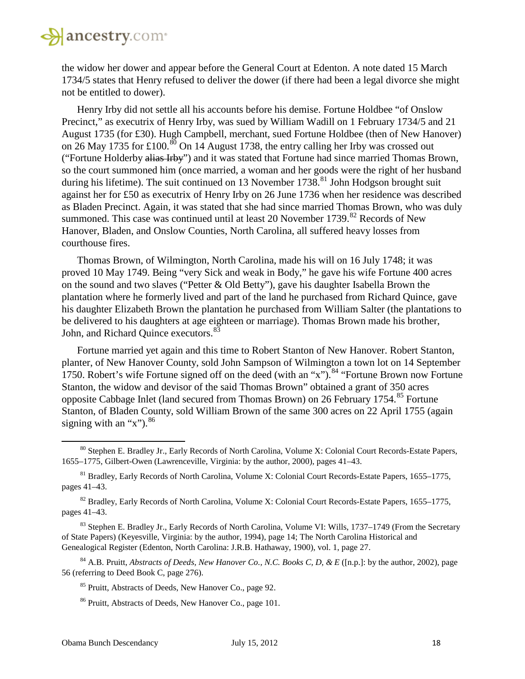

the widow her dower and appear before the General Court at Edenton. A note dated 15 March 1734/5 states that Henry refused to deliver the dower (if there had been a legal divorce she might not be entitled to dower).

Henry Irby did not settle all his accounts before his demise. Fortune Holdbee "of Onslow Precinct," as executrix of Henry Irby, was sued by William Wadill on 1 February 1734/5 and 21 August 1735 (for £30). Hugh Campbell, merchant, sued Fortune Holdbee (then of New Hanover) on 26 May 1735 for £100.<sup>[80](#page-17-0)</sup> On 14 August 1738, the entry calling her Irby was crossed out ("Fortune Holderby alias Irby") and it was stated that Fortune had since married Thomas Brown, so the court summoned him (once married, a woman and her goods were the right of her husband during his lifetime). The suit continued on 13 November  $1738$ <sup>[81](#page-17-1)</sup> John Hodgson brought suit against her for £50 as executrix of Henry Irby on 26 June 1736 when her residence was described as Bladen Precinct. Again, it was stated that she had since married Thomas Brown, who was duly summoned. This case was continued until at least 20 November  $1739$ .<sup>[82](#page-17-2)</sup> Records of New Hanover, Bladen, and Onslow Counties, North Carolina, all suffered heavy losses from courthouse fires.

Thomas Brown, of Wilmington, North Carolina, made his will on 16 July 1748; it was proved 10 May 1749. Being "very Sick and weak in Body," he gave his wife Fortune 400 acres on the sound and two slaves ("Petter & Old Betty"), gave his daughter Isabella Brown the plantation where he formerly lived and part of the land he purchased from Richard Quince, gave his daughter Elizabeth Brown the plantation he purchased from William Salter (the plantations to be delivered to his daughters at age eighteen or marriage). Thomas Brown made his brother, John, and Richard Quince executors.<sup>[83](#page-17-3)</sup>

Fortune married yet again and this time to Robert Stanton of New Hanover. Robert Stanton, planter, of New Hanover County, sold John Sampson of Wilmington a town lot on 14 September 1750. Robert's wife Fortune signed off on the deed (with an "x").<sup>[84](#page-17-4)</sup> "Fortune Brown now Fortune Stanton, the widow and devisor of the said Thomas Brown" obtained a grant of 350 acres opposite Cabbage Inlet (land secured from Thomas Brown) on 26 February 1754.<sup>[85](#page-17-5)</sup> Fortune Stanton, of Bladen County, sold William Brown of the same 300 acres on 22 April 1755 (again signing with an "x").  $86$ 

<span id="page-17-0"></span><sup>&</sup>lt;sup>80</sup> Stephen E. Bradley Jr., Early Records of North Carolina, Volume X: Colonial Court Records-Estate Papers, 1655–1775, Gilbert-Owen (Lawrenceville, Virginia: by the author, 2000), pages 41–43.

<span id="page-17-1"></span><sup>81</sup> Bradley, Early Records of North Carolina, Volume X: Colonial Court Records-Estate Papers, 1655–1775, pages 41–43.

<span id="page-17-2"></span><sup>&</sup>lt;sup>82</sup> Bradley, Early Records of North Carolina, Volume X: Colonial Court Records-Estate Papers, 1655–1775, pages 41–43.

<span id="page-17-3"></span><sup>&</sup>lt;sup>83</sup> Stephen E. Bradley Jr., Early Records of North Carolina, Volume VI: Wills, 1737–1749 (From the Secretary of State Papers) (Keyesville, Virginia: by the author, 1994), page 14; The North Carolina Historical and Genealogical Register (Edenton, North Carolina: J.R.B. Hathaway, 1900), vol. 1, page 27.

<span id="page-17-6"></span><span id="page-17-5"></span><span id="page-17-4"></span><sup>&</sup>lt;sup>84</sup> A.B. Pruitt, *Abstracts of Deeds, New Hanover Co., N.C. Books C, D, & E* ([n.p.]: by the author, 2002), page 56 (referring to Deed Book C, page 276).

<sup>85</sup> Pruitt, Abstracts of Deeds, New Hanover Co., page 92.

<sup>&</sup>lt;sup>86</sup> Pruitt, Abstracts of Deeds, New Hanover Co., page 101.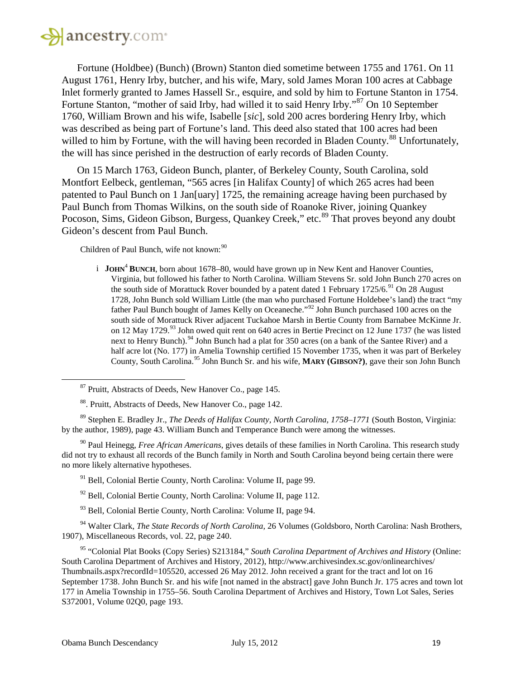

Fortune (Holdbee) (Bunch) (Brown) Stanton died sometime between 1755 and 1761. On 11 August 1761, Henry Irby, butcher, and his wife, Mary, sold James Moran 100 acres at Cabbage Inlet formerly granted to James Hassell Sr., esquire, and sold by him to Fortune Stanton in 1754. Fortune Stanton, "mother of said Irby, had willed it to said Henry Irby."<sup>[87](#page-18-0)</sup> On 10 September 1760, William Brown and his wife, Isabelle [*sic*], sold 200 acres bordering Henry Irby, which was described as being part of Fortune's land. This deed also stated that 100 acres had been willed to him by Fortune, with the will having been recorded in Bladen County.<sup>[88](#page-18-1)</sup> Unfortunately, the will has since perished in the destruction of early records of Bladen County.

On 15 March 1763, Gideon Bunch, planter, of Berkeley County, South Carolina, sold Montfort Eelbeck, gentleman, "565 acres [in Halifax County] of which 265 acres had been patented to Paul Bunch on 1 Jan[uary] 1725, the remaining acreage having been purchased by Paul Bunch from Thomas Wilkins, on the south side of Roanoke River, joining Quankey Pocoson, Sims, Gideon Gibson, Burgess, Quankey Creek," etc.<sup>[89](#page-18-2)</sup> That proves beyond any doubt Gideon's descent from Paul Bunch.

Children of Paul Bunch, wife not known:<sup>[90](#page-18-3)</sup>

i **JOHN<sup>4</sup> BUNCH**, born about 1678–80, would have grown up in New Kent and Hanover Counties, Virginia, but followed his father to North Carolina. William Stevens Sr. sold John Bunch 270 acres on the south side of Morattuck Rover bounded by a patent dated 1 February 1725/6.<sup>[91](#page-18-4)</sup> On 28 August 1728, John Bunch sold William Little (the man who purchased Fortune Holdebee's land) the tract "my father Paul Bunch bought of James Kelly on Oceaneche."[92](#page-18-5) John Bunch purchased 100 acres on the south side of Morattuck River adjacent Tuckahoe Marsh in Bertie County from Barnabee McKinne Jr. on 12 May 1729.<sup>[93](#page-18-6)</sup> John owed quit rent on 640 acres in Bertie Precinct on 12 June 1737 (he was listed next to Henry Bunch).<sup>[94](#page-18-7)</sup> John Bunch had a plat for 350 acres (on a bank of the Santee River) and a half acre lot (No. 177) in Amelia Township certified 15 November 1735, when it was part of Berkeley County, South Carolina. [95](#page-18-8) John Bunch Sr. and his wife, **MARY (GIBSON?)**, gave their son John Bunch

<span id="page-18-2"></span><span id="page-18-1"></span><span id="page-18-0"></span><sup>89</sup> Stephen E. Bradley Jr., *The Deeds of Halifax County, North Carolina, 1758–1771* (South Boston, Virginia: by the author, 1989), page 43. William Bunch and Temperance Bunch were among the witnesses.

<span id="page-18-4"></span><span id="page-18-3"></span><sup>90</sup> Paul Heinegg, *Free African Americans*, gives details of these families in North Carolina. This research study did not try to exhaust all records of the Bunch family in North and South Carolina beyond being certain there were no more likely alternative hypotheses.

<sup>91</sup> Bell, Colonial Bertie County, North Carolina: Volume II, page 99.

 $92$  Bell, Colonial Bertie County, North Carolina: Volume II, page 112.

<sup>93</sup> Bell, Colonial Bertie County, North Carolina: Volume II, page 94.

<span id="page-18-7"></span><span id="page-18-6"></span><span id="page-18-5"></span><sup>94</sup> Walter Clark, *The State Records of North Carolina,* 26 Volumes (Goldsboro, North Carolina: Nash Brothers, 1907), Miscellaneous Records, vol. 22, page 240.

<span id="page-18-8"></span><sup>95</sup> "Colonial Plat Books (Copy Series) S213184," *South Carolina Department of Archives and History* (Online: South Carolina Department of Archives and History, 2012), http://www.archivesindex.sc.gov/onlinearchives/ Thumbnails.aspx?recordId=105520, accessed 26 May 2012. John received a grant for the tract and lot on 16 September 1738. John Bunch Sr. and his wife [not named in the abstract] gave John Bunch Jr. 175 acres and town lot 177 in Amelia Township in 1755–56. South Carolina Department of Archives and History, Town Lot Sales, Series S372001, Volume 02Q0, page 193.

<sup>87</sup> Pruitt, Abstracts of Deeds, New Hanover Co., page 145.

<sup>88.</sup> Pruitt, Abstracts of Deeds, New Hanover Co., page 142.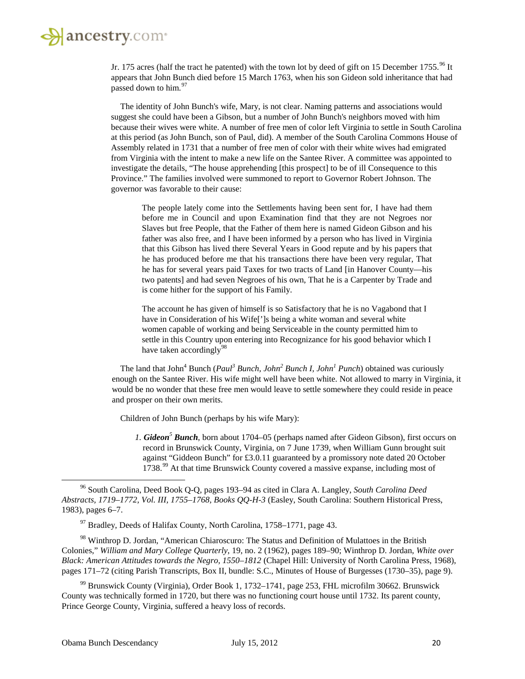Jr. 175 acres (half the tract he patented) with the town lot by deed of gift on 15 December 1755.<sup>[96](#page-19-0)</sup> It appears that John Bunch died before 15 March 1763, when his son Gideon sold inheritance that had passed down to him.<sup>[97](#page-19-1)</sup>

The identity of John Bunch's wife, Mary, is not clear. Naming patterns and associations would suggest she could have been a Gibson, but a number of John Bunch's neighbors moved with him because their wives were white. A number of free men of color left Virginia to settle in South Carolina at this period (as John Bunch, son of Paul, did). A member of the South Carolina Commons House of Assembly related in 1731 that a number of free men of color with their white wives had emigrated from Virginia with the intent to make a new life on the Santee River. A committee was appointed to investigate the details, "The house apprehending [this prospect] to be of ill Consequence to this Province." The families involved were summoned to report to Governor Robert Johnson. The governor was favorable to their cause:

The people lately come into the Settlements having been sent for, I have had them before me in Council and upon Examination find that they are not Negroes nor Slaves but free People, that the Father of them here is named Gideon Gibson and his father was also free, and I have been informed by a person who has lived in Virginia that this Gibson has lived there Several Years in Good repute and by his papers that he has produced before me that his transactions there have been very regular, That he has for several years paid Taxes for two tracts of Land [in Hanover County—his two patents] and had seven Negroes of his own, That he is a Carpenter by Trade and is come hither for the support of his Family.

The account he has given of himself is so Satisfactory that he is no Vagabond that I have in Consideration of his Wife[']s being a white woman and several white women capable of working and being Serviceable in the county permitted him to settle in this Country upon entering into Recognizance for his good behavior which I have taken accordingly $98$ 

The land that John<sup>4</sup> Bunch (*Paul<sup>3</sup> Bunch, John<sup>2</sup> Bunch I, John<sup>1</sup> Punch*) obtained was curiously enough on the Santee River. His wife might well have been white. Not allowed to marry in Virginia, it would be no wonder that these free men would leave to settle somewhere they could reside in peace and prosper on their own merits.

Children of John Bunch (perhaps by his wife Mary):

*1. Gideon<sup>5</sup> Bunch*, born about 1704–05 (perhaps named after Gideon Gibson), first occurs on record in Brunswick County, Virginia, on 7 June 1739, when William Gunn brought suit against "Giddeon Bunch" for £3.0.11 guaranteed by a promissory note dated 20 October 1738.<sup>[99](#page-19-3)</sup> At that time Brunswick County covered a massive expanse, including most of

<sup>97</sup> Bradley, Deeds of Halifax County, North Carolina, 1758–1771, page 43.

<span id="page-19-2"></span><span id="page-19-1"></span><sup>98</sup> Winthrop D. Jordan, "American Chiaroscuro: The Status and Definition of Mulattoes in the British Colonies," *William and Mary College Quarterly*, 19, no. 2 (1962), pages 189–90; Winthrop D. Jordan, *White over Black: American Attitudes towards the Negro, 1550–1812* (Chapel Hill: University of North Carolina Press, 1968), pages 171–72 (citing Parish Transcripts, Box II, bundle: S.C., Minutes of House of Burgesses (1730–35), page 9).

<span id="page-19-3"></span><sup>99</sup> Brunswick County (Virginia), Order Book 1, 1732–1741, page 253, FHL microfilm 30662. Brunswick County was technically formed in 1720, but there was no functioning court house until 1732. Its parent county, Prince George County, Virginia, suffered a heavy loss of records.

<span id="page-19-0"></span><sup>96</sup> South Carolina, Deed Book Q-Q, pages 193–94 as cited in Clara A. Langley, *South Carolina Deed Abstracts, 1719–1772, Vol. III, 1755–1768, Books QQ-H-3* (Easley, South Carolina: Southern Historical Press, 1983), pages 6–7.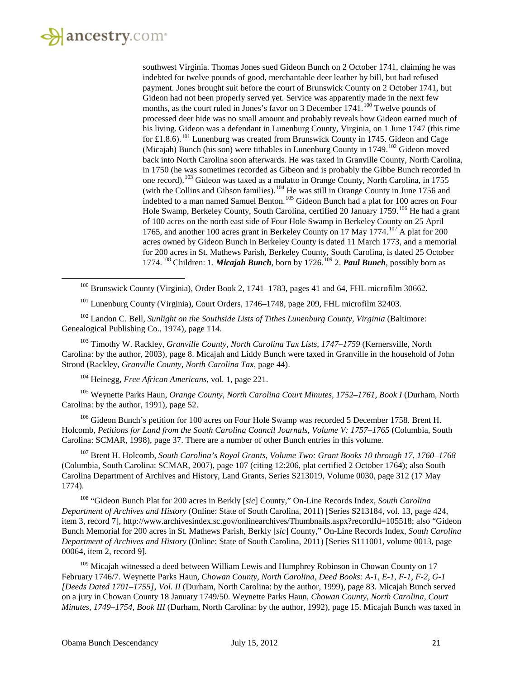<span id="page-20-0"></span>l

southwest Virginia. Thomas Jones sued Gideon Bunch on 2 October 1741, claiming he was indebted for twelve pounds of good, merchantable deer leather by bill, but had refused payment. Jones brought suit before the court of Brunswick County on 2 October 1741, but Gideon had not been properly served yet. Service was apparently made in the next few months, as the court ruled in Jones's favor on 3 December 1741.<sup>[100](#page-20-0)</sup> Twelve pounds of processed deer hide was no small amount and probably reveals how Gideon earned much of his living. Gideon was a defendant in Lunenburg County, Virginia, on 1 June 1747 (this time for £1.8.6).<sup>[101](#page-20-1)</sup> Lunenburg was created from Brunswick County in 1745. Gideon and Cage (Micajah) Bunch (his son) were tithables in Lunenburg County in  $1749$ .<sup>[102](#page-20-2)</sup> Gideon moved back into North Carolina soon afterwards. He was taxed in Granville County, North Carolina, in 1750 (he was sometimes recorded as Gibeon and is probably the Gibbe Bunch recorded in one record).<sup>[103](#page-20-3)</sup> Gideon was taxed as a mulatto in Orange County, North Carolina, in 1755 (with the Collins and Gibson families).<sup>[104](#page-20-4)</sup> He was still in Orange County in June 1756 and indebted to a man named Samuel Benton.<sup>[105](#page-20-5)</sup> Gideon Bunch had a plat for 100 acres on Four Hole Swamp, Berkeley County, South Carolina, certified 20 January 1759.<sup>[106](#page-20-6)</sup> He had a grant of 100 acres on the north east side of Four Hole Swamp in Berkeley County on 25 April 1765, and another 100 acres grant in Berkeley County on 17 May 1774.<sup>[107](#page-20-7)</sup> A plat for 200 acres owned by Gideon Bunch in Berkeley County is dated 11 March 1773, and a memorial for 200 acres in St. Mathews Parish, Berkeley County, South Carolina, is dated 25 October 1774.[108](#page-20-8) Children: 1. *Micajah Bunch*, born by 1726*.* [109](#page-20-9) 2. *Paul Bunch*, possibly born as

<sup>100</sup> Brunswick County (Virginia), Order Book 2, 1741–1783, pages 41 and 64, FHL microfilm 30662.

<sup>101</sup> Lunenburg County (Virginia), Court Orders, 1746–1748, page 209, FHL microfilm 32403.

<span id="page-20-2"></span><span id="page-20-1"></span><sup>102</sup> Landon C. Bell, *Sunlight on the Southside Lists of Tithes Lunenburg County, Virginia (Baltimore:* Genealogical Publishing Co., 1974), page 114.

<span id="page-20-3"></span><sup>103</sup> Timothy W. Rackley, *Granville County, North Carolina Tax Lists, 1747–1759* (Kernersville, North Carolina: by the author, 2003), page 8. Micajah and Liddy Bunch were taxed in Granville in the household of John Stroud (Rackley, *Granville County, North Carolina Tax,* page 44).

<sup>104</sup> Heinegg, *Free African Americans*, vol. 1, page 221.

<span id="page-20-5"></span><span id="page-20-4"></span><sup>105</sup> Weynette Parks Haun, *Orange County, North Carolina Court Minutes, 1752–1761, Book I* (Durham, North Carolina: by the author, 1991), page 52.

<span id="page-20-6"></span><sup>106</sup> Gideon Bunch's petition for 100 acres on Four Hole Swamp was recorded 5 December 1758. Brent H. Holcomb, *Petitions for Land from the South Carolina Council Journals, Volume V: 1757–1765* (Columbia, South Carolina: SCMAR, 1998), page 37. There are a number of other Bunch entries in this volume.

<span id="page-20-7"></span><sup>107</sup> Brent H. Holcomb, *South Carolina's Royal Grants, Volume Two: Grant Books 10 through 17, 1760–1768* (Columbia, South Carolina: SCMAR, 2007), page 107 (citing 12:206, plat certified 2 October 1764); also South Carolina Department of Archives and History, Land Grants, Series S213019, Volume 0030, page 312 (17 May 1774).

<span id="page-20-8"></span><sup>108</sup> "Gideon Bunch Plat for 200 acres in Berkly [*sic*] County," On-Line Records Index, *South Carolina Department of Archives and History* (Online: State of South Carolina, 2011) [Series S213184, vol. 13, page 424, item 3, record 7], http://www.archivesindex.sc.gov/onlinearchives/Thumbnails.aspx?recordId=105518; also "Gideon Bunch Memorial for 200 acres in St. Mathews Parish, Berkly [*sic*] County," On-Line Records Index, *South Carolina Department of Archives and History* (Online: State of South Carolina, 2011) [Series S111001, volume 0013, page 00064, item 2, record 9].

<span id="page-20-9"></span><sup>109</sup> Micajah witnessed a deed between William Lewis and Humphrey Robinson in Chowan County on 17 February 1746/7. Weynette Parks Haun, *Chowan County, North Carolina, Deed Books: A-1, E-1, F-1, F-2, G-1 [Deeds Dated 1701–1755], Vol. II* (Durham, North Carolina: by the author, 1999), page 83. Micajah Bunch served on a jury in Chowan County 18 January 1749/50. Weynette Parks Haun, *Chowan County, North Carolina, Court Minutes, 1749–1754, Book III* (Durham, North Carolina: by the author, 1992), page 15. Micajah Bunch was taxed in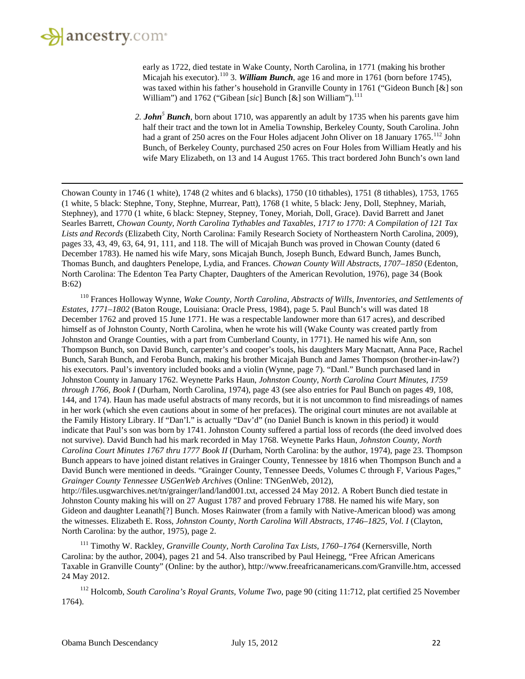

 $\overline{\phantom{a}}$ 

early as 1722, died testate in Wake County, North Carolina, in 1771 (making his brother Micajah his executor).<sup>[110](#page-21-0)</sup> 3. *William Bunch*, age 16 and more in 1761 (born before 1745), was taxed within his father's household in Granville County in 1761 ("Gideon Bunch [&] son William") and 1762 ("Gibean [sic] Bunch [&] son William").<sup>[111](#page-21-1)</sup>

*2. John<sup>5</sup> Bunch*, born about 1710, was apparently an adult by 1735 when his parents gave him half their tract and the town lot in Amelia Township, Berkeley County, South Carolina. John had a grant of 250 acres on the Four Holes adjacent John Oliver on 18 January 1765.<sup>[112](#page-21-2)</sup> John Bunch, of Berkeley County, purchased 250 acres on Four Holes from William Heatly and his wife Mary Elizabeth, on 13 and 14 August 1765. This tract bordered John Bunch's own land

Chowan County in 1746 (1 white), 1748 (2 whites and 6 blacks), 1750 (10 tithables), 1751 (8 tithables), 1753, 1765 (1 white, 5 black: Stephne, Tony, Stephne, Murrear, Patt), 1768 (1 white, 5 black: Jeny, Doll, Stephney, Mariah, Stephney), and 1770 (1 white, 6 black: Stepney, Stepney, Toney, Moriah, Doll, Grace). David Barrett and Janet Searles Barrett, *Chowan County, North Carolina Tythables and Taxables, 1717 to 1770: A Compilation of 121 Tax Lists and Records* (Elizabeth City, North Carolina: Family Research Society of Northeastern North Carolina, 2009), pages 33, 43, 49, 63, 64, 91, 111, and 118. The will of Micajah Bunch was proved in Chowan County (dated 6 December 1783). He named his wife Mary, sons Micajah Bunch, Joseph Bunch, Edward Bunch, James Bunch, Thomas Bunch, and daughters Penelope, Lydia, and Frances. *Chowan County Will Abstracts, 1707–1850* (Edenton, North Carolina: The Edenton Tea Party Chapter, Daughters of the American Revolution, 1976), page 34 (Book B:62)

<span id="page-21-0"></span><sup>110</sup> Frances Holloway Wynne, *Wake County, North Carolina, Abstracts of Wills, Inventories, and Settlements of Estates, 1771–1802* (Baton Rouge, Louisiana: Oracle Press, 1984), page 5. Paul Bunch's will was dated 18 December 1762 and proved 15 June 1771. He was a respectable landowner more than 617 acres), and described himself as of Johnston County, North Carolina, when he wrote his will (Wake County was created partly from Johnston and Orange Counties, with a part from Cumberland County, in 1771). He named his wife Ann, son Thompson Bunch, son David Bunch, carpenter's and cooper's tools, his daughters Mary Macnatt, Anna Pace, Rachel Bunch, Sarah Bunch, and Feroba Bunch, making his brother Micajah Bunch and James Thompson (brother-in-law?) his executors. Paul's inventory included books and a violin (Wynne, page 7). "Danl." Bunch purchased land in Johnston County in January 1762. Weynette Parks Haun, *Johnston County, North Carolina Court Minutes, 1759 through 1766, Book I* (Durham, North Carolina, 1974), page 43 (see also entries for Paul Bunch on pages 49, 108, 144, and 174). Haun has made useful abstracts of many records, but it is not uncommon to find misreadings of names in her work (which she even cautions about in some of her prefaces). The original court minutes are not available at the Family History Library. If "Dan'l." is actually "Dav'd" (no Daniel Bunch is known in this period) it would indicate that Paul's son was born by 1741. Johnston County suffered a partial loss of records (the deed involved does not survive). David Bunch had his mark recorded in May 1768. Weynette Parks Haun, *Johnston County, North Carolina Court Minutes 1767 thru 1777 Book II* (Durham, North Carolina: by the author, 1974), page 23. Thompson Bunch appears to have joined distant relatives in Grainger County, Tennessee by 1816 when Thompson Bunch and a David Bunch were mentioned in deeds. "Grainger County, Tennessee Deeds, Volumes C through F, Various Pages," *Grainger County Tennessee USGenWeb Archives* (Online: TNGenWeb, 2012), http://files.usgwarchives.net/tn/grainger/land/land001.txt, accessed 24 May 2012. A Robert Bunch died testate in Johnston County making his will on 27 August 1787 and proved February 1788. He named his wife Mary, son Gideon and daughter Leanath[?] Bunch. Moses Rainwater (from a family with Native-American blood) was among the witnesses. Elizabeth E. Ross, *Johnston County, North Carolina Will Abstracts, 1746–1825, Vol. I* (Clayton, North Carolina: by the author, 1975), page 2.

<span id="page-21-1"></span><sup>111</sup> Timothy W. Rackley, *Granville County, North Carolina Tax Lists, 1760–1764* (Kernersville, North Carolina: by the author, 2004), pages 21 and 54. Also transcribed by Paul Heinegg, "Free African Americans Taxable in Granville County" (Online: by the author), http://www.freeafricanamericans.com/Granville.htm, accessed 24 May 2012.

<span id="page-21-2"></span><sup>112</sup> Holcomb, *South Carolina's Royal Grants, Volume Two*, page 90 (citing 11:712, plat certified 25 November 1764).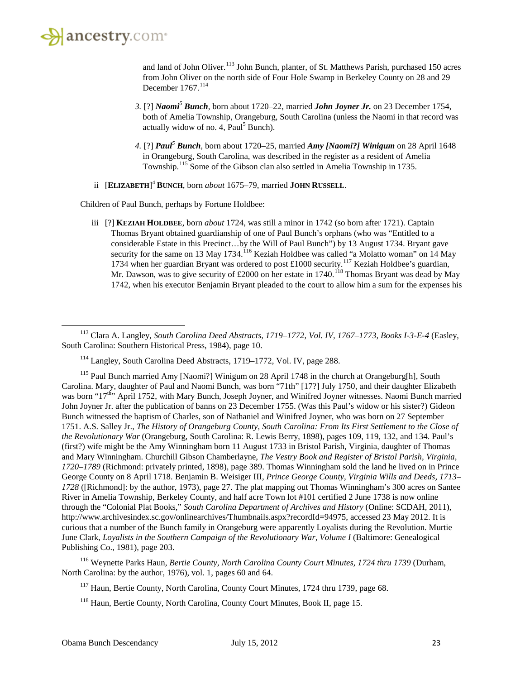

 $\overline{\phantom{a}}$ 

and land of John Oliver.<sup>[113](#page-22-0)</sup> John Bunch, planter, of St. Matthews Parish, purchased 150 acres from John Oliver on the north side of Four Hole Swamp in Berkeley County on 28 and 29 December 1767.<sup>[114](#page-22-1)</sup>

- *3.* [?] *Naomi<sup>5</sup> Bunch*, born about 1720–22, married *John Joyner Jr.* on 23 December 1754, both of Amelia Township, Orangeburg, South Carolina (unless the Naomi in that record was actually widow of no. 4,  $Paul<sup>5</sup> Bunch$ .
- *4.* [?] *Paul<sup>5</sup> Bunch*, born about 1720–25, married *Amy [Naomi?] Winigum* on 28 April 1648 in Orangeburg, South Carolina, was described in the register as a resident of Amelia Township.<sup>[115](#page-22-2)</sup> Some of the Gibson clan also settled in Amelia Township in 1735.
- ii [**ELIZABETH**] <sup>4</sup> **BUNCH**, born *about* 1675–79, married **JOHN RUSSELL**.

Children of Paul Bunch, perhaps by Fortune Holdbee:

iii [?] **KEZIAH HOLDBEE**, born *about* 1724, was still a minor in 1742 (so born after 1721). Captain Thomas Bryant obtained guardianship of one of Paul Bunch's orphans (who was "Entitled to a considerable Estate in this Precinct…by the Will of Paul Bunch") by 13 August 1734. Bryant gave security for the same on 13 May 1734.<sup>[116](#page-22-3)</sup> Keziah Holdbee was called "a Molatto woman" on 14 May 1734 when her guardian Bryant was ordered to post £1000 security.<sup>[117](#page-22-4)</sup> Keziah Holdbee's guardian, Mr. Dawson, was to give security of £2000 on her estate in 1740.<sup>[118](#page-22-5)</sup> Thomas Bryant was dead by May 1742, when his executor Benjamin Bryant pleaded to the court to allow him a sum for the expenses his

<span id="page-22-5"></span><span id="page-22-4"></span><span id="page-22-3"></span><sup>116</sup> Weynette Parks Haun, *Bertie County, North Carolina County Court Minutes, 1724 thru 1739* (Durham, North Carolina: by the author, 1976), vol. 1, pages 60 and 64.

<sup>117</sup> Haun, Bertie County, North Carolina, County Court Minutes, 1724 thru 1739, page 68.

<sup>118</sup> Haun, Bertie County, North Carolina, County Court Minutes, Book II, page 15.

<span id="page-22-0"></span><sup>113</sup> Clara A. Langley, *South Carolina Deed Abstracts, 1719–1772, Vol. IV, 1767–1773, Books I-3-E-4* (Easley, South Carolina: Southern Historical Press, 1984), page 10.

<sup>114</sup> Langley, South Carolina Deed Abstracts, 1719–1772, Vol. IV, page 288.

<span id="page-22-2"></span><span id="page-22-1"></span><sup>&</sup>lt;sup>115</sup> Paul Bunch married Amy [Naomi?] Winigum on 28 April 1748 in the church at Orangeburg[h], South Carolina. Mary, daughter of Paul and Naomi Bunch, was born "71th" [17?] July 1750, and their daughter Elizabeth was born "17<sup>th"</sup> April 1752, with Mary Bunch, Joseph Joyner, and Winifred Joyner witnesses. Naomi Bunch married John Joyner Jr. after the publication of banns on 23 December 1755. (Was this Paul's widow or his sister?) Gideon Bunch witnessed the baptism of Charles, son of Nathaniel and Winifred Joyner, who was born on 27 September 1751. A.S. Salley Jr., *The History of Orangeburg County, South Carolina: From Its First Settlement to the Close of the Revolutionary War* (Orangeburg, South Carolina: R. Lewis Berry, 1898), pages 109, 119, 132, and 134. Paul's (first?) wife might be the Amy Winningham born 11 August 1733 in Bristol Parish, Virginia, daughter of Thomas and Mary Winningham. Churchill Gibson Chamberlayne, *The Vestry Book and Register of Bristol Parish, Virginia, 1720–1789* (Richmond: privately printed, 1898), page 389. Thomas Winningham sold the land he lived on in Prince George County on 8 April 1718. Benjamin B. Weisiger III, *Prince George County, Virginia Wills and Deeds, 1713– 1728* ([Richmond]: by the author, 1973), page 27. The plat mapping out Thomas Winningham's 300 acres on Santee River in Amelia Township, Berkeley County, and half acre Town lot #101 certified 2 June 1738 is now online through the "Colonial Plat Books," *South Carolina Department of Archives and History* (Online: SCDAH, 2011), http://www.archivesindex.sc.gov/onlinearchives/Thumbnails.aspx?recordId=94975, accessed 23 May 2012. It is curious that a number of the Bunch family in Orangeburg were apparently Loyalists during the Revolution. Murtie June Clark, *Loyalists in the Southern Campaign of the Revolutionary War, Volume I* (Baltimore: Genealogical Publishing Co., 1981), page 203.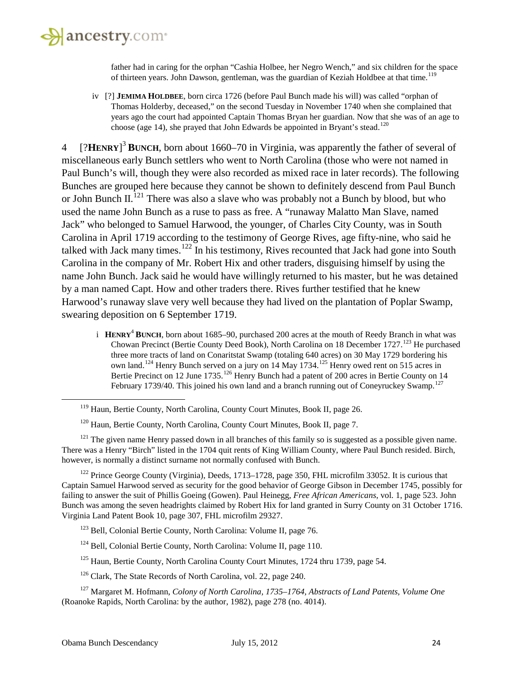

father had in caring for the orphan "Cashia Holbee, her Negro Wench," and six children for the space of thirteen years. John Dawson, gentleman, was the guardian of Keziah Holdbee at that time.<sup>[119](#page-23-0)</sup>

iv [?] **JEMIMA HOLDBEE**, born circa 1726 (before Paul Bunch made his will) was called "orphan of Thomas Holderby, deceased," on the second Tuesday in November 1740 when she complained that years ago the court had appointed Captain Thomas Bryan her guardian. Now that she was of an age to choose (age 14), she prayed that John Edwards be appointed in Bryant's stead.<sup>[120](#page-23-1)</sup>

4 [?**HENRY**] <sup>3</sup> **BUNCH**, born about 1660–70 in Virginia, was apparently the father of several of miscellaneous early Bunch settlers who went to North Carolina (those who were not named in Paul Bunch's will, though they were also recorded as mixed race in later records). The following Bunches are grouped here because they cannot be shown to definitely descend from Paul Bunch or John Bunch II.<sup>[121](#page-23-2)</sup> There was also a slave who was probably not a Bunch by blood, but who used the name John Bunch as a ruse to pass as free. A "runaway Malatto Man Slave, named Jack" who belonged to Samuel Harwood, the younger, of Charles City County, was in South Carolina in April 1719 according to the testimony of George Rives, age fifty-nine, who said he talked with Jack many times.<sup>[122](#page-23-3)</sup> In his testimony, Rives recounted that Jack had gone into South Carolina in the company of Mr. Robert Hix and other traders, disguising himself by using the name John Bunch. Jack said he would have willingly returned to his master, but he was detained by a man named Capt. How and other traders there. Rives further testified that he knew Harwood's runaway slave very well because they had lived on the plantation of Poplar Swamp, swearing deposition on 6 September 1719.

i **HENRY**<sup>4</sup> **BUNCH**, born about 1685–90, purchased 200 acres at the mouth of Reedy Branch in what was Chowan Precinct (Bertie County Deed Book), North Carolina on 18 December 1727.<sup>[123](#page-23-4)</sup> He purchased three more tracts of land on Conaritstat Swamp (totaling 640 acres) on 30 May 1729 bordering his own land.<sup>[124](#page-23-5)</sup> Henry Bunch served on a jury on 14 May 1734.<sup>[125](#page-23-6)</sup> Henry owed rent on 515 acres in Bertie Precinct on 12 June 1735.<sup>[126](#page-23-7)</sup> Henry Bunch had a patent of 200 acres in Bertie County on 14 February 1739/40. This joined his own land and a branch running out of Coneyruckey Swamp.<sup>[127](#page-23-8)</sup>

<span id="page-23-2"></span><span id="page-23-1"></span><span id="page-23-0"></span><sup>121</sup> The given name Henry passed down in all branches of this family so is suggested as a possible given name. There was a Henry "Birch" listed in the 1704 quit rents of King William County, where Paul Bunch resided. Birch, however, is normally a distinct surname not normally confused with Bunch.

<span id="page-23-3"></span><sup>122</sup> Prince George County (Virginia), Deeds, 1713–1728, page 350, FHL microfilm 33052. It is curious that Captain Samuel Harwood served as security for the good behavior of George Gibson in December 1745, possibly for failing to answer the suit of Phillis Goeing (Gowen). Paul Heinegg, *Free African Americans*, vol. 1, page 523. John Bunch was among the seven headrights claimed by Robert Hix for land granted in Surry County on 31 October 1716. Virginia Land Patent Book 10, page 307, FHL microfilm 29327.

- <sup>124</sup> Bell, Colonial Bertie County, North Carolina: Volume II, page 110.
- <sup>125</sup> Haun, Bertie County, North Carolina County Court Minutes, 1724 thru 1739, page 54.
- <sup>126</sup> Clark, The State Records of North Carolina, vol. 22, page 240.

<span id="page-23-8"></span><span id="page-23-7"></span><span id="page-23-6"></span><span id="page-23-5"></span><sup>127</sup> Margaret M. Hofmann, *Colony of North Carolina, 1735–1764, Abstracts of Land Patents, Volume One* (Roanoke Rapids, North Carolina: by the author, 1982), page 278 (no. 4014).

<sup>&</sup>lt;sup>119</sup> Haun, Bertie County, North Carolina, County Court Minutes, Book II, page 26.

<sup>&</sup>lt;sup>120</sup> Haun, Bertie County, North Carolina, County Court Minutes, Book II, page 7.

<span id="page-23-4"></span><sup>123</sup> Bell, Colonial Bertie County, North Carolina: Volume II, page 76.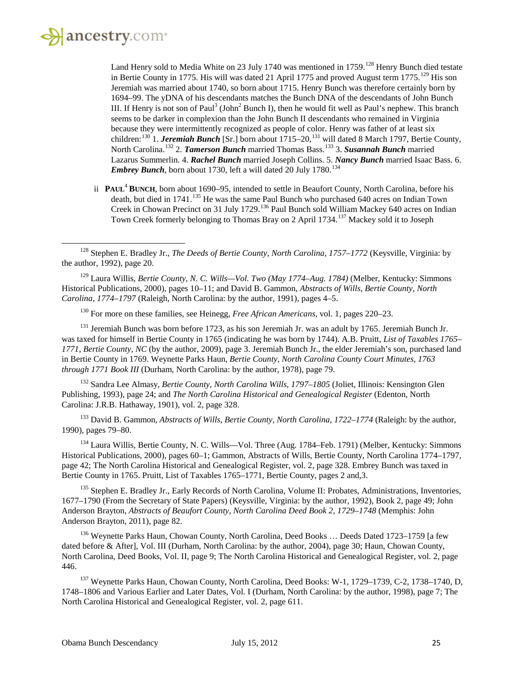

 $\overline{\phantom{a}}$ 

Land Henry sold to Media White on 23 July 1740 was mentioned in 1759.<sup>[128](#page-24-0)</sup> Henry Bunch died testate in Bertie County in 1775. His will was dated 21 April 1775 and proved August term  $1775$ .<sup>[129](#page-24-1)</sup> His son Jeremiah was married about 1740, so born about 1715. Henry Bunch was therefore certainly born by 1694–99. The yDNA of his descendants matches the Bunch DNA of the descendants of John Bunch III. If Henry is not son of Paul<sup>3</sup> (John<sup>2</sup> Bunch I), then he would fit well as Paul's nephew. This branch seems to be darker in complexion than the John Bunch II descendants who remained in Virginia because they were intermittently recognized as people of color. Henry was father of at least six children:<sup>[130](#page-24-2)</sup> 1. *Jeremiah Bunch* [Sr.] born about 1715–20,<sup>[131](#page-24-3)</sup> will dated 8 March 1797, Bertie County, North Carolina.<sup>[132](#page-24-4)</sup> 2. *Tamerson Bunch* married Thomas Bass.<sup>[133](#page-24-5)</sup> 3. *Susannah Bunch* married Lazarus Summerlin. 4. *Rachel Bunch* married Joseph Collins. 5. *Nancy Bunch* married Isaac Bass. 6. *Embrey Bunch*, born about 1730, left a will dated 20 July 1780. [134](#page-24-6)

ii **PAUL**<sup>4</sup> **BUNCH**, born about 1690–95, intended to settle in Beaufort County, North Carolina, before his death, but died in 1741.<sup>[135](#page-24-7)</sup> He was the same Paul Bunch who purchased 640 acres on Indian Town Creek in Chowan Precinct on 31 July 1729.<sup>[136](#page-24-8)</sup> Paul Bunch sold William Mackey 640 acres on Indian Town Creek formerly belonging to Thomas Bray on 2 April 1734.[137](#page-24-9) Mackey sold it to Joseph

<span id="page-24-1"></span><sup>129</sup> Laura Willis, *Bertie County, N. C. Wills—Vol. Two (May 1774–Aug. 1784)* (Melber, Kentucky: Simmons Historical Publications, 2000), pages 10–11; and David B. Gammon, *Abstracts of Wills, Bertie County, North Carolina, 1774–1797* (Raleigh, North Carolina: by the author, 1991), pages 4–5.

<sup>130</sup> For more on these families, see Heinegg, *Free African Americans*, vol. 1, pages 220–23.

<span id="page-24-3"></span><span id="page-24-2"></span><sup>131</sup> Jeremiah Bunch was born before 1723, as his son Jeremiah Jr. was an adult by 1765. Jeremiah Bunch Jr. was taxed for himself in Bertie County in 1765 (indicating he was born by 1744). A.B. Pruitt, *List of Taxables 1765– 1771, Bertie County, NC* (by the author, 2009), page 3. Jeremiah Bunch Jr., the elder Jeremiah's son, purchased land in Bertie County in 1769. Weynette Parks Haun, *Bertie County, North Carolina County Court Minutes, 1763 through 1771 Book III* (Durham, North Carolina: by the author, 1978), page 79.

<span id="page-24-4"></span><sup>132</sup> Sandra Lee Almasy, *Bertie County, North Carolina Wills, 1797–1805* (Joliet, Illinois: Kensington Glen Publishing, 1993), page 24; and *The North Carolina Historical and Genealogical Register* (Edenton, North Carolina: J.R.B. Hathaway, 1901), vol. 2, page 328.

<span id="page-24-5"></span><sup>133</sup> David B. Gammon, *Abstracts of Wills, Bertie County, North Carolina, 1722–1774* (Raleigh: by the author, 1990), pages 79–80.

<span id="page-24-6"></span><sup>134</sup> Laura Willis, Bertie County, N. C. Wills—Vol. Three (Aug. 1784–Feb. 1791) (Melber, Kentucky: Simmons Historical Publications, 2000), pages 60–1; Gammon, Abstracts of Wills, Bertie County, North Carolina 1774–1797, page 42; The North Carolina Historical and Genealogical Register, vol. 2, page 328. Embrey Bunch was taxed in Bertie County in 1765. Pruitt, List of Taxables 1765–1771, Bertie County, pages 2 and,3.

<span id="page-24-7"></span><sup>135</sup> Stephen E. Bradley Jr., Early Records of North Carolina, Volume II: Probates, Administrations, Inventories, 1677–1790 (From the Secretary of State Papers) (Keysville, Virginia: by the author, 1992), Book 2, page 49; John Anderson Brayton, *Abstracts of Beaufort County, North Carolina Deed Book 2, 1729–1748* (Memphis: John Anderson Brayton, 2011), page 82.

<span id="page-24-8"></span><sup>136</sup> Weynette Parks Haun, Chowan County, North Carolina, Deed Books ... Deeds Dated 1723–1759 [a few dated before & After], Vol. III (Durham, North Carolina: by the author, 2004), page 30; Haun, Chowan County, North Carolina, Deed Books, Vol. II, page 9; The North Carolina Historical and Genealogical Register, vol. 2, page 446.

<span id="page-24-9"></span><sup>137</sup> Weynette Parks Haun, Chowan County, North Carolina, Deed Books: W-1, 1729–1739, C-2, 1738–1740, D, 1748–1806 and Various Earlier and Later Dates, Vol. I (Durham, North Carolina: by the author, 1998), page 7; The North Carolina Historical and Genealogical Register, vol. 2, page 611.

<span id="page-24-0"></span><sup>128</sup> Stephen E. Bradley Jr., *The Deeds of Bertie County, North Carolina, 1757–1772* (Keysville, Virginia: by the author, 1992), page 20.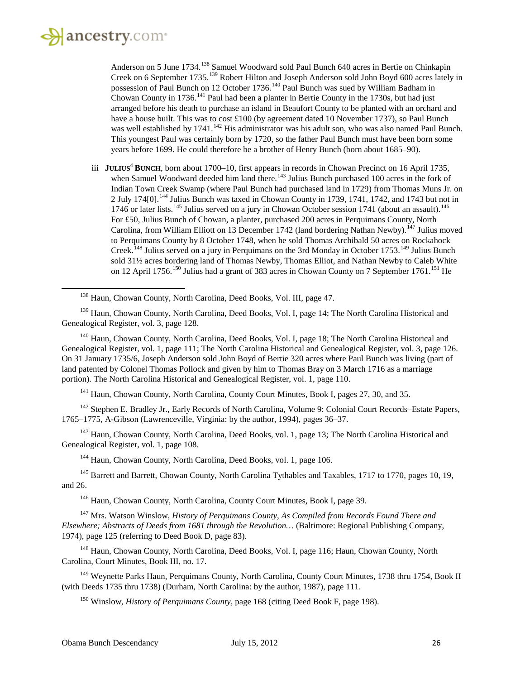l

Anderson on 5 June 1734.<sup>[138](#page-25-0)</sup> Samuel Woodward sold Paul Bunch 640 acres in Bertie on Chinkapin Creek on 6 September 1735.[139](#page-25-1) Robert Hilton and Joseph Anderson sold John Boyd 600 acres lately in possession of Paul Bunch on 12 October 1736.<sup>[140](#page-25-2)</sup> Paul Bunch was sued by William Badham in Chowan County in 1736.<sup>[141](#page-25-3)</sup> Paul had been a planter in Bertie County in the 1730s, but had just arranged before his death to purchase an island in Beaufort County to be planted with an orchard and have a house built. This was to cost  $\pounds$ 100 (by agreement dated 10 November 1737), so Paul Bunch was well established by  $1741$ .<sup>[142](#page-25-4)</sup> His administrator was his adult son, who was also named Paul Bunch. This youngest Paul was certainly born by 1720, so the father Paul Bunch must have been born some years before 1699. He could therefore be a brother of Henry Bunch (born about 1685–90).

iii **JULIUS<sup>4</sup> BUNCH**, born about 1700–10, first appears in records in Chowan Precinct on 16 April 1735, when Samuel Woodward deeded him land there.<sup>[143](#page-25-5)</sup> Julius Bunch purchased 100 acres in the fork of Indian Town Creek Swamp (where Paul Bunch had purchased land in 1729) from Thomas Muns Jr. on 2 July 174[0].<sup>[144](#page-25-6)</sup> Julius Bunch was taxed in Chowan County in 1739, 1741, 1742, and 1743 but not in 1746 or later lists.<sup>[145](#page-25-7)</sup> Julius served on a jury in Chowan October session 1741 (about an assault).<sup>[146](#page-25-8)</sup> For £50, Julius Bunch of Chowan, a planter, purchased 200 acres in Perquimans County, North Carolina, from William Elliott on 13 December 1742 (land bordering Nathan Newby).<sup>[147](#page-25-9)</sup> Julius moved to Perquimans County by 8 October 1748, when he sold Thomas Archibald 50 acres on Rockahock Creek.<sup>[148](#page-25-10)</sup> Julius served on a jury in Perquimans on the 3rd Monday in October 1753.<sup>[149](#page-25-11)</sup> Julius Bunch sold 31<sup>1</sup>/<sub>2</sub> acres bordering land of Thomas Newby, Thomas Elliot, and Nathan Newby to Caleb White on 12 April 1756.<sup>[150](#page-25-12)</sup> Julius had a grant of 383 acres in Chowan County on 7 September 1761.<sup>[151](#page-25-13)</sup> He

<span id="page-25-2"></span><sup>140</sup> Haun, Chowan County, North Carolina, Deed Books, Vol. I, page 18; The North Carolina Historical and Genealogical Register, vol. 1, page 111; The North Carolina Historical and Genealogical Register, vol. 3, page 126. On 31 January 1735/6, Joseph Anderson sold John Boyd of Bertie 320 acres where Paul Bunch was living (part of land patented by Colonel Thomas Pollock and given by him to Thomas Bray on 3 March 1716 as a marriage portion). The North Carolina Historical and Genealogical Register, vol. 1, page 110.

<sup>141</sup> Haun, Chowan County, North Carolina, County Court Minutes, Book I, pages 27, 30, and 35.

<span id="page-25-4"></span><span id="page-25-3"></span><sup>142</sup> Stephen E. Bradley Jr., Early Records of North Carolina, Volume 9: Colonial Court Records–Estate Papers, 1765–1775, A-Gibson (Lawrenceville, Virginia: by the author, 1994), pages 36–37.

<span id="page-25-5"></span><sup>143</sup> Haun, Chowan County, North Carolina, Deed Books, vol. 1, page 13; The North Carolina Historical and Genealogical Register, vol. 1, page 108.

<sup>144</sup> Haun, Chowan County, North Carolina, Deed Books, vol. 1, page 106.

<span id="page-25-7"></span><span id="page-25-6"></span><sup>145</sup> Barrett and Barrett, Chowan County, North Carolina Tythables and Taxables, 1717 to 1770, pages 10, 19, and 26.

<sup>146</sup> Haun, Chowan County, North Carolina, County Court Minutes, Book I, page 39.

<span id="page-25-9"></span><span id="page-25-8"></span><sup>147</sup> Mrs. Watson Winslow, *History of Perquimans County, As Compiled from Records Found There and Elsewhere; Abstracts of Deeds from 1681 through the Revolution…* (Baltimore: Regional Publishing Company, 1974), page 125 (referring to Deed Book D, page 83).

<span id="page-25-10"></span><sup>148</sup> Haun, Chowan County, North Carolina, Deed Books, Vol. I, page 116; Haun, Chowan County, North Carolina, Court Minutes, Book III, no. 17.

<span id="page-25-12"></span><span id="page-25-11"></span><sup>149</sup> Weynette Parks Haun, Perquimans County, North Carolina, County Court Minutes, 1738 thru 1754, Book II (with Deeds 1735 thru 1738) (Durham, North Carolina: by the author, 1987), page 111.

<sup>150</sup> Winslow, *History of Perquimans County*, page 168 (citing Deed Book F, page 198).

<sup>138</sup> Haun, Chowan County, North Carolina, Deed Books, Vol. III, page 47.

<span id="page-25-13"></span><span id="page-25-1"></span><span id="page-25-0"></span><sup>&</sup>lt;sup>139</sup> Haun, Chowan County, North Carolina, Deed Books, Vol. I, page 14; The North Carolina Historical and Genealogical Register, vol. 3, page 128.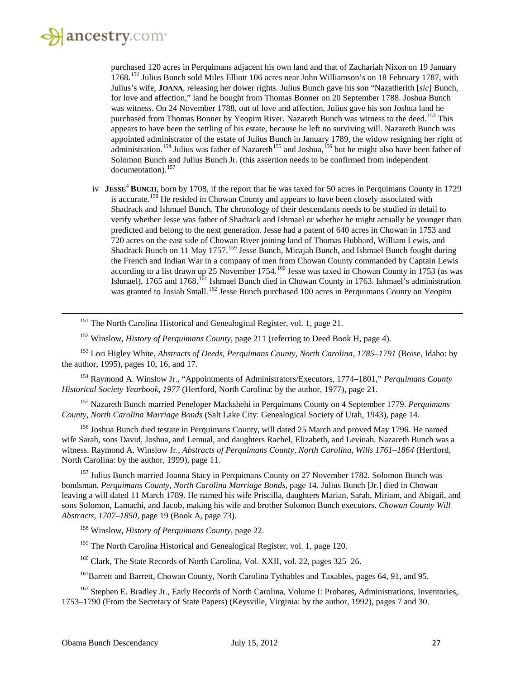#### ancestry.com

 $\overline{\phantom{a}}$ 

purchased 120 acres in Perquimans adjacent his own land and that of Zachariah Nixon on 19 January 1768.[152](#page-26-0) Julius Bunch sold Miles Elliott 106 acres near John Williamson's on 18 February 1787, with Julius's wife, **JOANA**, releasing her dower rights. Julius Bunch gave his son "Nazatherith [*sic*] Bunch, for love and affection," land he bought from Thomas Bonner on 20 September 1788. Joshua Bunch was witness. On 24 November 1788, out of love and affection, Julius gave his son Joshua land he purchased from Thomas Bonner by Yeopim River. Nazareth Bunch was witness to the deed.<sup>[153](#page-26-1)</sup> This appears to have been the settling of his estate, because he left no surviving will. Nazareth Bunch was appointed administrator of the estate of Julius Bunch in January 1789, the widow resigning her right of administration.<sup>[154](#page-26-2)</sup> Julius was father of Nazareth<sup>[155](#page-26-3)</sup> and Joshua,<sup>[156](#page-26-4)</sup> but he might also have been father of Solomon Bunch and Julius Bunch Jr. (this assertion needs to be confirmed from independent documentation). [157](#page-26-5)

iv **JESSE**<sup>4</sup> **BUNCH**, born by 1708, if the report that he was taxed for 50 acres in Perquimans County in 1729 is accurate.[158](#page-26-6) He resided in Chowan County and appears to have been closely associated with Shadrack and Ishmael Bunch. The chronology of their descendants needs to be studied in detail to verify whether Jesse was father of Shadrack and Ishmael or whether he might actually be younger than predicted and belong to the next generation. Jesse had a patent of 640 acres in Chowan in 1753 and 720 acres on the east side of Chowan River joining land of Thomas Hubbard, William Lewis, and Shadrack Bunch on 11 May 1757.<sup>[159](#page-26-7)</sup> Jesse Bunch, Micajah Bunch, and Ishmael Bunch fought during the French and Indian War in a company of men from Chowan County commanded by Captain Lewis according to a list drawn up 25 November 1754.<sup>[160](#page-26-8)</sup> Jesse was taxed in Chowan County in 1753 (as was Ishmael), 1765 and 1768.<sup>[161](#page-26-9)</sup> Ishmael Bunch died in Chowan County in 1763. Ishmael's administration was granted to Josiah Small.<sup>[162](#page-26-10)</sup> Jesse Bunch purchased 100 acres in Perquimans County on Yeopim

<sup>151</sup> The North Carolina Historical and Genealogical Register, vol. 1, page 21.

<sup>152</sup> Winslow, *History of Perquimans County*, page 211 (referring to Deed Book H, page 4).

<span id="page-26-1"></span><span id="page-26-0"></span><sup>153</sup> Lori Higley White, *Abstracts of Deeds, Perquimans County, North Carolina, 1785–1791* (Boise, Idaho: by the author, 1995), pages 10, 16, and 17.

<span id="page-26-2"></span><sup>154</sup> Raymond A. Winslow Jr., "Appointments of Administrators/Executors, 1774–1801," *Perquimans County Historical Society Yearbook, 1977* (Hertford, North Carolina: by the author, 1977), page 21.

<span id="page-26-3"></span><sup>155</sup> Nazareth Bunch married Peneloper Mackshehi in Perquimans County on 4 September 1779. *Perquimans County, North Carolina Marriage Bonds* (Salt Lake City: Genealogical Society of Utah, 1943), page 14.

<span id="page-26-4"></span><sup>156</sup> Joshua Bunch died testate in Perquimans County, will dated 25 March and proved May 1796. He named wife Sarah, sons David, Joshua, and Lemual, and daughters Rachel, Elizabeth, and Levinah. Nazareth Bunch was a witness. Raymond A. Winslow Jr., *Abstracts of Perquimans County, North Carolina, Wills 1761–1864* (Hertford, North Carolina: by the author, 1999), page 11.

<span id="page-26-5"></span><sup>157</sup> Julius Bunch married Joanna Stacy in Perquimans County on 27 November 1782. Solomon Bunch was bondsman. *Perquimans County, North Carolina Marriage Bonds*, page 14. Julius Bunch [Jr.] died in Chowan leaving a will dated 11 March 1789. He named his wife Priscilla, daughters Marian, Sarah, Miriam, and Abigail, and sons Solomon, Lamachi, and Jacob, making his wife and brother Solomon Bunch executors. *Chowan County Will Abstracts, 1707–1850*, page 19 (Book A, page 73).

<span id="page-26-6"></span><sup>158</sup> Winslow, *History of Perquimans County*, page 22.

<sup>159</sup> The North Carolina Historical and Genealogical Register, vol. 1, page 120.

<sup>160</sup> Clark, The State Records of North Carolina, Vol. XXII, vol. 22, pages 325–26.

<sup>161</sup>Barrett and Barrett, Chowan County, North Carolina Tythables and Taxables, pages 64, 91, and 95.

<span id="page-26-10"></span><span id="page-26-9"></span><span id="page-26-8"></span><span id="page-26-7"></span><sup>162</sup> Stephen E. Bradley Jr., Early Records of North Carolina, Volume I: Probates, Administrations, Inventories, 1753–1790 (From the Secretary of State Papers) (Keysville, Virginia: by the author, 1992), pages 7 and 30.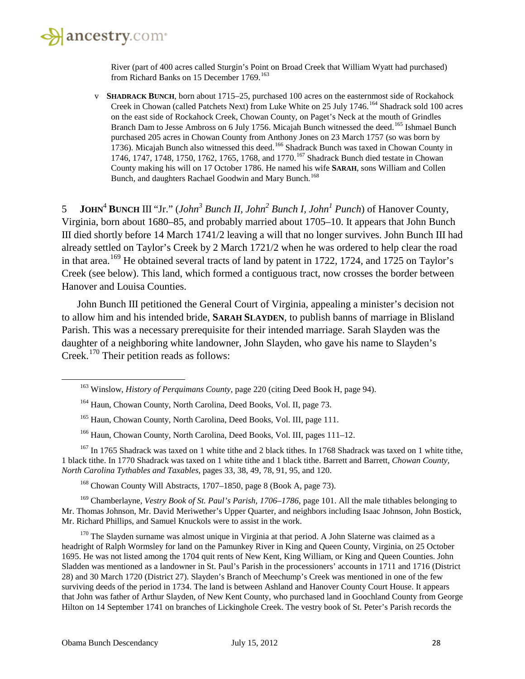

River (part of 400 acres called Sturgin's Point on Broad Creek that William Wyatt had purchased) from Richard Banks on 15 December 1769.<sup>[163](#page-27-0)</sup>

v **SHADRACK BUNCH**, born about 1715–25, purchased 100 acres on the easternmost side of Rockahock Creek in Chowan (called Patchets Next) from Luke White on 25 July 1746.[164](#page-27-1) Shadrack sold 100 acres on the east side of Rockahock Creek, Chowan County, on Paget's Neck at the mouth of Grindles Branch Dam to Jesse Ambross on 6 July 1756. Micajah Bunch witnessed the deed.<sup>[165](#page-27-2)</sup> Ishmael Bunch purchased 205 acres in Chowan County from Anthony Jones on 23 March 1757 (so was born by 1736). Micajah Bunch also witnessed this deed.<sup>[166](#page-27-3)</sup> Shadrack Bunch was taxed in Chowan County in 1746, 1747, 1748, 1750, 1762, 1765, 1768, and 1770.<sup>[167](#page-27-4)</sup> Shadrack Bunch died testate in Chowan County making his will on 17 October 1786. He named his wife **SARAH**, sons William and Collen Bunch, and daughters Rachael Goodwin and Mary Bunch.<sup>[168](#page-27-5)</sup>

5 **JOHN**<sup>4</sup> **BUNCH** III "Jr." (*John3 Bunch II, John2 Bunch I, John<sup>1</sup> Punch*) of Hanover County, Virginia, born about 1680–85, and probably married about 1705–10. It appears that John Bunch III died shortly before 14 March 1741/2 leaving a will that no longer survives. John Bunch III had already settled on Taylor's Creek by 2 March 1721/2 when he was ordered to help clear the road in that area.<sup>[169](#page-27-6)</sup> He obtained several tracts of land by patent in 1722, 1724, and 1725 on Taylor's Creek (see below). This land, which formed a contiguous tract, now crosses the border between Hanover and Louisa Counties.

John Bunch III petitioned the General Court of Virginia, appealing a minister's decision not to allow him and his intended bride, **SARAH SLAYDEN**, to publish banns of marriage in Blisland Parish. This was a necessary prerequisite for their intended marriage. Sarah Slayden was the daughter of a neighboring white landowner, John Slayden, who gave his name to Slayden's Creek.[170](#page-27-7) Their petition reads as follows:

<span id="page-27-4"></span><span id="page-27-3"></span><span id="page-27-2"></span><span id="page-27-1"></span> $167$  In 1765 Shadrack was taxed on 1 white tithe and 2 black tithes. In 1768 Shadrack was taxed on 1 white tithe, 1 black tithe. In 1770 Shadrack was taxed on 1 white tithe and 1 black tithe. Barrett and Barrett, *Chowan County, North Carolina Tythables and Taxables,* pages 33, 38, 49, 78, 91, 95, and 120.

<sup>168</sup> Chowan County Will Abstracts, 1707–1850, page 8 (Book A, page 73).

<span id="page-27-6"></span><span id="page-27-5"></span><sup>169</sup> Chamberlayne, *Vestry Book of St. Paul's Parish, 1706–1786*, page 101. All the male tithables belonging to Mr. Thomas Johnson, Mr. David Meriwether's Upper Quarter, and neighbors including Isaac Johnson, John Bostick, Mr. Richard Phillips, and Samuel Knuckols were to assist in the work.

<span id="page-27-7"></span> $170$  The Slayden surname was almost unique in Virginia at that period. A John Slaterne was claimed as a headright of Ralph Wormsley for land on the Pamunkey River in King and Queen County, Virginia, on 25 October 1695. He was not listed among the 1704 quit rents of New Kent, King William, or King and Queen Counties. John Sladden was mentioned as a landowner in St. Paul's Parish in the processioners' accounts in 1711 and 1716 (District 28) and 30 March 1720 (District 27). Slayden's Branch of Meechump's Creek was mentioned in one of the few surviving deeds of the period in 1734. The land is between Ashland and Hanover County Court House. It appears that John was father of Arthur Slayden, of New Kent County, who purchased land in Goochland County from George Hilton on 14 September 1741 on branches of Lickinghole Creek. The vestry book of St. Peter's Parish records the

<span id="page-27-0"></span><sup>163</sup> Winslow, *History of Perquimans County*, page 220 (citing Deed Book H, page 94).

<sup>164</sup> Haun, Chowan County, North Carolina, Deed Books, Vol. II, page 73.

<sup>&</sup>lt;sup>165</sup> Haun, Chowan County, North Carolina, Deed Books, Vol. III, page 111.

<sup>166</sup> Haun, Chowan County, North Carolina, Deed Books, Vol. III, pages 111–12.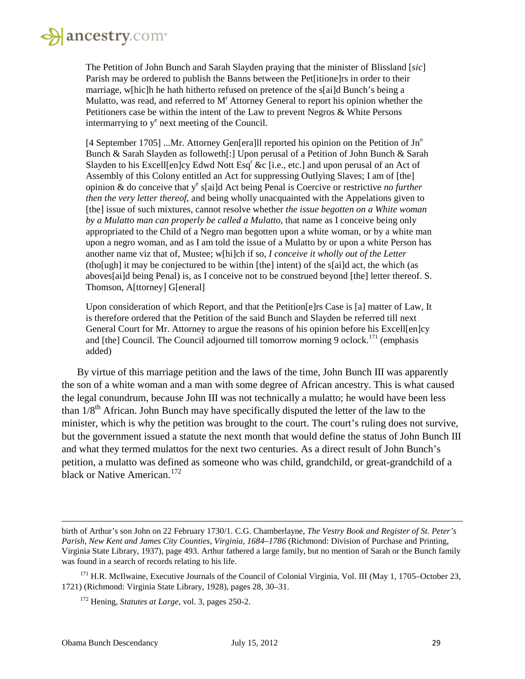

The Petition of John Bunch and Sarah Slayden praying that the minister of Blissland [*sic*] Parish may be ordered to publish the Banns between the Pet[itione]rs in order to their marriage, w[hic]h he hath hitherto refused on pretence of the s[ai]d Bunch's being a Mulatto, was read, and referred to  $M<sup>r</sup>$  Attorney General to report his opinion whether the Petitioners case be within the intent of the Law to prevent Negros & White Persons intermarrying to  $y^e$  next meeting of the Council.

[4 September 1705] ...Mr. Attorney Gen[era]ll reported his opinion on the Petition of  $Jn^{\circ}$ Bunch & Sarah Slayden as followeth[:] Upon perusal of a Petition of John Bunch & Sarah Slayden to his Excell[en]cy Edwd Nott Esq<sup>r</sup> &c [i.e., etc.] and upon perusal of an Act of Assembly of this Colony entitled an Act for suppressing Outlying Slaves; I am of [the] opinion & do conceive that ye s[ai]d Act being Penal is Coercive or restrictive *no further then the very letter thereof,* and being wholly unacquainted with the Appelations given to [the] issue of such mixtures, cannot resolve whether *the issue begotten on a White woman by a Mulatto man can properly be called a Mulatto*, that name as I conceive being only appropriated to the Child of a Negro man begotten upon a white woman, or by a white man upon a negro woman, and as I am told the issue of a Mulatto by or upon a white Person has another name viz that of, Mustee; w[hi]ch if so, *I conceive it wholly out of the Letter* (tho[ugh] it may be conjectured to be within [the] intent) of the s[ai]d act, the which (as aboves[ai]d being Penal) is, as I conceive not to be construed beyond [the] letter thereof. S. Thomson, A[ttorney] G[eneral]

Upon consideration of which Report, and that the Petition[e]rs Case is [a] matter of Law, It is therefore ordered that the Petition of the said Bunch and Slayden be referred till next General Court for Mr. Attorney to argue the reasons of his opinion before his Excell[en]cy and [the] Council. The Council adjourned till tomorrow morning 9 oclock.<sup>[171](#page-28-0)</sup> (emphasis added)

By virtue of this marriage petition and the laws of the time, John Bunch III was apparently the son of a white woman and a man with some degree of African ancestry. This is what caused the legal conundrum, because John III was not technically a mulatto; he would have been less than  $1/8<sup>th</sup>$  African. John Bunch may have specifically disputed the letter of the law to the minister, which is why the petition was brought to the court. The court's ruling does not survive, but the government issued a statute the next month that would define the status of John Bunch III and what they termed mulattos for the next two centuries. As a direct result of John Bunch's petition, a mulatto was defined as someone who was child, grandchild, or great-grandchild of a black or Native American.<sup>[172](#page-28-1)</sup>

birth of Arthur's son John on 22 February 1730/1. C.G. Chamberlayne, *The Vestry Book and Register of St. Peter's Parish, New Kent and James City Counties, Virginia, 1684–1786* (Richmond: Division of Purchase and Printing, Virginia State Library, 1937), page 493. Arthur fathered a large family, but no mention of Sarah or the Bunch family was found in a search of records relating to his life.

<span id="page-28-1"></span><span id="page-28-0"></span><sup>&</sup>lt;sup>171</sup> H.R. McIlwaine, Executive Journals of the Council of Colonial Virginia, Vol. III (May 1, 1705–October 23, 1721) (Richmond: Virginia State Library, 1928), pages 28, 30–31.

<sup>172</sup> Hening, *Statutes at Large*, vol. 3, pages 250-2.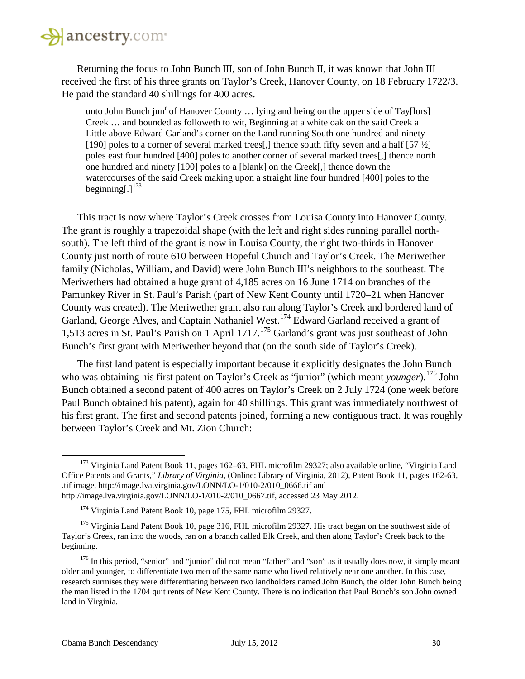

Returning the focus to John Bunch III, son of John Bunch II, it was known that John III received the first of his three grants on Taylor's Creek, Hanover County, on 18 February 1722/3. He paid the standard 40 shillings for 400 acres.

unto John Bunch jun<sup>r</sup> of Hanover County ... lying and being on the upper side of Tay[lors] Creek … and bounded as followeth to wit, Beginning at a white oak on the said Creek a Little above Edward Garland's corner on the Land running South one hundred and ninety [190] poles to a corner of several marked trees[,] thence south fifty seven and a half  $[57 \frac{1}{2}]$ poles east four hundred [400] poles to another corner of several marked trees[,] thence north one hundred and ninety [190] poles to a [blank] on the Creek[,] thence down the watercourses of the said Creek making upon a straight line four hundred [400] poles to the beginning[.] $173$ 

This tract is now where Taylor's Creek crosses from Louisa County into Hanover County. The grant is roughly a trapezoidal shape (with the left and right sides running parallel northsouth). The left third of the grant is now in Louisa County, the right two-thirds in Hanover County just north of route 610 between Hopeful Church and Taylor's Creek. The Meriwether family (Nicholas, William, and David) were John Bunch III's neighbors to the southeast. The Meriwethers had obtained a huge grant of 4,185 acres on 16 June 1714 on branches of the Pamunkey River in St. Paul's Parish (part of New Kent County until 1720–21 when Hanover County was created). The Meriwether grant also ran along Taylor's Creek and bordered land of Garland, George Alves, and Captain Nathaniel West.<sup>[174](#page-29-1)</sup> Edward Garland received a grant of 1,513 acres in St. Paul's Parish on 1 April 1717. [175](#page-29-2) Garland's grant was just southeast of John Bunch's first grant with Meriwether beyond that (on the south side of Taylor's Creek).

The first land patent is especially important because it explicitly designates the John Bunch who was obtaining his first patent on Taylor's Creek as "junior" (which meant *younger*).<sup>[176](#page-29-3)</sup> John Bunch obtained a second patent of 400 acres on Taylor's Creek on 2 July 1724 (one week before Paul Bunch obtained his patent), again for 40 shillings. This grant was immediately northwest of his first grant. The first and second patents joined, forming a new contiguous tract. It was roughly between Taylor's Creek and Mt. Zion Church:

<span id="page-29-0"></span><sup>&</sup>lt;sup>173</sup> Virginia Land Patent Book 11, pages 162–63, FHL microfilm 29327; also available online, "Virginia Land Office Patents and Grants," *Library of Virginia*, (Online: Library of Virginia, 2012), Patent Book 11, pages 162-63, .tif image, http://image.lva.virginia.gov/LONN/LO-1/010-2/010\_0666.tif and http://image.lva.virginia.gov/LONN/LO-1/010-2/010\_0667.tif, accessed 23 May 2012.

<sup>&</sup>lt;sup>174</sup> Virginia Land Patent Book 10, page 175, FHL microfilm 29327.

<span id="page-29-2"></span><span id="page-29-1"></span><sup>&</sup>lt;sup>175</sup> Virginia Land Patent Book 10, page 316, FHL microfilm 29327. His tract began on the southwest side of Taylor's Creek, ran into the woods, ran on a branch called Elk Creek, and then along Taylor's Creek back to the beginning.

<span id="page-29-3"></span> $176$  In this period, "senior" and "junior" did not mean "father" and "son" as it usually does now, it simply meant older and younger, to differentiate two men of the same name who lived relatively near one another. In this case, research surmises they were differentiating between two landholders named John Bunch, the older John Bunch being the man listed in the 1704 quit rents of New Kent County. There is no indication that Paul Bunch's son John owned land in Virginia.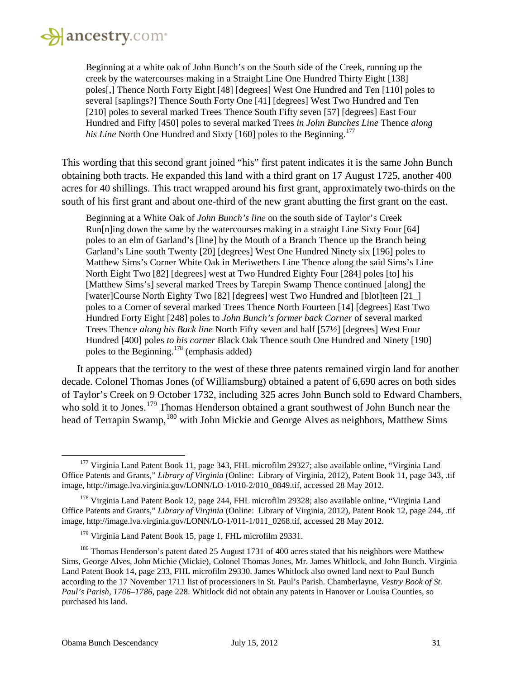

Beginning at a white oak of John Bunch's on the South side of the Creek, running up the creek by the watercourses making in a Straight Line One Hundred Thirty Eight [138] poles[,] Thence North Forty Eight [48] [degrees] West One Hundred and Ten [110] poles to several [saplings?] Thence South Forty One [41] [degrees] West Two Hundred and Ten [210] poles to several marked Trees Thence South Fifty seven [57] [degrees] East Four Hundred and Fifty [450] poles to several marked Trees *in John Bunches Line* Thence *along his Line* North One Hundred and Sixty [160] poles to the Beginning.<sup>[177](#page-30-0)</sup>

This wording that this second grant joined "his" first patent indicates it is the same John Bunch obtaining both tracts. He expanded this land with a third grant on 17 August 1725, another 400 acres for 40 shillings. This tract wrapped around his first grant, approximately two-thirds on the south of his first grant and about one-third of the new grant abutting the first grant on the east.

Beginning at a White Oak of *John Bunch's line* on the south side of Taylor's Creek Run[n]ing down the same by the watercourses making in a straight Line Sixty Four [64] poles to an elm of Garland's [line] by the Mouth of a Branch Thence up the Branch being Garland's Line south Twenty [20] [degrees] West One Hundred Ninety six [196] poles to Matthew Sims's Corner White Oak in Meriwethers Line Thence along the said Sims's Line North Eight Two [82] [degrees] west at Two Hundred Eighty Four [284] poles [to] his [Matthew Sims's] several marked Trees by Tarepin Swamp Thence continued [along] the [water]Course North Eighty Two [82] [degrees] west Two Hundred and [blot]teen [21\_] poles to a Corner of several marked Trees Thence North Fourteen [14] [degrees] East Two Hundred Forty Eight [248] poles to *John Bunch's former back Corner* of several marked Trees Thence *along his Back line* North Fifty seven and half [57½] [degrees] West Four Hundred [400] poles *to his corner* Black Oak Thence south One Hundred and Ninety [190] poles to the Beginning.<sup>[178](#page-30-1)</sup> (emphasis added)

It appears that the territory to the west of these three patents remained virgin land for another decade. Colonel Thomas Jones (of Williamsburg) obtained a patent of 6,690 acres on both sides of Taylor's Creek on 9 October 1732, including 325 acres John Bunch sold to Edward Chambers, who sold it to Jones.<sup>[179](#page-30-2)</sup> Thomas Henderson obtained a grant southwest of John Bunch near the head of Terrapin Swamp, <sup>[180](#page-30-3)</sup> with John Mickie and George Alves as neighbors, Matthew Sims

<span id="page-30-0"></span><sup>&</sup>lt;sup>177</sup> Virginia Land Patent Book 11, page 343, FHL microfilm 29327; also available online, "Virginia Land Office Patents and Grants," *Library of Virginia* (Online: Library of Virginia, 2012), Patent Book 11, page 343, .tif image, http://image.lva.virginia.gov/LONN/LO-1/010-2/010\_0849.tif, accessed 28 May 2012.

<span id="page-30-1"></span><sup>&</sup>lt;sup>178</sup> Virginia Land Patent Book 12, page 244, FHL microfilm 29328; also available online, "Virginia Land" Office Patents and Grants," *Library of Virginia* (Online: Library of Virginia, 2012), Patent Book 12, page 244, .tif image, http://image.lva.virginia.gov/LONN/LO-1/011-1/011\_0268.tif, accessed 28 May 2012*.*

<sup>&</sup>lt;sup>179</sup> Virginia Land Patent Book 15, page 1, FHL microfilm 29331.

<span id="page-30-3"></span><span id="page-30-2"></span><sup>&</sup>lt;sup>180</sup> Thomas Henderson's patent dated 25 August 1731 of 400 acres stated that his neighbors were Matthew Sims, George Alves, John Michie (Mickie), Colonel Thomas Jones, Mr. James Whitlock, and John Bunch. Virginia Land Patent Book 14, page 233, FHL microfilm 29330. James Whitlock also owned land next to Paul Bunch according to the 17 November 1711 list of processioners in St. Paul's Parish. Chamberlayne, *Vestry Book of St. Paul's Parish, 1706–1786*, page 228. Whitlock did not obtain any patents in Hanover or Louisa Counties, so purchased his land.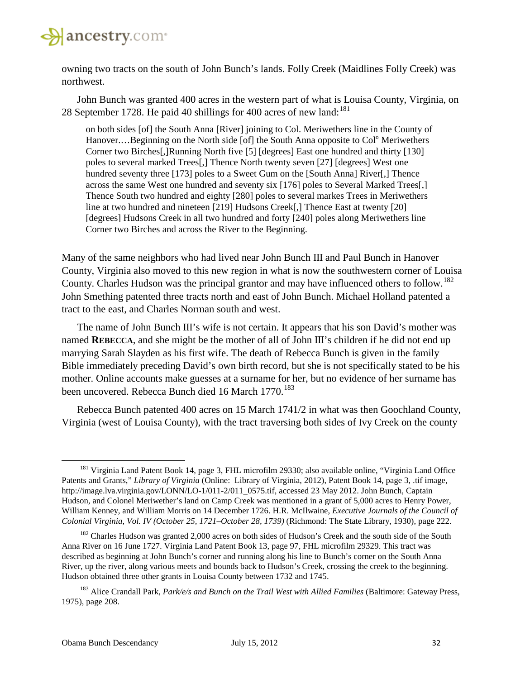

owning two tracts on the south of John Bunch's lands. Folly Creek (Maidlines Folly Creek) was northwest.

John Bunch was granted 400 acres in the western part of what is Louisa County, Virginia, on 28 September 1728. He paid 40 shillings for 400 acres of new land: $^{181}$  $^{181}$  $^{181}$ 

on both sides [of] the South Anna [River] joining to Col. Meriwethers line in the County of Hanover....Beginning on the North side [of] the South Anna opposite to Col<sup>o</sup> Meriwethers Corner two Birches[,]Running North five [5] [degrees] East one hundred and thirty [130] poles to several marked Trees[,] Thence North twenty seven [27] [degrees] West one hundred seventy three [173] poles to a Sweet Gum on the [South Anna] River[,] Thence across the same West one hundred and seventy six [176] poles to Several Marked Trees[,] Thence South two hundred and eighty [280] poles to several markes Trees in Meriwethers line at two hundred and nineteen [219] Hudsons Creek[,] Thence East at twenty [20] [degrees] Hudsons Creek in all two hundred and forty [240] poles along Meriwethers line Corner two Birches and across the River to the Beginning.

Many of the same neighbors who had lived near John Bunch III and Paul Bunch in Hanover County, Virginia also moved to this new region in what is now the southwestern corner of Louisa County. Charles Hudson was the principal grantor and may have influenced others to follow.<sup>[182](#page-31-1)</sup> John Smething patented three tracts north and east of John Bunch. Michael Holland patented a tract to the east, and Charles Norman south and west.

The name of John Bunch III's wife is not certain. It appears that his son David's mother was named **REBECCA**, and she might be the mother of all of John III's children if he did not end up marrying Sarah Slayden as his first wife. The death of Rebecca Bunch is given in the family Bible immediately preceding David's own birth record, but she is not specifically stated to be his mother. Online accounts make guesses at a surname for her, but no evidence of her surname has been uncovered. Rebecca Bunch died 16 March 1770.<sup>[183](#page-31-2)</sup>

Rebecca Bunch patented 400 acres on 15 March 1741/2 in what was then Goochland County, Virginia (west of Louisa County), with the tract traversing both sides of Ivy Creek on the county

<span id="page-31-0"></span><sup>&</sup>lt;sup>181</sup> Virginia Land Patent Book 14, page 3, FHL microfilm 29330; also available online, "Virginia Land Office Patents and Grants," *Library of Virginia* (Online: Library of Virginia, 2012), Patent Book 14, page 3, .tif image, http://image.lva.virginia.gov/LONN/LO-1/011-2/011\_0575.tif, accessed 23 May 2012. John Bunch, Captain Hudson, and Colonel Meriwether's land on Camp Creek was mentioned in a grant of 5,000 acres to Henry Power, William Kenney, and William Morris on 14 December 1726. H.R. McIlwaine, *Executive Journals of the Council of Colonial Virginia, Vol. IV (October 25, 1721–October 28, 1739)* (Richmond: The State Library, 1930), page 222.

<span id="page-31-1"></span><sup>&</sup>lt;sup>182</sup> Charles Hudson was granted 2,000 acres on both sides of Hudson's Creek and the south side of the South Anna River on 16 June 1727. Virginia Land Patent Book 13, page 97, FHL microfilm 29329. This tract was described as beginning at John Bunch's corner and running along his line to Bunch's corner on the South Anna River, up the river, along various meets and bounds back to Hudson's Creek, crossing the creek to the beginning. Hudson obtained three other grants in Louisa County between 1732 and 1745.

<span id="page-31-2"></span><sup>&</sup>lt;sup>183</sup> Alice Crandall Park, *Park/e/s and Bunch on the Trail West with Allied Families* (Baltimore: Gateway Press, 1975), page 208.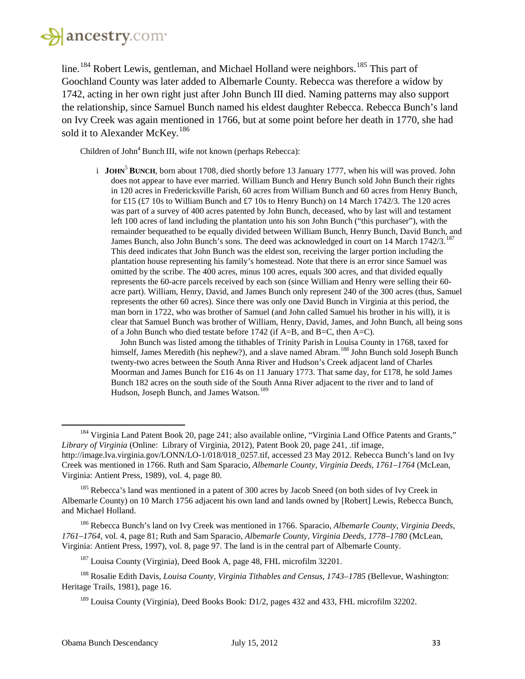# **A** ancestry.com

line.<sup>[184](#page-32-0)</sup> Robert Lewis, gentleman, and Michael Holland were neighbors.<sup>[185](#page-32-1)</sup> This part of Goochland County was later added to Albemarle County. Rebecca was therefore a widow by 1742, acting in her own right just after John Bunch III died. Naming patterns may also support the relationship, since Samuel Bunch named his eldest daughter Rebecca. Rebecca Bunch's land on Ivy Creek was again mentioned in 1766, but at some point before her death in 1770, she had sold it to Alexander McKey.<sup>[186](#page-32-2)</sup>

Children of John<sup>4</sup> Bunch III, wife not known (perhaps Rebecca):

i **JOHN**<sup>5</sup> **BUNCH**, born about 1708, died shortly before 13 January 1777, when his will was proved. John does not appear to have ever married. William Bunch and Henry Bunch sold John Bunch their rights in 120 acres in Fredericksville Parish, 60 acres from William Bunch and 60 acres from Henry Bunch, for £15 (£7 10s to William Bunch and £7 10s to Henry Bunch) on 14 March 1742/3. The 120 acres was part of a survey of 400 acres patented by John Bunch, deceased, who by last will and testament left 100 acres of land including the plantation unto his son John Bunch ("this purchaser"), with the remainder bequeathed to be equally divided between William Bunch, Henry Bunch, David Bunch, and James Bunch, also John Bunch's sons. The deed was acknowledged in court on 14 March 1742/3.<sup>[187](#page-32-3)</sup> This deed indicates that John Bunch was the eldest son, receiving the larger portion including the plantation house representing his family's homestead. Note that there is an error since Samuel was omitted by the scribe. The 400 acres, minus 100 acres, equals 300 acres, and that divided equally represents the 60-acre parcels received by each son (since William and Henry were selling their 60 acre part). William, Henry, David, and James Bunch only represent 240 of the 300 acres (thus, Samuel represents the other 60 acres). Since there was only one David Bunch in Virginia at this period, the man born in 1722, who was brother of Samuel (and John called Samuel his brother in his will), it is clear that Samuel Bunch was brother of William, Henry, David, James, and John Bunch, all being sons of a John Bunch who died testate before 1742 (if A=B, and B=C, then A=C).

John Bunch was listed among the tithables of Trinity Parish in Louisa County in 1768, taxed for himself, James Meredith (his nephew?), and a slave named Abram.<sup>[188](#page-32-4)</sup> John Bunch sold Joseph Bunch twenty-two acres between the South Anna River and Hudson's Creek adjacent land of Charles Moorman and James Bunch for £16 4s on 11 January 1773. That same day, for £178, he sold James Bunch 182 acres on the south side of the South Anna River adjacent to the river and to land of Hudson, Joseph Bunch, and James Watson.<sup>[189](#page-32-5)</sup>

<span id="page-32-2"></span><sup>186</sup> Rebecca Bunch's land on Ivy Creek was mentioned in 1766. Sparacio, *Albemarle County, Virginia Deeds, 1761–1764*, vol. 4, page 81; Ruth and Sam Sparacio, *Albemarle County, Virginia Deeds, 1778–1780* (McLean, Virginia: Antient Press, 1997), vol. 8, page 97. The land is in the central part of Albemarle County.

<span id="page-32-0"></span><sup>&</sup>lt;sup>184</sup> Virginia Land Patent Book 20, page 241; also available online, "Virginia Land Office Patents and Grants," *Library of Virginia* (Online: Library of Virginia, 2012), Patent Book 20, page 241, .tif image, http://image.lva.virginia.gov/LONN/LO-1/018/018\_0257.tif, accessed 23 May 2012. Rebecca Bunch's land on Ivy Creek was mentioned in 1766. Ruth and Sam Sparacio, *Albemarle County, Virginia Deeds, 1761–1764* (McLean, Virginia: Antient Press, 1989), vol. 4, page 80.

<span id="page-32-1"></span><sup>&</sup>lt;sup>185</sup> Rebecca's land was mentioned in a patent of 300 acres by Jacob Sneed (on both sides of Ivy Creek in Albemarle County) on 10 March 1756 adjacent his own land and lands owned by [Robert] Lewis, Rebecca Bunch, and Michael Holland.

<sup>&</sup>lt;sup>187</sup> Louisa County (Virginia), Deed Book A, page 48, FHL microfilm 32201.

<span id="page-32-5"></span><span id="page-32-4"></span><span id="page-32-3"></span><sup>188</sup> Rosalie Edith Davis, *Louisa County, Virginia Tithables and Census, 1743–1785* (Bellevue, Washington: Heritage Trails, 1981), page 16.

<sup>&</sup>lt;sup>189</sup> Louisa County (Virginia), Deed Books Book: D1/2, pages 432 and 433, FHL microfilm 32202.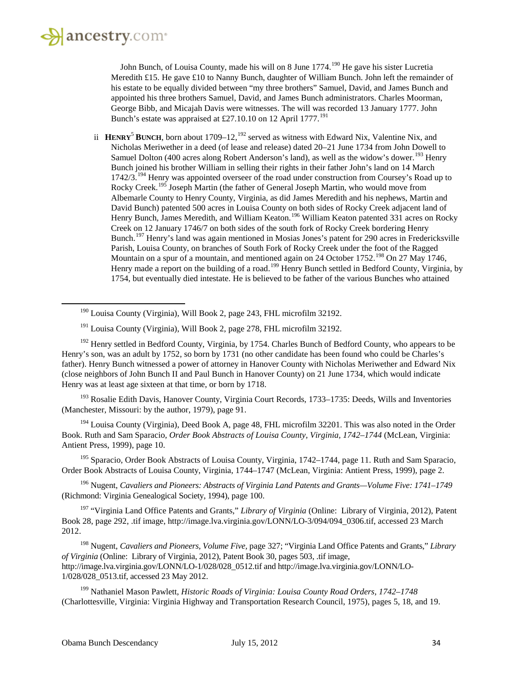<span id="page-33-0"></span>l

John Bunch, of Louisa County, made his will on 8 June 1774.<sup>[190](#page-33-0)</sup> He gave his sister Lucretia Meredith £15. He gave £10 to Nanny Bunch, daughter of William Bunch. John left the remainder of his estate to be equally divided between "my three brothers" Samuel, David, and James Bunch and appointed his three brothers Samuel, David, and James Bunch administrators. Charles Moorman, George Bibb, and Micajah Davis were witnesses. The will was recorded 13 January 1777. John Bunch's estate was appraised at £27.10.10 on 12 April 1777.<sup>[191](#page-33-1)</sup>

ii **HENRY<sup>5</sup> BUNCH**, born about 1709–12,<sup>[192](#page-33-2)</sup> served as witness with Edward Nix, Valentine Nix, and Nicholas Meriwether in a deed (of lease and release) dated 20–21 June 1734 from John Dowell to Samuel Dolton (400 acres along Robert Anderson's land), as well as the widow's dower.<sup>[193](#page-33-3)</sup> Henry Bunch joined his brother William in selling their rights in their father John's land on 14 March 1742/3.<sup>[194](#page-33-4)</sup> Henry was appointed overseer of the road under construction from Coursey's Road up to Rocky Creek.<sup>[195](#page-33-5)</sup> Joseph Martin (the father of General Joseph Martin, who would move from Albemarle County to Henry County, Virginia, as did James Meredith and his nephews, Martin and David Bunch) patented 500 acres in Louisa County on both sides of Rocky Creek adjacent land of Henry Bunch, James Meredith, and William Keaton.<sup>[196](#page-33-6)</sup> William Keaton patented 331 acres on Rocky Creek on 12 January 1746/7 on both sides of the south fork of Rocky Creek bordering Henry Bunch.[197](#page-33-7) Henry's land was again mentioned in Mosias Jones's patent for 290 acres in Fredericksville Parish, Louisa County, on branches of South Fork of Rocky Creek under the foot of the Ragged Mountain on a spur of a mountain, and mentioned again on 24 October 1752.<sup>[198](#page-33-8)</sup> On 27 May 1746, Henry made a report on the building of a road.<sup>[199](#page-33-9)</sup> Henry Bunch settled in Bedford County, Virginia, by 1754, but eventually died intestate. He is believed to be father of the various Bunches who attained

<span id="page-33-3"></span><sup>193</sup> Rosalie Edith Davis, Hanover County, Virginia Court Records, 1733–1735: Deeds, Wills and Inventories (Manchester, Missouri: by the author, 1979), page 91.

<span id="page-33-4"></span><sup>194</sup> Louisa County (Virginia), Deed Book A, page 48, FHL microfilm 32201. This was also noted in the Order Book. Ruth and Sam Sparacio, *Order Book Abstracts of Louisa County, Virginia, 1742–1744* (McLean, Virginia: Antient Press, 1999), page 10.

<span id="page-33-5"></span><sup>195</sup> Sparacio, Order Book Abstracts of Louisa County, Virginia, 1742–1744, page 11. Ruth and Sam Sparacio, Order Book Abstracts of Louisa County, Virginia, 1744–1747 (McLean, Virginia: Antient Press, 1999), page 2.

<span id="page-33-6"></span><sup>196</sup> Nugent, *Cavaliers and Pioneers: Abstracts of Virginia Land Patents and Grants—Volume Five: 1741–1749* (Richmond: Virginia Genealogical Society, 1994), page 100.

<span id="page-33-7"></span><sup>197</sup> "Virginia Land Office Patents and Grants," *Library of Virginia* (Online: Library of Virginia, 2012), Patent Book 28, page 292, .tif image, http://image.lva.virginia.gov/LONN/LO-3/094/094\_0306.tif, accessed 23 March 2012.

<span id="page-33-8"></span><sup>198</sup> Nugent, *Cavaliers and Pioneers, Volume Five,* page 327; "Virginia Land Office Patents and Grants," *Library of Virginia* (Online: Library of Virginia, 2012), Patent Book 30, pages 503, .tif image, http://image.lva.virginia.gov/LONN/LO-1/028/028\_0512.tif and http://image.lva.virginia.gov/LONN/LO-1/028/028\_0513.tif, accessed 23 May 2012.

<span id="page-33-9"></span><sup>199</sup> Nathaniel Mason Pawlett, *Historic Roads of Virginia: Louisa County Road Orders, 1742–1748* (Charlottesville, Virginia: Virginia Highway and Transportation Research Council, 1975), pages 5, 18, and 19.

<sup>190</sup> Louisa County (Virginia), Will Book 2, page 243, FHL microfilm 32192.

<sup>&</sup>lt;sup>191</sup> Louisa County (Virginia), Will Book 2, page 278, FHL microfilm 32192.

<span id="page-33-2"></span><span id="page-33-1"></span><sup>&</sup>lt;sup>192</sup> Henry settled in Bedford County, Virginia, by 1754. Charles Bunch of Bedford County, who appears to be Henry's son, was an adult by 1752, so born by 1731 (no other candidate has been found who could be Charles's father). Henry Bunch witnessed a power of attorney in Hanover County with Nicholas Meriwether and Edward Nix (close neighbors of John Bunch II and Paul Bunch in Hanover County) on 21 June 1734, which would indicate Henry was at least age sixteen at that time, or born by 1718.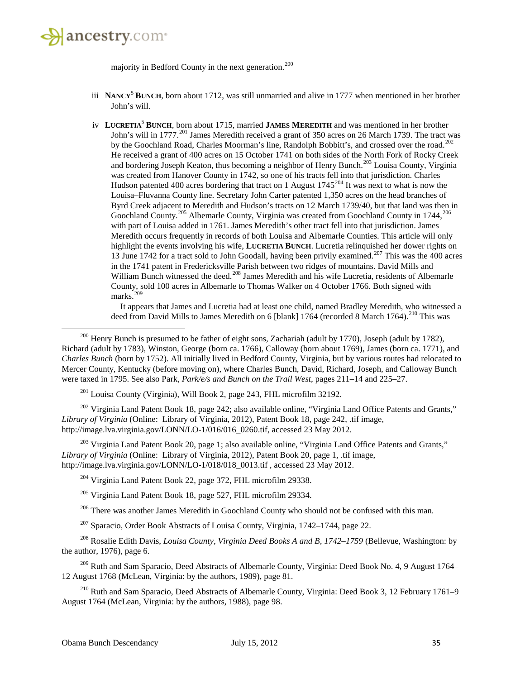

l

majority in Bedford County in the next generation.<sup>[200](#page-34-0)</sup>

- iii **NANCY**<sup>5</sup> **BUNCH**, born about 1712, was still unmarried and alive in 1777 when mentioned in her brother John's will.
- iv **LUCRETIA**<sup>5</sup> **BUNCH**, born about 1715, married **JAMES MEREDITH** and was mentioned in her brother John's will in 1777.<sup>[201](#page-34-1)</sup> James Meredith received a grant of 350 acres on 26 March 1739. The tract was by the Goochland Road, Charles Moorman's line, Randolph Bobbitt's, and crossed over the road.<sup>[202](#page-34-2)</sup> He received a grant of 400 acres on 15 October 1741 on both sides of the North Fork of Rocky Creek and bordering Joseph Keaton, thus becoming a neighbor of Henry Bunch.<sup>[203](#page-34-3)</sup> Louisa County, Virginia was created from Hanover County in 1742, so one of his tracts fell into that jurisdiction. Charles Hudson patented 400 acres bordering that tract on 1 August  $1745^{204}$  $1745^{204}$  $1745^{204}$  It was next to what is now the Louisa–Fluvanna County line. Secretary John Carter patented 1,350 acres on the head branches of Byrd Creek adjacent to Meredith and Hudson's tracts on 12 March 1739/40, but that land was then in Goochland County.<sup>[205](#page-34-5)</sup> Albemarle County, Virginia was created from Goochland County in 1744,<sup>[206](#page-34-6)</sup> with part of Louisa added in 1761. James Meredith's other tract fell into that jurisdiction. James Meredith occurs frequently in records of both Louisa and Albemarle Counties. This article will only highlight the events involving his wife, **LUCRETIA BUNCH**. Lucretia relinquished her dower rights on 13 June 1742 for a tract sold to John Goodall, having been privily examined.<sup>[207](#page-34-7)</sup> This was the 400 acres in the 1741 patent in Fredericksville Parish between two ridges of mountains. David Mills and William Bunch witnessed the deed.<sup>[208](#page-34-8)</sup> James Meredith and his wife Lucretia, residents of Albemarle County, sold 100 acres in Albemarle to Thomas Walker on 4 October 1766. Both signed with marks.<sup>[209](#page-34-9)</sup>

It appears that James and Lucretia had at least one child, named Bradley Meredith, who witnessed a deed from David Mills to James Meredith on 6 [blank] 1764 (recorded 8 March 1764).<sup>[210](#page-34-10)</sup> This was

<span id="page-34-0"></span> $^{200}$  Henry Bunch is presumed to be father of eight sons, Zachariah (adult by 1770), Joseph (adult by 1782), Richard (adult by 1783), Winston, George (born ca. 1766), Calloway (born about 1769), James (born ca. 1771), and *Charles Bunch* (born by 1752). All initially lived in Bedford County, Virginia, but by various routes had relocated to Mercer County, Kentucky (before moving on), where Charles Bunch, David, Richard, Joseph, and Calloway Bunch were taxed in 1795. See also Park, *Park/e/s and Bunch on the Trail West*, pages 211–14 and 225–27.

<sup>201</sup> Louisa County (Virginia), Will Book 2, page 243, FHL microfilm 32192.

<span id="page-34-2"></span><span id="page-34-1"></span><sup>202</sup> Virginia Land Patent Book 18, page 242; also available online, "Virginia Land Office Patents and Grants," *Library of Virginia* (Online: Library of Virginia, 2012), Patent Book 18, page 242, .tif image, http://image.lva.virginia.gov/LONN/LO-1/016/016\_0260.tif, accessed 23 May 2012.

<span id="page-34-4"></span><span id="page-34-3"></span><sup>203</sup> Virginia Land Patent Book 20, page 1; also available online, "Virginia Land Office Patents and Grants," *Library of Virginia* (Online: Library of Virginia, 2012), Patent Book 20, page 1, .tif image, http://image.lva.virginia.gov/LONN/LO-1/018/018\_0013.tif , accessed 23 May 2012.

<sup>204</sup> Virginia Land Patent Book 22, page 372, FHL microfilm 29338.

<sup>205</sup> Virginia Land Patent Book 18, page 527, FHL microfilm 29334.

<sup>206</sup> There was another James Meredith in Goochland County who should not be confused with this man.

<sup>207</sup> Sparacio, Order Book Abstracts of Louisa County, Virginia, 1742–1744, page 22.

<span id="page-34-8"></span><span id="page-34-7"></span><span id="page-34-6"></span><span id="page-34-5"></span><sup>208</sup> Rosalie Edith Davis, *Louisa County, Virginia Deed Books A and B, 1742–1759* (Bellevue, Washington: by the author, 1976), page 6.

<span id="page-34-9"></span><sup>209</sup> Ruth and Sam Sparacio, Deed Abstracts of Albemarle County, Virginia: Deed Book No. 4, 9 August 1764– 12 August 1768 (McLean, Virginia: by the authors, 1989), page 81.

<span id="page-34-10"></span><sup>210</sup> Ruth and Sam Sparacio, Deed Abstracts of Albemarle County, Virginia: Deed Book 3, 12 February 1761–9 August 1764 (McLean, Virginia: by the authors, 1988), page 98.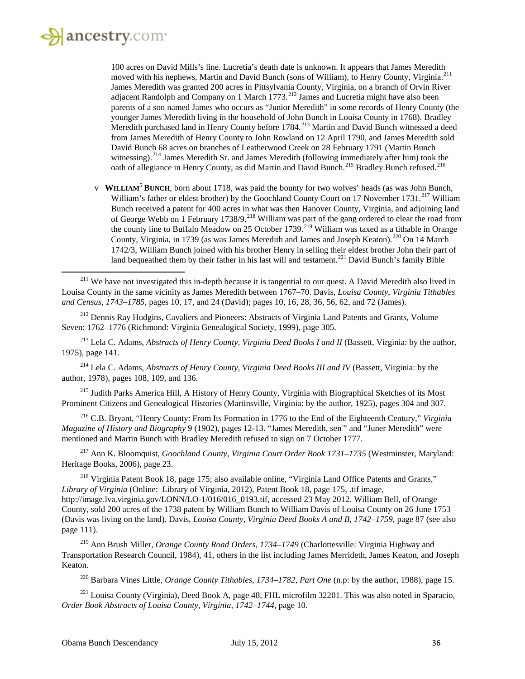$\overline{\phantom{a}}$ 

100 acres on David Mills's line. Lucretia's death date is unknown. It appears that James Meredith moved with his nephews, Martin and David Bunch (sons of William), to Henry County, Virginia.<sup>[211](#page-35-0)</sup> James Meredith was granted 200 acres in Pittsylvania County, Virginia, on a branch of Orvin River adjacent Randolph and Company on 1 March  $1773$ <sup>[212](#page-35-1)</sup> James and Lucretia might have also been parents of a son named James who occurs as "Junior Meredith" in some records of Henry County (the younger James Meredith living in the household of John Bunch in Louisa County in 1768). Bradley Meredith purchased land in Henry County before 1784.<sup>[213](#page-35-2)</sup> Martin and David Bunch witnessed a deed from James Meredith of Henry County to John Rowland on 12 April 1790, and James Meredith sold David Bunch 68 acres on branches of Leatherwood Creek on 28 February 1791 (Martin Bunch witnessing).<sup>[214](#page-35-3)</sup> James Meredith Sr. and James Meredith (following immediately after him) took the oath of allegiance in Henry County, as did Martin and David Bunch.<sup>[215](#page-35-4)</sup> Bradley Bunch refused.<sup>[216](#page-35-5)</sup>

v **WILLIAM**<sup>5</sup> **BUNCH**, born about 1718, was paid the bounty for two wolves' heads (as was John Bunch, William's father or eldest brother) by the Goochland County Court on 17 November 1731.<sup>[217](#page-35-6)</sup> William Bunch received a patent for 400 acres in what was then Hanover County, Virginia, and adjoining land of George Webb on 1 February 1738/9.<sup>[218](#page-35-7)</sup> William was part of the gang ordered to clear the road from the county line to Buffalo Meadow on 25 October 1739.<sup>[219](#page-35-8)</sup> William was taxed as a tithable in Orange County, Virginia, in 1739 (as was James Meredith and James and Joseph Keaton).<sup>[220](#page-35-9)</sup> On 14 March 1742/3, William Bunch joined with his brother Henry in selling their eldest brother John their part of land bequeathed them by their father in his last will and testament.<sup>[221](#page-35-10)</sup> David Bunch's family Bible

<span id="page-35-0"></span> $211$  We have not investigated this in-depth because it is tangential to our quest. A David Meredith also lived in Louisa County in the same vicinity as James Meredith between 1767–70. Davis, *Louisa County, Virginia Tithables and Census, 1743–1785*, pages 10, 17, and 24 (David); pages 10, 16, 28, 36, 56, 62, and 72 (James).

<span id="page-35-1"></span><sup>212</sup> Dennis Ray Hudgins, Cavaliers and Pioneers: Abstracts of Virginia Land Patents and Grants, Volume Seven: 1762–1776 (Richmond: Virginia Genealogical Society, 1999), page 305.

<span id="page-35-2"></span><sup>213</sup> Lela C. Adams, *Abstracts of Henry County, Virginia Deed Books I and II* (Bassett, Virginia: by the author, 1975), page 141.

<span id="page-35-3"></span><sup>214</sup> Lela C. Adams, *Abstracts of Henry County, Virginia Deed Books III and IV* (Bassett, Virginia: by the author, 1978), pages 108, 109, and 136.

<span id="page-35-4"></span><sup>215</sup> Judith Parks America Hill, A History of Henry County, Virginia with Biographical Sketches of its Most Prominent Citizens and Genealogical Histories (Martinsville, Virginia: by the author, 1925), pages 304 and 307.

<span id="page-35-5"></span><sup>216</sup> C.B. Bryant, "Henry County: From Its Formation in 1776 to the End of the Eighteenth Century," *Virginia*  Magazine of History and Biography 9 (1902), pages 12-13. "James Meredith, sen<sup>r</sup>" and "Juner Meredith" were mentioned and Martin Bunch with Bradley Meredith refused to sign on 7 October 1777.

<span id="page-35-6"></span><sup>217</sup> Ann K. Bloomquist, *Goochland County, Virginia Court Order Book 1731–1735* (Westminster, Maryland: Heritage Books, 2006), page 23.

<span id="page-35-7"></span><sup>218</sup> Virginia Patent Book 18, page 175; also available online, "Virginia Land Office Patents and Grants," *Library of Virginia* (Online: Library of Virginia, 2012), Patent Book 18, page 175, .tif image, http://image.lva.virginia.gov/LONN/LO-1/016/016\_0193.tif, accessed 23 May 2012. William Bell, of Orange County, sold 200 acres of the 1738 patent by William Bunch to William Davis of Louisa County on 26 June 1753 (Davis was living on the land). Davis, *Louisa County, Virginia Deed Books A and B, 1742–1759*, page 87 (see also page 111).

<span id="page-35-8"></span><sup>219</sup> Ann Brush Miller, *Orange County Road Orders, 1734–1749* (Charlottesville: Virginia Highway and Transportation Research Council, 1984), 41, others in the list including James Merrideth, James Keaton, and Joseph Keaton.

<sup>220</sup> Barbara Vines Little, *Orange County Tithables, 1734–1782, Part One* (n.p: by the author, 1988), page 15.

<span id="page-35-10"></span><span id="page-35-9"></span><sup>221</sup> Louisa County (Virginia), Deed Book A, page 48, FHL microfilm 32201. This was also noted in Sparacio, *Order Book Abstracts of Louisa County, Virginia, 1742–1744*, page 10.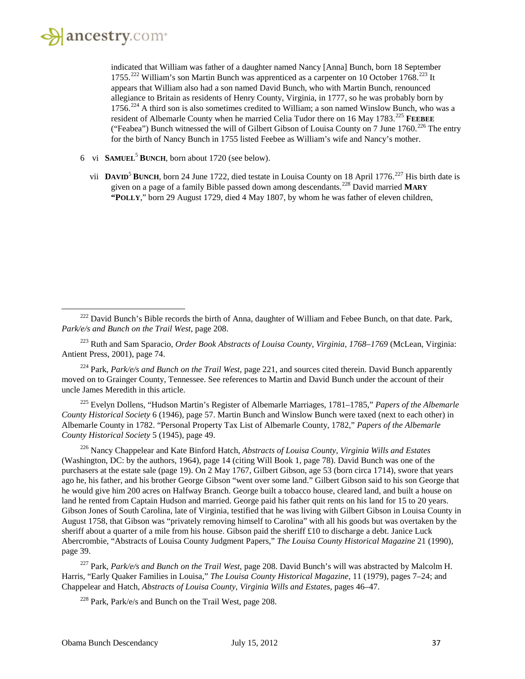$\overline{\phantom{a}}$ 

indicated that William was father of a daughter named Nancy [Anna] Bunch, born 18 September 1755.<sup>[222](#page-36-0)</sup> William's son Martin Bunch was apprenticed as a carpenter on 10 October 1768.<sup>[223](#page-36-1)</sup> It appears that William also had a son named David Bunch, who with Martin Bunch, renounced allegiance to Britain as residents of Henry County, Virginia, in 1777, so he was probably born by 1756.<sup>[224](#page-36-2)</sup> A third son is also sometimes credited to William; a son named Winslow Bunch, who was a resident of Albemarle County when he married Celia Tudor there on 16 May 1783.<sup>[225](#page-36-3)</sup> **FEEBEE** ("Feabea") Bunch witnessed the will of Gilbert Gibson of Louisa County on 7 June 1760.<sup>[226](#page-36-4)</sup> The entry for the birth of Nancy Bunch in 1755 listed Feebee as William's wife and Nancy's mother.

- 6 vi **SAMUEL**<sup>5</sup> **BUNCH**, born about 1720 (see below).
	- vii **DAVID<sup>5</sup> BUNCH**, born 24 June 1722, died testate in Louisa County on 18 April 1776.<sup>[227](#page-36-5)</sup> His birth date is given on a page of a family Bible passed down among descendants.[228](#page-36-6) David married **MARY "POLLY**," born 29 August 1729, died 4 May 1807, by whom he was father of eleven children,

<span id="page-36-1"></span><sup>223</sup> Ruth and Sam Sparacio, *Order Book Abstracts of Louisa County, Virginia, 1768–1769* (McLean, Virginia: Antient Press, 2001), page 74.

<span id="page-36-2"></span><sup>224</sup> Park, *Park/e/s and Bunch on the Trail West*, page 221, and sources cited therein. David Bunch apparently moved on to Grainger County, Tennessee. See references to Martin and David Bunch under the account of their uncle James Meredith in this article.

<span id="page-36-3"></span><sup>225</sup> Evelyn Dollens, "Hudson Martin's Register of Albemarle Marriages, 1781–1785," *Papers of the Albemarle County Historical Society* 6 (1946), page 57. Martin Bunch and Winslow Bunch were taxed (next to each other) in Albemarle County in 1782. "Personal Property Tax List of Albemarle County, 1782," *Papers of the Albemarle County Historical Society* 5 (1945), page 49.

<span id="page-36-4"></span><sup>226</sup> Nancy Chappelear and Kate Binford Hatch, *Abstracts of Louisa County, Virginia Wills and Estates* (Washington, DC: by the authors, 1964), page 14 (citing Will Book 1, page 78). David Bunch was one of the purchasers at the estate sale (page 19). On 2 May 1767, Gilbert Gibson, age 53 (born circa 1714), swore that years ago he, his father, and his brother George Gibson "went over some land." Gilbert Gibson said to his son George that he would give him 200 acres on Halfway Branch. George built a tobacco house, cleared land, and built a house on land he rented from Captain Hudson and married. George paid his father quit rents on his land for 15 to 20 years. Gibson Jones of South Carolina, late of Virginia, testified that he was living with Gilbert Gibson in Louisa County in August 1758, that Gibson was "privately removing himself to Carolina" with all his goods but was overtaken by the sheriff about a quarter of a mile from his house. Gibson paid the sheriff £10 to discharge a debt. Janice Luck Abercrombie, "Abstracts of Louisa County Judgment Papers," *The Louisa County Historical Magazine* 21 (1990), page 39.

<span id="page-36-6"></span><span id="page-36-5"></span><sup>227</sup> Park, *Park/e/s and Bunch on the Trail West,* page 208. David Bunch's will was abstracted by Malcolm H. Harris, "Early Quaker Families in Louisa," *The Louisa County Historical Magazine*, 11 (1979), pages 7–24; and Chappelear and Hatch, *Abstracts of Louisa County, Virginia Wills and Estates*, pages 46–47.

<sup>228</sup> Park, Park/e/s and Bunch on the Trail West, page 208.

<span id="page-36-0"></span> $^{222}$  David Bunch's Bible records the birth of Anna, daughter of William and Febee Bunch, on that date. Park, *Park/e/s and Bunch on the Trail West*, page 208.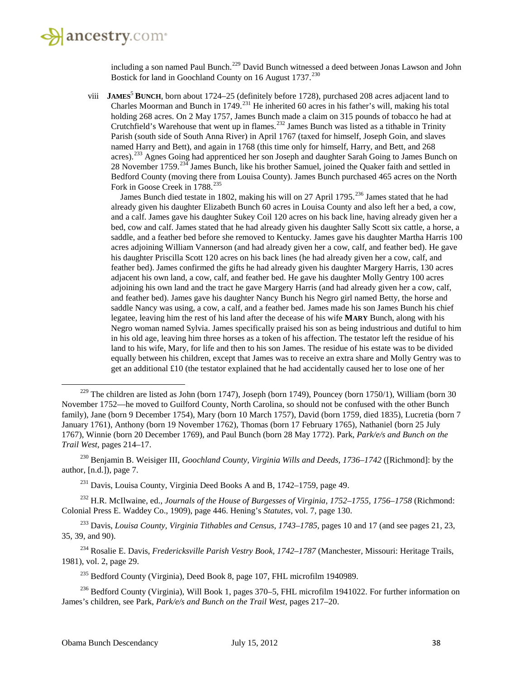including a son named Paul Bunch.<sup>[229](#page-37-0)</sup> David Bunch witnessed a deed between Jonas Lawson and John Bostick for land in Goochland County on 16 August 1737.<sup>[230](#page-37-1)</sup>

viii **JAMES**<sup>5</sup> **BUNCH**, born about 1724–25 (definitely before 1728), purchased 208 acres adjacent land to Charles Moorman and Bunch in  $1749$ <sup>[231](#page-37-2)</sup> He inherited 60 acres in his father's will, making his total holding 268 acres. On 2 May 1757, James Bunch made a claim on 315 pounds of tobacco he had at Crutchfield's Warehouse that went up in flames.<sup>[232](#page-37-3)</sup> James Bunch was listed as a tithable in Trinity Parish (south side of South Anna River) in April 1767 (taxed for himself, Joseph Goin, and slaves named Harry and Bett), and again in 1768 (this time only for himself, Harry, and Bett, and 268 acres).[233](#page-37-4) Agnes Going had apprenticed her son Joseph and daughter Sarah Going to James Bunch on 28 November 1759.<sup>[234](#page-37-5)</sup> James Bunch, like his brother Samuel, joined the Quaker faith and settled in Bedford County (moving there from Louisa County). James Bunch purchased 465 acres on the North Fork in Goose Creek in 1788.<sup>[235](#page-37-6)</sup>

James Bunch died testate in 1802, making his will on 27 April 1795.<sup>[236](#page-37-7)</sup> James stated that he had already given his daughter Elizabeth Bunch 60 acres in Louisa County and also left her a bed, a cow, and a calf. James gave his daughter Sukey Coil 120 acres on his back line, having already given her a bed, cow and calf. James stated that he had already given his daughter Sally Scott six cattle, a horse, a saddle, and a feather bed before she removed to Kentucky. James gave his daughter Martha Harris 100 acres adjoining William Vannerson (and had already given her a cow, calf, and feather bed). He gave his daughter Priscilla Scott 120 acres on his back lines (he had already given her a cow, calf, and feather bed). James confirmed the gifts he had already given his daughter Margery Harris, 130 acres adjacent his own land, a cow, calf, and feather bed. He gave his daughter Molly Gentry 100 acres adjoining his own land and the tract he gave Margery Harris (and had already given her a cow, calf, and feather bed). James gave his daughter Nancy Bunch his Negro girl named Betty, the horse and saddle Nancy was using, a cow, a calf, and a feather bed. James made his son James Bunch his chief legatee, leaving him the rest of his land after the decease of his wife **MARY** Bunch, along with his Negro woman named Sylvia. James specifically praised his son as being industrious and dutiful to him in his old age, leaving him three horses as a token of his affection. The testator left the residue of his land to his wife, Mary, for life and then to his son James. The residue of his estate was to be divided equally between his children, except that James was to receive an extra share and Molly Gentry was to get an additional £10 (the testator explained that he had accidentally caused her to lose one of her

<span id="page-37-1"></span><sup>230</sup> Benjamin B. Weisiger III, *Goochland County, Virginia Wills and Deeds, 1736–1742* ([Richmond]: by the author, [n.d.]), page 7.

<span id="page-37-3"></span><span id="page-37-2"></span><sup>232</sup> H.R. McIlwaine, ed., *Journals of the House of Burgesses of Virginia, 1752–1755, 1756–1758* (Richmond: Colonial Press E. Waddey Co., 1909), page 446. Hening's *Statutes*, vol. 7, page 130.

<span id="page-37-4"></span><sup>233</sup> Davis, *Louisa County, Virginia Tithables and Census, 1743–1785*, pages 10 and 17 (and see pages 21, 23, 35, 39, and 90).

<span id="page-37-5"></span><sup>234</sup> Rosalie E. Davis, *Fredericksville Parish Vestry Book, 1742–1787* (Manchester, Missouri: Heritage Trails, 1981), vol. 2, page 29.

 $^{235}$  Bedford County (Virginia), Deed Book 8, page 107, FHL microfilm 1940989.

<span id="page-37-7"></span><span id="page-37-6"></span><sup>236</sup> Bedford County (Virginia), Will Book 1, pages 370–5, FHL microfilm 1941022. For further information on James's children, see Park, *Park/e/s and Bunch on the Trail West*, pages 217–20.

<span id="page-37-0"></span> $229$  The children are listed as John (born 1747), Joseph (born 1749), Pouncey (born 1750/1), William (born 30 November 1752—he moved to Guilford County, North Carolina, so should not be confused with the other Bunch family), Jane (born 9 December 1754), Mary (born 10 March 1757), David (born 1759, died 1835), Lucretia (born 7 January 1761), Anthony (born 19 November 1762), Thomas (born 17 February 1765), Nathaniel (born 25 July 1767), Winnie (born 20 December 1769), and Paul Bunch (born 28 May 1772). Park, *Park/e/s and Bunch on the Trail West*, pages 214–17.

<sup>&</sup>lt;sup>231</sup> Davis, Louisa County, Virginia Deed Books A and B, 1742–1759, page 49.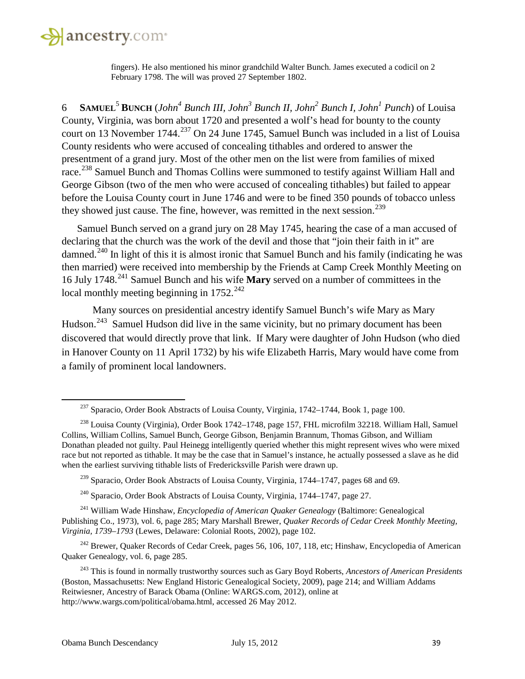

fingers). He also mentioned his minor grandchild Walter Bunch. James executed a codicil on 2 February 1798. The will was proved 27 September 1802.

6 **SAMUEL**<sup>5</sup> **BUNCH** (*John4 Bunch III, John3 Bunch II, John2 Bunch I, John1 Punch*) of Louisa County, Virginia, was born about 1720 and presented a wolf's head for bounty to the county court on 13 November 1744.<sup>[237](#page-38-0)</sup> On 24 June 1745, Samuel Bunch was included in a list of Louisa County residents who were accused of concealing tithables and ordered to answer the presentment of a grand jury. Most of the other men on the list were from families of mixed race.<sup>[238](#page-38-1)</sup> Samuel Bunch and Thomas Collins were summoned to testify against William Hall and George Gibson (two of the men who were accused of concealing tithables) but failed to appear before the Louisa County court in June 1746 and were to be fined 350 pounds of tobacco unless they showed just cause. The fine, however, was remitted in the next session.<sup>[239](#page-38-2)</sup>

Samuel Bunch served on a grand jury on 28 May 1745, hearing the case of a man accused of declaring that the church was the work of the devil and those that "join their faith in it" are damned.<sup>[240](#page-38-3)</sup> In light of this it is almost ironic that Samuel Bunch and his family (indicating he was then married) were received into membership by the Friends at Camp Creek Monthly Meeting on 16 July 1748.[241](#page-38-4) Samuel Bunch and his wife **Mary** served on a number of committees in the local monthly meeting beginning in  $1752.^{242}$  $1752.^{242}$  $1752.^{242}$ 

Many sources on presidential ancestry identify Samuel Bunch's wife Mary as Mary Hudson.<sup>[243](#page-38-6)</sup> Samuel Hudson did live in the same vicinity, but no primary document has been discovered that would directly prove that link. If Mary were daughter of John Hudson (who died in Hanover County on 11 April 1732) by his wife Elizabeth Harris, Mary would have come from a family of prominent local landowners.

<span id="page-38-5"></span><sup>242</sup> Brewer, Quaker Records of Cedar Creek, pages 56, 106, 107, 118, etc; Hinshaw, Encyclopedia of American Quaker Genealogy, vol. 6, page 285.

<sup>237</sup> Sparacio, Order Book Abstracts of Louisa County, Virginia, 1742–1744, Book 1, page 100.

<span id="page-38-1"></span><span id="page-38-0"></span><sup>&</sup>lt;sup>238</sup> Louisa County (Virginia), Order Book 1742–1748, page 157, FHL microfilm 32218. William Hall, Samuel Collins, William Collins, Samuel Bunch, George Gibson, Benjamin Brannum, Thomas Gibson, and William Donathan pleaded not guilty. Paul Heinegg intelligently queried whether this might represent wives who were mixed race but not reported as tithable. It may be the case that in Samuel's instance, he actually possessed a slave as he did when the earliest surviving tithable lists of Fredericksville Parish were drawn up.

<sup>&</sup>lt;sup>239</sup> Sparacio, Order Book Abstracts of Louisa County, Virginia, 1744–1747, pages 68 and 69.

<sup>240</sup> Sparacio, Order Book Abstracts of Louisa County, Virginia, 1744–1747, page 27.

<span id="page-38-4"></span><span id="page-38-3"></span><span id="page-38-2"></span><sup>241</sup> William Wade Hinshaw, *Encyclopedia of American Quaker Genealogy* (Baltimore: Genealogical Publishing Co., 1973), vol. 6, page 285; Mary Marshall Brewer, *Quaker Records of Cedar Creek Monthly Meeting, Virginia, 1739–1793* (Lewes, Delaware: Colonial Roots, 2002), page 102.

<span id="page-38-6"></span><sup>243</sup> This is found in normally trustworthy sources such as Gary Boyd Roberts, *Ancestors of American Presidents* (Boston, Massachusetts: New England Historic Genealogical Society, 2009), page 214; and William Addams Reitwiesner, Ancestry of Barack Obama (Online: WARGS.com, 2012), online at http://www.wargs.com/political/obama.html, accessed 26 May 2012.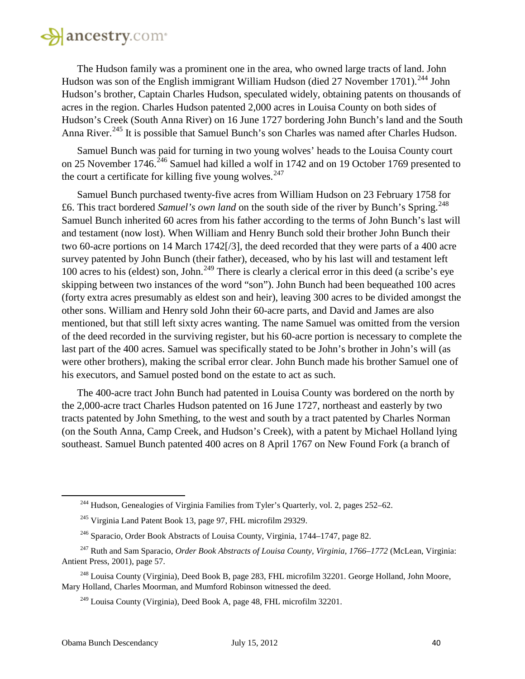# ancestry.com

The Hudson family was a prominent one in the area, who owned large tracts of land. John Hudson was son of the English immigrant William Hudson (died 27 November 1701).<sup>[244](#page-39-0)</sup> John Hudson's brother, Captain Charles Hudson, speculated widely, obtaining patents on thousands of acres in the region. Charles Hudson patented 2,000 acres in Louisa County on both sides of Hudson's Creek (South Anna River) on 16 June 1727 bordering John Bunch's land and the South Anna River.<sup>[245](#page-39-1)</sup> It is possible that Samuel Bunch's son Charles was named after Charles Hudson.

Samuel Bunch was paid for turning in two young wolves' heads to the Louisa County court on 25 November 1746.<sup>[246](#page-39-2)</sup> Samuel had killed a wolf in 1742 and on 19 October 1769 presented to the court a certificate for killing five young wolves. $247$ 

Samuel Bunch purchased twenty-five acres from William Hudson on 23 February 1758 for £6. This tract bordered *Samuel's own land* on the south side of the river by Bunch's Spring.<sup>[248](#page-39-4)</sup> Samuel Bunch inherited 60 acres from his father according to the terms of John Bunch's last will and testament (now lost). When William and Henry Bunch sold their brother John Bunch their two 60-acre portions on 14 March 1742[/3], the deed recorded that they were parts of a 400 acre survey patented by John Bunch (their father), deceased, who by his last will and testament left 100 acres to his (eldest) son, John.<sup>[249](#page-39-5)</sup> There is clearly a clerical error in this deed (a scribe's eye skipping between two instances of the word "son"). John Bunch had been bequeathed 100 acres (forty extra acres presumably as eldest son and heir), leaving 300 acres to be divided amongst the other sons. William and Henry sold John their 60-acre parts, and David and James are also mentioned, but that still left sixty acres wanting. The name Samuel was omitted from the version of the deed recorded in the surviving register, but his 60-acre portion is necessary to complete the last part of the 400 acres. Samuel was specifically stated to be John's brother in John's will (as were other brothers), making the scribal error clear. John Bunch made his brother Samuel one of his executors, and Samuel posted bond on the estate to act as such.

The 400-acre tract John Bunch had patented in Louisa County was bordered on the north by the 2,000-acre tract Charles Hudson patented on 16 June 1727, northeast and easterly by two tracts patented by John Smething, to the west and south by a tract patented by Charles Norman (on the South Anna, Camp Creek, and Hudson's Creek), with a patent by Michael Holland lying southeast. Samuel Bunch patented 400 acres on 8 April 1767 on New Found Fork (a branch of

<sup>&</sup>lt;sup>244</sup> Hudson, Genealogies of Virginia Families from Tyler's Quarterly, vol. 2, pages 252–62.

<sup>245</sup> Virginia Land Patent Book 13, page 97, FHL microfilm 29329.

<sup>246</sup> Sparacio, Order Book Abstracts of Louisa County, Virginia, 1744–1747, page 82.

<span id="page-39-3"></span><span id="page-39-2"></span><span id="page-39-1"></span><span id="page-39-0"></span><sup>247</sup> Ruth and Sam Sparacio, *Order Book Abstracts of Louisa County, Virginia, 1766–1772* (McLean, Virginia: Antient Press, 2001), page 57.

<span id="page-39-5"></span><span id="page-39-4"></span><sup>&</sup>lt;sup>248</sup> Louisa County (Virginia), Deed Book B, page 283, FHL microfilm 32201. George Holland, John Moore, Mary Holland, Charles Moorman, and Mumford Robinson witnessed the deed.

 $^{249}$  Louisa County (Virginia), Deed Book A, page 48, FHL microfilm 32201.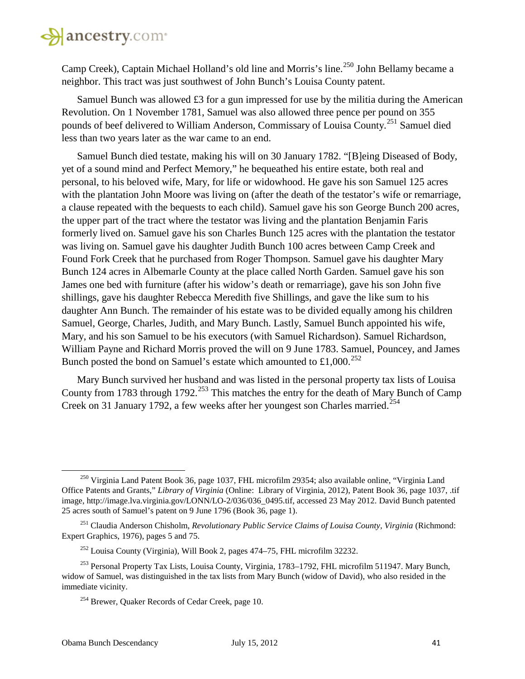Camp Creek), Captain Michael Holland's old line and Morris's line.<sup>[250](#page-40-0)</sup> John Bellamy became a neighbor. This tract was just southwest of John Bunch's Louisa County patent.

Samuel Bunch was allowed £3 for a gun impressed for use by the militia during the American Revolution. On 1 November 1781, Samuel was also allowed three pence per pound on 355 pounds of beef delivered to William Anderson, Commissary of Louisa County.[251](#page-40-1) Samuel died less than two years later as the war came to an end.

Samuel Bunch died testate, making his will on 30 January 1782. "[B]eing Diseased of Body, yet of a sound mind and Perfect Memory," he bequeathed his entire estate, both real and personal, to his beloved wife, Mary, for life or widowhood. He gave his son Samuel 125 acres with the plantation John Moore was living on (after the death of the testator's wife or remarriage, a clause repeated with the bequests to each child). Samuel gave his son George Bunch 200 acres, the upper part of the tract where the testator was living and the plantation Benjamin Faris formerly lived on. Samuel gave his son Charles Bunch 125 acres with the plantation the testator was living on. Samuel gave his daughter Judith Bunch 100 acres between Camp Creek and Found Fork Creek that he purchased from Roger Thompson. Samuel gave his daughter Mary Bunch 124 acres in Albemarle County at the place called North Garden. Samuel gave his son James one bed with furniture (after his widow's death or remarriage), gave his son John five shillings, gave his daughter Rebecca Meredith five Shillings, and gave the like sum to his daughter Ann Bunch. The remainder of his estate was to be divided equally among his children Samuel, George, Charles, Judith, and Mary Bunch. Lastly, Samuel Bunch appointed his wife, Mary, and his son Samuel to be his executors (with Samuel Richardson). Samuel Richardson, William Payne and Richard Morris proved the will on 9 June 1783. Samuel, Pouncey, and James Bunch posted the bond on Samuel's estate which amounted to £1,000.<sup>[252](#page-40-2)</sup>

Mary Bunch survived her husband and was listed in the personal property tax lists of Louisa County from 1783 through 1792.<sup>[253](#page-40-3)</sup> This matches the entry for the death of Mary Bunch of Camp Creek on 31 January 1792, a few weeks after her youngest son Charles married.<sup>[254](#page-40-4)</sup>

<span id="page-40-0"></span><sup>&</sup>lt;sup>250</sup> Virginia Land Patent Book 36, page 1037, FHL microfilm 29354; also available online, "Virginia Land Office Patents and Grants," *Library of Virginia* (Online: Library of Virginia, 2012), Patent Book 36, page 1037, .tif image, http://image.lva.virginia.gov/LONN/LO-2/036/036\_0495.tif, accessed 23 May 2012. David Bunch patented 25 acres south of Samuel's patent on 9 June 1796 (Book 36, page 1).

<span id="page-40-1"></span><sup>&</sup>lt;sup>251</sup> Claudia Anderson Chisholm, *Revolutionary Public Service Claims of Louisa County, Virginia (Richmond:* Expert Graphics, 1976), pages 5 and 75.

 $^{252}$  Louisa County (Virginia), Will Book 2, pages 474–75, FHL microfilm 32232.

<span id="page-40-4"></span><span id="page-40-3"></span><span id="page-40-2"></span><sup>253</sup> Personal Property Tax Lists, Louisa County, Virginia, 1783–1792, FHL microfilm 511947. Mary Bunch, widow of Samuel, was distinguished in the tax lists from Mary Bunch (widow of David), who also resided in the immediate vicinity.

<sup>&</sup>lt;sup>254</sup> Brewer, Quaker Records of Cedar Creek, page 10.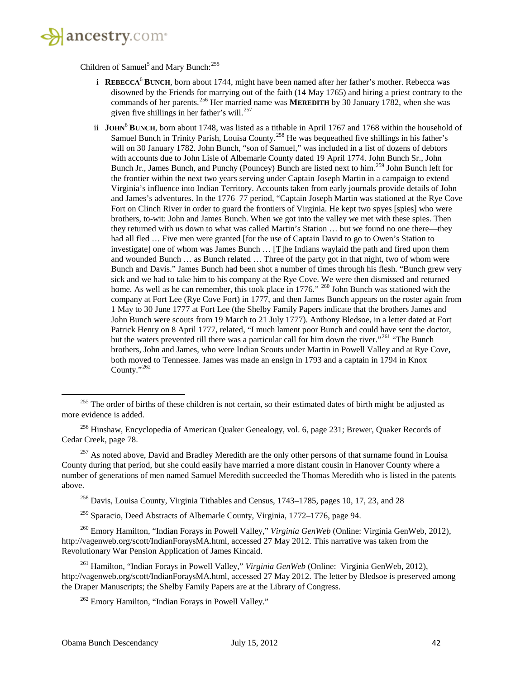

Children of Samuel<sup>5</sup> and Mary Bunch:<sup>[255](#page-41-0)</sup>

- i **REBECCA**<sup>6</sup> **BUNCH**, born about 1744, might have been named after her father's mother. Rebecca was disowned by the Friends for marrying out of the faith (14 May 1765) and hiring a priest contrary to the commands of her parents.<sup>[256](#page-41-1)</sup> Her married name was **MEREDITH** by 30 January 1782, when she was given five shillings in her father's will. $^{257}$  $^{257}$  $^{257}$
- ii **JOHN<sup>6</sup> BUNCH**, born about 1748, was listed as a tithable in April 1767 and 1768 within the household of Samuel Bunch in Trinity Parish, Louisa County.<sup>[258](#page-41-3)</sup> He was bequeathed five shillings in his father's will on 30 January 1782. John Bunch, "son of Samuel," was included in a list of dozens of debtors with accounts due to John Lisle of Albemarle County dated 19 April 1774. John Bunch Sr., John Bunch Jr., James Bunch, and Punchy (Pouncey) Bunch are listed next to him.<sup>[259](#page-41-4)</sup> John Bunch left for the frontier within the next two years serving under Captain Joseph Martin in a campaign to extend Virginia's influence into Indian Territory. Accounts taken from early journals provide details of John and James's adventures. In the 1776–77 period, "Captain Joseph Martin was stationed at the Rye Cove Fort on Clinch River in order to guard the frontiers of Virginia. He kept two spyes [spies] who were brothers, to-wit: John and James Bunch. When we got into the valley we met with these spies. Then they returned with us down to what was called Martin's Station … but we found no one there—they had all fled ... Five men were granted [for the use of Captain David to go to Owen's Station to investigate] one of whom was James Bunch … [T]he Indians waylaid the path and fired upon them and wounded Bunch … as Bunch related … Three of the party got in that night, two of whom were Bunch and Davis." James Bunch had been shot a number of times through his flesh. "Bunch grew very sick and we had to take him to his company at the Rye Cove. We were then dismissed and returned home. As well as he can remember, this took place in 1776." <sup>[260](#page-41-5)</sup> John Bunch was stationed with the company at Fort Lee (Rye Cove Fort) in 1777, and then James Bunch appears on the roster again from 1 May to 30 June 1777 at Fort Lee (the Shelby Family Papers indicate that the brothers James and John Bunch were scouts from 19 March to 21 July 1777). Anthony Bledsoe, in a letter dated at Fort Patrick Henry on 8 April 1777, related, "I much lament poor Bunch and could have sent the doctor, but the waters prevented till there was a particular call for him down the river."<sup>[261](#page-41-6)</sup> "The Bunch brothers, John and James, who were Indian Scouts under Martin in Powell Valley and at Rye Cove, both moved to Tennessee. James was made an ensign in 1793 and a captain in 1794 in Knox County."<sup>[262](#page-41-7)</sup>

<sup>259</sup> Sparacio, Deed Abstracts of Albemarle County, Virginia, 1772–1776, page 94.

<span id="page-41-5"></span><span id="page-41-4"></span><span id="page-41-3"></span><sup>260</sup> Emory Hamilton, "Indian Forays in Powell Valley," *Virginia GenWeb* (Online: Virginia GenWeb, 2012), http://vagenweb.org/scott/IndianForaysMA.html, accessed 27 May 2012. This narrative was taken from the Revolutionary War Pension Application of James Kincaid.

<span id="page-41-7"></span><span id="page-41-6"></span><sup>261</sup> Hamilton, "Indian Forays in Powell Valley," *Virginia GenWeb* (Online: Virginia GenWeb, 2012), http://vagenweb.org/scott/IndianForaysMA.html, accessed 27 May 2012. The letter by Bledsoe is preserved among the Draper Manuscripts; the Shelby Family Papers are at the Library of Congress.

<sup>262</sup> Emory Hamilton, "Indian Forays in Powell Valley."

<span id="page-41-0"></span> $^{255}$  The order of births of these children is not certain, so their estimated dates of birth might be adjusted as more evidence is added.

<span id="page-41-1"></span><sup>&</sup>lt;sup>256</sup> Hinshaw, Encyclopedia of American Quaker Genealogy, vol. 6, page 231; Brewer, Quaker Records of Cedar Creek, page 78.

<span id="page-41-2"></span><sup>&</sup>lt;sup>257</sup> As noted above, David and Bradley Meredith are the only other persons of that surname found in Louisa County during that period, but she could easily have married a more distant cousin in Hanover County where a number of generations of men named Samuel Meredith succeeded the Thomas Meredith who is listed in the patents above.

 $^{258}$  Davis, Louisa County, Virginia Tithables and Census, 1743–1785, pages 10, 17, 23, and 28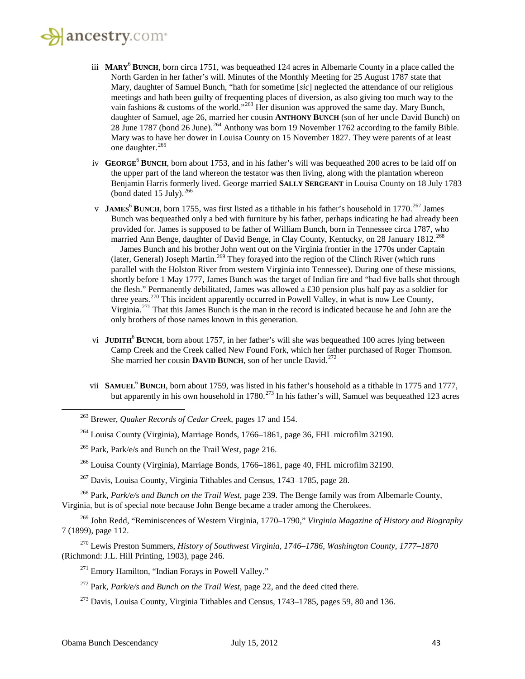#### $\mathbf{a}$  ancestry.com

- iii **MARY**<sup>6</sup> **BUNCH**, born circa 1751, was bequeathed 124 acres in Albemarle County in a place called the North Garden in her father's will. Minutes of the Monthly Meeting for 25 August 1787 state that Mary, daughter of Samuel Bunch, "hath for sometime [*sic*] neglected the attendance of our religious meetings and hath been guilty of frequenting places of diversion, as also giving too much way to the vain fashions & customs of the world."<sup>[263](#page-42-0)</sup> Her disunion was approved the same day. Mary Bunch, daughter of Samuel, age 26, married her cousin **ANTHONY BUNCH** (son of her uncle David Bunch) on 28 June 1787 (bond 26 June).<sup>[264](#page-42-1)</sup> Anthony was born 19 November 1762 according to the family Bible. Mary was to have her dower in Louisa County on 15 November 1827. They were parents of at least one daughter.<sup>[265](#page-42-2)</sup>
- iv **GEORGE**<sup>6</sup> **BUNCH**, born about 1753, and in his father's will was bequeathed 200 acres to be laid off on the upper part of the land whereon the testator was then living, along with the plantation whereon Benjamin Harris formerly lived. George married **SALLY SERGEANT** in Louisa County on 18 July 1783 (bond dated 15 July).  $266$
- v **JAMES<sup>6</sup> BUNCH**, born 1755, was first listed as a tithable in his father's household in 1770.<sup>[267](#page-42-4)</sup> James Bunch was bequeathed only a bed with furniture by his father, perhaps indicating he had already been provided for. James is supposed to be father of William Bunch, born in Tennessee circa 1787, who married Ann Benge, daughter of David Benge, in Clay County, Kentucky, on 28 January 1812.<sup>[268](#page-42-5)</sup> James Bunch and his brother John went out on the Virginia frontier in the 1770s under Captain (later, General) Joseph Martin.<sup>[269](#page-42-6)</sup> They forayed into the region of the Clinch River (which runs

parallel with the Holston River from western Virginia into Tennessee). During one of these missions, shortly before 1 May 1777, James Bunch was the target of Indian fire and "had five balls shot through the flesh." Permanently debilitated, James was allowed a £30 pension plus half pay as a soldier for three years.<sup>[270](#page-42-7)</sup> This incident apparently occurred in Powell Valley, in what is now Lee County, Virginia.[271](#page-42-8) That this James Bunch is the man in the record is indicated because he and John are the only brothers of those names known in this generation.

- vi **JUDITH**<sup>6</sup> **BUNCH**, born about 1757, in her father's will she was bequeathed 100 acres lying between Camp Creek and the Creek called New Found Fork, which her father purchased of Roger Thomson. She married her cousin **DAVID BUNCH**, son of her uncle David.<sup>[272](#page-42-9)</sup>
- vii **SAMUEL<sup>6</sup> BUNCH**, born about 1759, was listed in his father's household as a tithable in 1775 and 1777, but apparently in his own household in  $1780$ <sup>[273](#page-42-10)</sup> In his father's will, Samuel was bequeathed 123 acres

<span id="page-42-5"></span><span id="page-42-4"></span><span id="page-42-3"></span><span id="page-42-2"></span><sup>268</sup> Park, *Park/e/s and Bunch on the Trail West*, page 239. The Benge family was from Albemarle County, Virginia, but is of special note because John Benge became a trader among the Cherokees.

<span id="page-42-6"></span><sup>269</sup> John Redd, "Reminiscences of Western Virginia, 1770–1790," *Virginia Magazine of History and Biography* 7 (1899), page 112.

<span id="page-42-9"></span><span id="page-42-8"></span><span id="page-42-7"></span><sup>270</sup> Lewis Preston Summers, *History of Southwest Virginia, 1746–1786, Washington County, 1777–1870* (Richmond: J.L. Hill Printing, 1903), page 246.

- <sup>271</sup> Emory Hamilton, "Indian Forays in Powell Valley."
- <sup>272</sup> Park, *Park/e/s and Bunch on the Trail West*, page 22, and the deed cited there.
- <span id="page-42-10"></span> $273$  Davis, Louisa County, Virginia Tithables and Census, 1743–1785, pages 59, 80 and 136.

<span id="page-42-0"></span><sup>263</sup> Brewer, *Quaker Records of Cedar Creek*, pages 17 and 154.

<span id="page-42-1"></span><sup>264</sup> Louisa County (Virginia), Marriage Bonds, 1766–1861, page 36, FHL microfilm 32190.

<sup>&</sup>lt;sup>265</sup> Park, Park/e/s and Bunch on the Trail West, page 216.

<sup>266</sup> Louisa County (Virginia), Marriage Bonds, 1766–1861, page 40, FHL microfilm 32190.

 $267$  Davis, Louisa County, Virginia Tithables and Census, 1743–1785, page 28.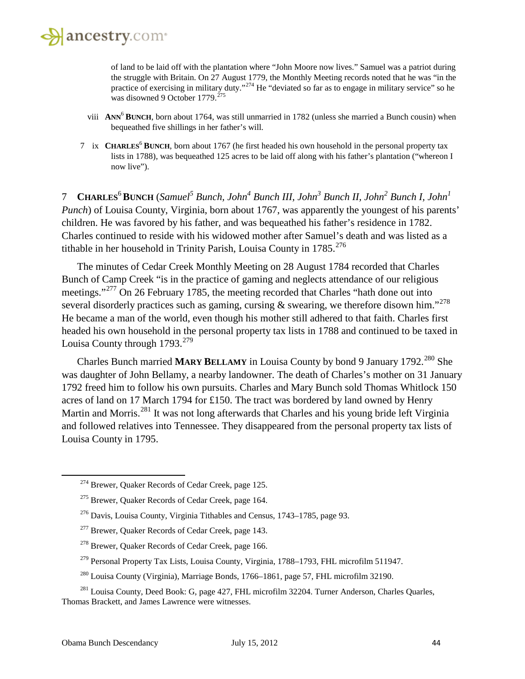

of land to be laid off with the plantation where "John Moore now lives." Samuel was a patriot during the struggle with Britain. On 27 August 1779, the Monthly Meeting records noted that he was "in the practice of exercising in military duty."<sup>[274](#page-43-0)</sup> He "deviated so far as to engage in military service" so he was disowned 9 October 1779.<sup>[275](#page-43-1)</sup>

- viii **ANN**<sup>6</sup> **BUNCH**, born about 1764, was still unmarried in 1782 (unless she married a Bunch cousin) when bequeathed five shillings in her father's will.
- 7 ix **CHARLES**<sup>6</sup> **BUNCH**, born about 1767 (he first headed his own household in the personal property tax lists in 1788), was bequeathed 125 acres to be laid off along with his father's plantation ("whereon I now live").

7 **CHARLES**<sup>6</sup>**BUNCH** (*Samuel<sup>5</sup> Bunch, John4 Bunch III, John3 Bunch II, John<sup>2</sup> Bunch I, John1 Punch*) of Louisa County, Virginia, born about 1767, was apparently the youngest of his parents' children. He was favored by his father, and was bequeathed his father's residence in 1782. Charles continued to reside with his widowed mother after Samuel's death and was listed as a tithable in her household in Trinity Parish, Louisa County in  $1785$ <sup>[276](#page-43-2)</sup>

The minutes of Cedar Creek Monthly Meeting on 28 August 1784 recorded that Charles Bunch of Camp Creek "is in the practice of gaming and neglects attendance of our religious meetings."<sup>[277](#page-43-3)</sup> On 26 February 1785, the meeting recorded that Charles "hath done out into several disorderly practices such as gaming, cursing  $\&$  swearing, we therefore disown him."<sup>[278](#page-43-4)</sup> He became a man of the world, even though his mother still adhered to that faith. Charles first headed his own household in the personal property tax lists in 1788 and continued to be taxed in Louisa County through  $1793.<sup>279</sup>$  $1793.<sup>279</sup>$  $1793.<sup>279</sup>$ 

Charles Bunch married **MARY BELLAMY** in Louisa County by bond 9 January 1792.<sup>[280](#page-43-6)</sup> She was daughter of John Bellamy, a nearby landowner. The death of Charles's mother on 31 January 1792 freed him to follow his own pursuits. Charles and Mary Bunch sold Thomas Whitlock 150 acres of land on 17 March 1794 for £150. The tract was bordered by land owned by Henry Martin and Morris.[281](#page-43-7) It was not long afterwards that Charles and his young bride left Virginia and followed relatives into Tennessee. They disappeared from the personal property tax lists of Louisa County in 1795.

- <sup>278</sup> Brewer, Quaker Records of Cedar Creek, page 166.
- <sup>279</sup> Personal Property Tax Lists, Louisa County, Virginia, 1788–1793, FHL microfilm 511947.
- <sup>280</sup> Louisa County (Virginia), Marriage Bonds, 1766–1861, page 57, FHL microfilm 32190.

<span id="page-43-0"></span><sup>274</sup> Brewer, Quaker Records of Cedar Creek, page 125.

<span id="page-43-1"></span><sup>275</sup> Brewer, Quaker Records of Cedar Creek, page 164.

<span id="page-43-2"></span><sup>276</sup> Davis, Louisa County, Virginia Tithables and Census, 1743–1785, page 93.

<span id="page-43-3"></span><sup>&</sup>lt;sup>277</sup> Brewer, Quaker Records of Cedar Creek, page 143.

<span id="page-43-7"></span><span id="page-43-6"></span><span id="page-43-5"></span><span id="page-43-4"></span><sup>&</sup>lt;sup>281</sup> Louisa County, Deed Book: G, page 427, FHL microfilm 32204. Turner Anderson, Charles Quarles, Thomas Brackett, and James Lawrence were witnesses.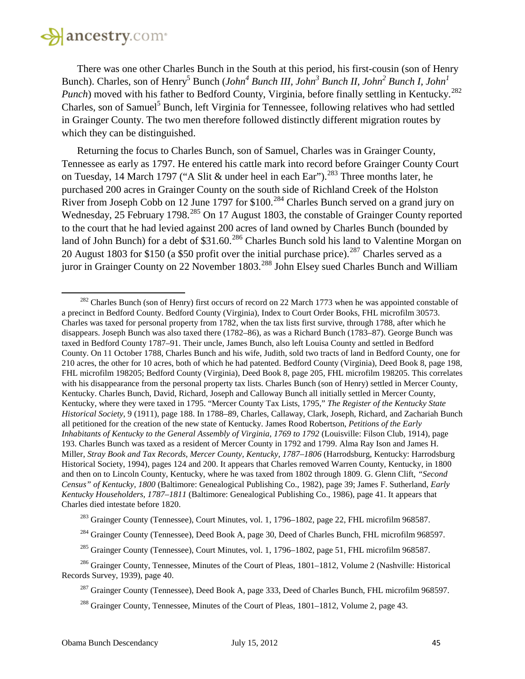

 $\overline{\phantom{a}}$ 

There was one other Charles Bunch in the South at this period, his first-cousin (son of Henry Bunch). Charles, son of Henry<sup>5</sup> Bunch (*John<sup>4</sup> Bunch III, John<sup>3</sup> Bunch II, John<sup>2</sup> Bunch I, John<sup>1</sup> Punch*) moved with his father to Bedford County, Virginia, before finally settling in Kentucky.<sup>[282](#page-44-0)</sup> Charles, son of Samuel<sup>5</sup> Bunch, left Virginia for Tennessee, following relatives who had settled in Grainger County. The two men therefore followed distinctly different migration routes by which they can be distinguished.

Returning the focus to Charles Bunch, son of Samuel, Charles was in Grainger County, Tennessee as early as 1797. He entered his cattle mark into record before Grainger County Court on Tuesday, 14 March 1797 ("A Slit & under heel in each Ear").<sup>[283](#page-44-1)</sup> Three months later, he purchased 200 acres in Grainger County on the south side of Richland Creek of the Holston River from Joseph Cobb on 12 June 1797 for \$100.<sup>[284](#page-44-2)</sup> Charles Bunch served on a grand jury on Wednesday, 25 February 1798.<sup>[285](#page-44-3)</sup> On 17 August 1803, the constable of Grainger County reported to the court that he had levied against 200 acres of land owned by Charles Bunch (bounded by land of John Bunch) for a debt of \$31.60.<sup>[286](#page-44-4)</sup> Charles Bunch sold his land to Valentine Morgan on 20 August 1803 for \$150 (a \$50 profit over the initial purchase price).<sup>[287](#page-44-5)</sup> Charles served as a juror in Grainger County on 22 November 1803.<sup>[288](#page-44-6)</sup> John Elsey sued Charles Bunch and William

<span id="page-44-0"></span><sup>&</sup>lt;sup>282</sup> Charles Bunch (son of Henry) first occurs of record on 22 March 1773 when he was appointed constable of a precinct in Bedford County. Bedford County (Virginia), Index to Court Order Books, FHL microfilm 30573. Charles was taxed for personal property from 1782, when the tax lists first survive, through 1788, after which he disappears. Joseph Bunch was also taxed there (1782–86), as was a Richard Bunch (1783–87). George Bunch was taxed in Bedford County 1787–91. Their uncle, James Bunch, also left Louisa County and settled in Bedford County. On 11 October 1788, Charles Bunch and his wife, Judith, sold two tracts of land in Bedford County, one for 210 acres, the other for 10 acres, both of which he had patented. Bedford County (Virginia), Deed Book 8, page 198, FHL microfilm 198205; Bedford County (Virginia), Deed Book 8, page 205, FHL microfilm 198205. This correlates with his disappearance from the personal property tax lists. Charles Bunch (son of Henry) settled in Mercer County, Kentucky. Charles Bunch, David, Richard, Joseph and Calloway Bunch all initially settled in Mercer County, Kentucky, where they were taxed in 1795. "Mercer County Tax Lists, 1795," *The Register of the Kentucky State Historical Society*, 9 (1911), page 188. In 1788–89, Charles, Callaway, Clark, Joseph, Richard, and Zachariah Bunch all petitioned for the creation of the new state of Kentucky. James Rood Robertson, *Petitions of the Early Inhabitants of Kentucky to the General Assembly of Virginia, 1769 to 1792* (Louisville: Filson Club, 1914), page 193. Charles Bunch was taxed as a resident of Mercer County in 1792 and 1799. Alma Ray Ison and James H. Miller, *Stray Book and Tax Records, Mercer County, Kentucky, 1787–1806* (Harrodsburg, Kentucky: Harrodsburg Historical Society, 1994), pages 124 and 200. It appears that Charles removed Warren County, Kentucky, in 1800 and then on to Lincoln County, Kentucky, where he was taxed from 1802 through 1809. G. Glenn Clift, *"Second Census" of Kentucky, 1800* (Baltimore: Genealogical Publishing Co., 1982), page 39; James F. Sutherland, *Early Kentucky Householders, 1787–1811* (Baltimore: Genealogical Publishing Co., 1986), page 41. It appears that Charles died intestate before 1820.

<sup>&</sup>lt;sup>283</sup> Grainger County (Tennessee), Court Minutes, vol. 1, 1796–1802, page 22, FHL microfilm 968587.

<sup>&</sup>lt;sup>284</sup> Grainger County (Tennessee), Deed Book A, page 30, Deed of Charles Bunch, FHL microfilm 968597.

<sup>&</sup>lt;sup>285</sup> Grainger County (Tennessee), Court Minutes, vol. 1, 1796–1802, page 51, FHL microfilm 968587.

<span id="page-44-6"></span><span id="page-44-5"></span><span id="page-44-4"></span><span id="page-44-3"></span><span id="page-44-2"></span><span id="page-44-1"></span><sup>&</sup>lt;sup>286</sup> Grainger County, Tennessee, Minutes of the Court of Pleas, 1801–1812, Volume 2 (Nashville: Historical Records Survey, 1939), page 40.

<sup>&</sup>lt;sup>287</sup> Grainger County (Tennessee), Deed Book A, page 333, Deed of Charles Bunch, FHL microfilm 968597.

<sup>&</sup>lt;sup>288</sup> Grainger County, Tennessee, Minutes of the Court of Pleas, 1801–1812, Volume 2, page 43.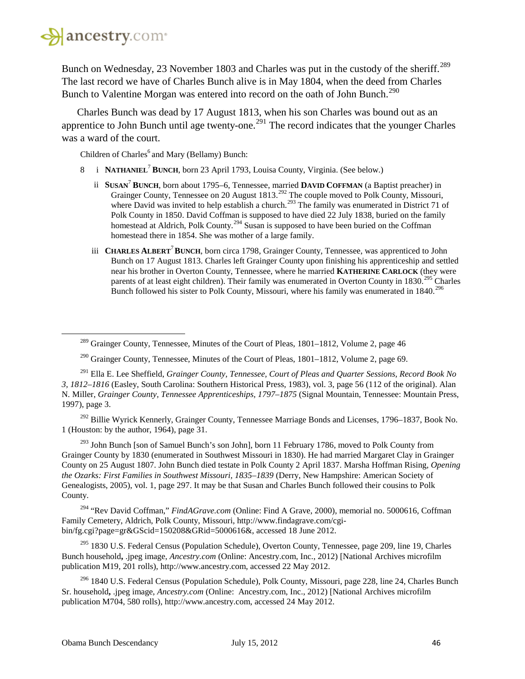

<span id="page-45-0"></span>l

Bunch on Wednesday, 23 November 1803 and Charles was put in the custody of the sheriff.<sup>[289](#page-45-0)</sup> The last record we have of Charles Bunch alive is in May 1804, when the deed from Charles Bunch to Valentine Morgan was entered into record on the oath of John Bunch.<sup>[290](#page-45-1)</sup>

Charles Bunch was dead by 17 August 1813, when his son Charles was bound out as an apprentice to John Bunch until age twenty-one.<sup>[291](#page-45-2)</sup> The record indicates that the younger Charles was a ward of the court.

Children of Charles<sup>6</sup> and Mary (Bellamy) Bunch:

- 8 i **NATHANIEL**<sup>7</sup> **BUNCH**, born 23 April 1793, Louisa County, Virginia. (See below.)
	- ii **SUSAN**<sup>7</sup> **BUNCH**, born about 1795–6, Tennessee, married **DAVID COFFMAN** (a Baptist preacher) in Grainger County, Tennessee on 20 August 1813.<sup>[292](#page-45-3)</sup> The couple moved to Polk County, Missouri, where David was invited to help establish a church.<sup>[293](#page-45-4)</sup> The family was enumerated in District 71 of Polk County in 1850. David Coffman is supposed to have died 22 July 1838, buried on the family homestead at Aldrich, Polk County.<sup>[294](#page-45-5)</sup> Susan is supposed to have been buried on the Coffman homestead there in 1854. She was mother of a large family.
	- iii **CHARLES ALBERT**<sup>7</sup>**BUNCH**, born circa 1798, Grainger County, Tennessee, was apprenticed to John Bunch on 17 August 1813. Charles left Grainger County upon finishing his apprenticeship and settled near his brother in Overton County, Tennessee, where he married **KATHERINE CARLOCK** (they were parents of at least eight children). Their family was enumerated in Overton County in 1830.<sup>[295](#page-45-6)</sup> Charles Bunch followed his sister to Polk County, Missouri, where his family was enumerated in 1840.<sup>[296](#page-45-7)</sup>

<span id="page-45-3"></span><sup>292</sup> Billie Wyrick Kennerly, Grainger County, Tennessee Marriage Bonds and Licenses, 1796–1837, Book No. 1 (Houston: by the author, 1964), page 31.

<span id="page-45-4"></span> $293$  John Bunch [son of Samuel Bunch's son John], born 11 February 1786, moved to Polk County from Grainger County by 1830 (enumerated in Southwest Missouri in 1830). He had married Margaret Clay in Grainger County on 25 August 1807. John Bunch died testate in Polk County 2 April 1837. Marsha Hoffman Rising, *Opening the Ozarks: First Families in Southwest Missouri, 1835–1839* (Derry, New Hampshire: American Society of Genealogists, 2005), vol. 1, page 297. It may be that Susan and Charles Bunch followed their cousins to Polk County.

<span id="page-45-5"></span><sup>294</sup> "Rev David Coffman," *FindAGrave.com* (Online: Find A Grave, 2000), memorial no. 5000616, Coffman Family Cemetery, Aldrich, Polk County, Missouri, http://www.findagrave.com/cgibin/fg.cgi?page=gr&GScid=150208&GRid=5000616&, accessed 18 June 2012.

<span id="page-45-6"></span><sup>295</sup> 1830 U.S. Federal Census (Population Schedule), Overton County, Tennessee, page 209, line 19, Charles Bunch household**,** .jpeg image, *Ancestry.com* (Online: Ancestry.com, Inc., 2012) [National Archives microfilm publication M19, 201 rolls), http://www.ancestry.com, accessed 22 May 2012.

<span id="page-45-7"></span><sup>296</sup> 1840 U.S. Federal Census (Population Schedule), Polk County, Missouri, page 228, line 24, Charles Bunch Sr. household**,** .jpeg image, *Ancestry.com* (Online: Ancestry.com, Inc., 2012) [National Archives microfilm publication M704, 580 rolls), http://www.ancestry.com, accessed 24 May 2012.

 $^{289}$  Grainger County, Tennessee, Minutes of the Court of Pleas, 1801–1812, Volume 2, page 46

<sup>&</sup>lt;sup>290</sup> Grainger County, Tennessee, Minutes of the Court of Pleas,  $1801-1812$ , Volume 2, page 69.

<span id="page-45-2"></span><span id="page-45-1"></span><sup>291</sup> Ella E. Lee Sheffield, *Grainger County, Tennessee, Court of Pleas and Quarter Sessions, Record Book No 3, 1812–1816* (Easley, South Carolina: Southern Historical Press, 1983), vol. 3, page 56 (112 of the original). Alan N. Miller, *Grainger County, Tennessee Apprenticeships, 1797–1875* (Signal Mountain, Tennessee: Mountain Press, 1997), page 3.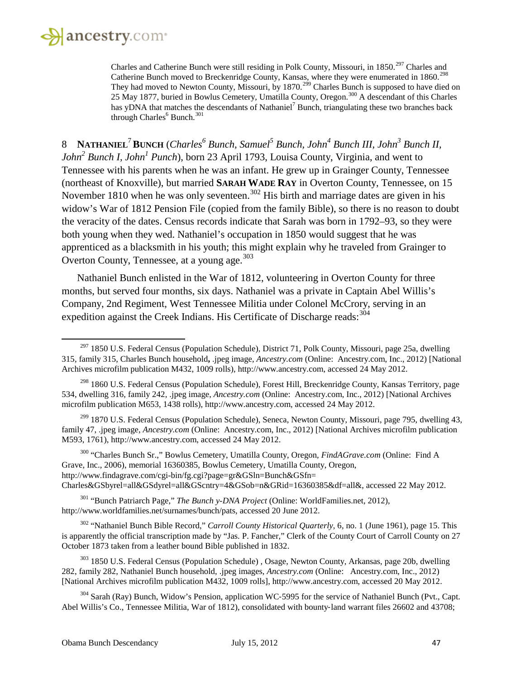

 $\overline{\phantom{a}}$ 

Charles and Catherine Bunch were still residing in Polk County, Missouri, in 1850.<sup>[297](#page-46-0)</sup> Charles and Catherine Bunch moved to Breckenridge County, Kansas, where they were enumerated in 1860.<sup>[298](#page-46-1)</sup> They had moved to Newton County, Missouri, by 1870.<sup>[299](#page-46-2)</sup> Charles Bunch is supposed to have died on 25 May 1877, buried in Bowlus Cemetery, Umatilla County, Oregon.<sup>[300](#page-46-3)</sup> A descendant of this Charles has yDNA that matches the descendants of Nathaniel<sup>7</sup> Bunch, triangulating these two branches back through Charles<sup>6</sup> Bunch.<sup>[301](#page-46-4)</sup>

8 **NATHANIEL**<sup>7</sup>**BUNCH** (*Charles<sup>6</sup> Bunch, Samuel<sup>5</sup> Bunch, John4 Bunch III, John3 Bunch II, John*<sup>2</sup> *Bunch I, John*<sup>1</sup> *Punch*), born 23 April 1793, Louisa County, Virginia, and went to Tennessee with his parents when he was an infant. He grew up in Grainger County, Tennessee (northeast of Knoxville), but married **SARAH WADE RAY** in Overton County, Tennessee, on 15 November 1810 when he was only seventeen.<sup>[302](#page-46-5)</sup> His birth and marriage dates are given in his widow's War of 1812 Pension File (copied from the family Bible), so there is no reason to doubt the veracity of the dates. Census records indicate that Sarah was born in 1792–93, so they were both young when they wed. Nathaniel's occupation in 1850 would suggest that he was apprenticed as a blacksmith in his youth; this might explain why he traveled from Grainger to Overton County, Tennessee, at a young age.<sup>[303](#page-46-6)</sup>

Nathaniel Bunch enlisted in the War of 1812, volunteering in Overton County for three months, but served four months, six days. Nathaniel was a private in Captain Abel Willis's Company, 2nd Regiment, West Tennessee Militia under Colonel McCrory, serving in an expedition against the Creek Indians. His Certificate of Discharge reads:  $304$ 

<span id="page-46-2"></span><sup>299</sup> 1870 U.S. Federal Census (Population Schedule), Seneca, Newton County, Missouri, page 795, dwelling 43, family 47, .jpeg image, *Ancestry.com* (Online: Ancestry.com, Inc., 2012) [National Archives microfilm publication M593, 1761), http://www.ancestry.com, accessed 24 May 2012.

<span id="page-46-3"></span><sup>300</sup> "Charles Bunch Sr.," Bowlus Cemetery, Umatilla County, Oregon*, FindAGrave.com* (Online: Find A Grave, Inc., 2006), memorial 16360385, Bowlus Cemetery, Umatilla County, Oregon, http://www.findagrave.com/cgi-bin/fg.cgi?page=gr&GSln=Bunch&GSfn= Charles&GSbyrel=all&GSdyrel=all&GScntry=4&GSob=n&GRid=16360385&df=all&, accessed 22 May 2012.

<span id="page-46-4"></span><sup>301</sup> "Bunch Patriarch Page," *The Bunch y-DNA Project* (Online: WorldFamilies.net, 2012), http://www.worldfamilies.net/surnames/bunch/pats, accessed 20 June 2012.

<span id="page-46-5"></span><sup>302</sup> "Nathaniel Bunch Bible Record," *Carroll County Historical Quarterly,* 6, no. 1 (June 1961), page 15. This is apparently the official transcription made by "Jas. P. Fancher," Clerk of the County Court of Carroll County on 27 October 1873 taken from a leather bound Bible published in 1832.

<span id="page-46-6"></span><sup>303</sup> 1850 U.S. Federal Census (Population Schedule), Osage, Newton County, Arkansas, page 20b, dwelling 282, family 282, Nathaniel Bunch household, .jpeg images, *Ancestry.com* (Online: Ancestry.com, Inc., 2012) [National Archives microfilm publication M432, 1009 rolls], http://www.ancestry.com, accessed 20 May 2012.

<span id="page-46-7"></span> $304$  Sarah (Ray) Bunch, Widow's Pension, application WC-5995 for the service of Nathaniel Bunch (Pvt., Capt.) Abel Willis's Co., Tennessee Militia, War of 1812), consolidated with bounty-land warrant files 26602 and 43708;

<span id="page-46-0"></span> $297$  1850 U.S. Federal Census (Population Schedule), District 71, Polk County, Missouri, page 25a, dwelling 315, family 315, Charles Bunch household**,** .jpeg image, *Ancestry.com* (Online: Ancestry.com, Inc., 2012) [National Archives microfilm publication M432, 1009 rolls), http://www.ancestry.com, accessed 24 May 2012.

<span id="page-46-1"></span><sup>&</sup>lt;sup>298</sup> 1860 U.S. Federal Census (Population Schedule), Forest Hill, Breckenridge County, Kansas Territory, page 534, dwelling 316, family 242, .jpeg image, *Ancestry.com* (Online: Ancestry.com, Inc., 2012) [National Archives microfilm publication M653, 1438 rolls), http://www.ancestry.com, accessed 24 May 2012.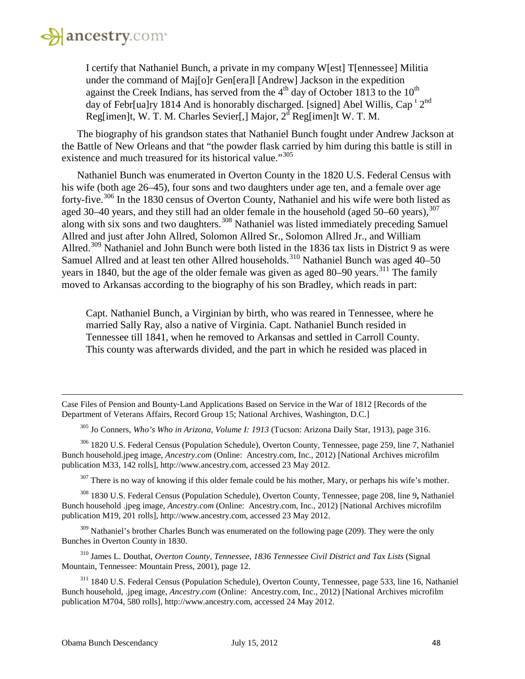

I certify that Nathaniel Bunch, a private in my company W[est] T[ennessee] Militia under the command of Maj[o]r Gen[era]l [Andrew] Jackson in the expedition against the Creek Indians, has served from the  $4<sup>th</sup>$  day of October 1813 to the 10<sup>th</sup> day of Febr[ua]ry 1814 And is honorably discharged. [signed] Abel Willis, Cap<sup>t 2nd</sup> Reg[imen]t, W. T. M. Charles Sevier[,] Major,  $2<sup>d</sup>$  Reg[imen]t W. T. M.

The biography of his grandson states that Nathaniel Bunch fought under Andrew Jackson at the Battle of New Orleans and that "the powder flask carried by him during this battle is still in existence and much treasured for its historical value."<sup>[305](#page-47-0)</sup>

Nathaniel Bunch was enumerated in Overton County in the 1820 U.S. Federal Census with his wife (both age 26–45), four sons and two daughters under age ten, and a female over age forty-five.[306](#page-47-1) In the 1830 census of Overton County, Nathaniel and his wife were both listed as aged 30–40 years, and they still had an older female in the household (aged  $50-60$  years),  $307$ along with six sons and two daughters.<sup>[308](#page-47-3)</sup> Nathaniel was listed immediately preceding Samuel Allred and just after John Allred, Solomon Allred Sr., Solomon Allred Jr., and William Allred.<sup>[309](#page-47-4)</sup> Nathaniel and John Bunch were both listed in the 1836 tax lists in District 9 as were Samuel Allred and at least ten other Allred households.<sup>[310](#page-47-5)</sup> Nathaniel Bunch was aged 40–50 years in 1840, but the age of the older female was given as aged 80–90 years.<sup>[311](#page-47-6)</sup> The family moved to Arkansas according to the biography of his son Bradley, which reads in part:

Capt. Nathaniel Bunch, a Virginian by birth, who was reared in Tennessee, where he married Sally Ray, also a native of Virginia. Capt. Nathaniel Bunch resided in Tennessee till 1841, when he removed to Arkansas and settled in Carroll County. This county was afterwards divided, and the part in which he resided was placed in

Case Files of Pension and Bounty‐Land Applications Based on Service in the War of 1812 [Records of the Department of Veterans Affairs, Record Group 15; National Archives, Washington, D.C.]

<sup>305</sup> Jo Conners, *Who's Who in Arizona, Volume I: 1913* (Tucson: Arizona Daily Star, 1913), page 316.

<span id="page-47-1"></span><span id="page-47-0"></span><sup>306</sup> 1820 U.S. Federal Census (Population Schedule), Overton County, Tennessee, page 259, line 7, Nathaniel Bunch household.jpeg image, *Ancestry.com* (Online: Ancestry.com, Inc., 2012) [National Archives microfilm publication M33, 142 rolls], http://www.ancestry.com, accessed 23 May 2012.

 $307$  There is no way of knowing if this older female could be his mother, Mary, or perhaps his wife's mother.

<span id="page-47-3"></span><span id="page-47-2"></span><sup>308</sup> 1830 U.S. Federal Census (Population Schedule), Overton County, Tennessee, page 208, line 9**,** Nathaniel Bunch household .jpeg image, *Ancestry.com* (Online: Ancestry.com, Inc., 2012) [National Archives microfilm publication M19, 201 rolls], http://www.ancestry.com, accessed 23 May 2012.

<span id="page-47-4"></span><sup>309</sup> Nathaniel's brother Charles Bunch was enumerated on the following page (209). They were the only Bunches in Overton County in 1830.

<span id="page-47-5"></span><sup>310</sup> James L. Douthat, *Overton County, Tennessee, 1836 Tennessee Civil District and Tax Lists* (Signal Mountain, Tennessee: Mountain Press, 2001), page 12.

<span id="page-47-6"></span><sup>311</sup> 1840 U.S. Federal Census (Population Schedule), Overton County, Tennessee, page 533, line 16, Nathaniel Bunch household, .jpeg image, *Ancestry.com* (Online: Ancestry.com, Inc., 2012) [National Archives microfilm publication M704, 580 rolls], http://www.ancestry.com, accessed 24 May 2012.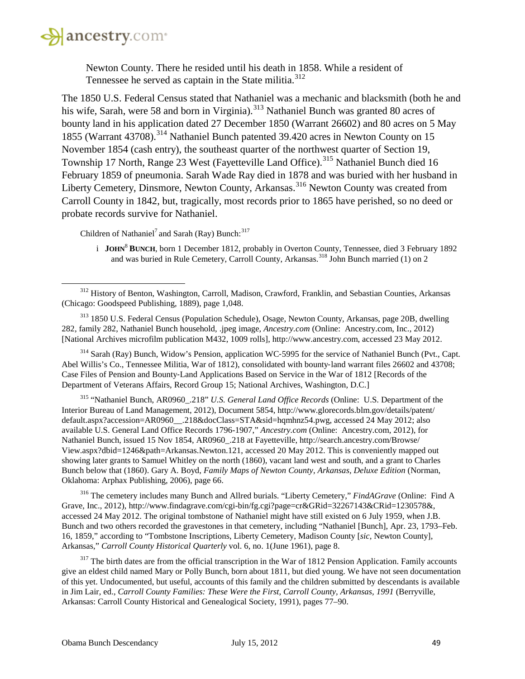

 $\overline{\phantom{a}}$ 

Newton County. There he resided until his death in 1858. While a resident of Tennessee he served as captain in the State militia.<sup>[312](#page-48-0)</sup>

The 1850 U.S. Federal Census stated that Nathaniel was a mechanic and blacksmith (both he and his wife, Sarah, were 58 and born in Virginia).<sup>[313](#page-48-1)</sup> Nathaniel Bunch was granted 80 acres of bounty land in his application dated 27 December 1850 (Warrant 26602) and 80 acres on 5 May 1855 (Warrant 43708). [314](#page-48-2) Nathaniel Bunch patented 39.420 acres in Newton County on 15 November 1854 (cash entry), the southeast quarter of the northwest quarter of Section 19, Township 17 North, Range 23 West (Fayetteville Land Office).<sup>[315](#page-48-3)</sup> Nathaniel Bunch died 16 February 1859 of pneumonia. Sarah Wade Ray died in 1878 and was buried with her husband in Liberty Cemetery, Dinsmore, Newton County, Arkansas.<sup>[316](#page-48-4)</sup> Newton County was created from Carroll County in 1842, but, tragically, most records prior to 1865 have perished, so no deed or probate records survive for Nathaniel.

Children of Nathaniel<sup>7</sup> and Sarah (Ray) Bunch:<sup>[317](#page-48-5)</sup>

i **JOHN**<sup>8</sup> **BUNCH**, born 1 December 1812, probably in Overton County, Tennessee, died 3 February 1892 and was buried in Rule Cemetery, Carroll County, Arkansas.<sup>[318](#page-48-6)</sup> John Bunch married (1) on 2

<span id="page-48-1"></span><sup>313</sup> 1850 U.S. Federal Census (Population Schedule), Osage, Newton County, Arkansas, page 20B, dwelling 282, family 282, Nathaniel Bunch household, .jpeg image, *Ancestry.com* (Online: Ancestry.com, Inc., 2012) [National Archives microfilm publication M432, 1009 rolls], http://www.ancestry.com, accessed 23 May 2012.

<span id="page-48-2"></span><sup>314</sup> Sarah (Ray) Bunch, Widow's Pension, application WC-5995 for the service of Nathaniel Bunch (Pvt., Capt. Abel Willis's Co., Tennessee Militia, War of 1812), consolidated with bounty-land warrant files 26602 and 43708; Case Files of Pension and Bounty‐Land Applications Based on Service in the War of 1812 [Records of the Department of Veterans Affairs, Record Group 15; National Archives, Washington, D.C.]

<span id="page-48-6"></span><span id="page-48-3"></span><sup>315</sup> "Nathaniel Bunch, AR0960\_.218" *U.S. General Land Office Records* (Online: U.S. Department of the Interior Bureau of Land Management, 2012), Document 5854, http://www.glorecords.blm.gov/details/patent/ default.aspx?accession=AR0960\_\_.218&docClass=STA&sid=hqmhnz54.pwg, accessed 24 May 2012; also available U.S. General Land Office Records 1796-1907," *Ancestry.com* (Online: Ancestry.com, 2012), for Nathaniel Bunch, issued 15 Nov 1854, AR0960\_.218 at Fayetteville, http://search.ancestry.com/Browse/ View.aspx?dbid=1246&path=Arkansas.Newton.121, accessed 20 May 2012. This is conveniently mapped out showing later grants to Samuel Whitley on the north (1860), vacant land west and south, and a grant to Charles Bunch below that (1860). Gary A. Boyd, *Family Maps of Newton County, Arkansas, Deluxe Edition* (Norman, Oklahoma: Arphax Publishing, 2006), page 66.

<span id="page-48-4"></span><sup>316</sup> The cemetery includes many Bunch and Allred burials. "Liberty Cemetery," *FindAGrave* (Online: Find A Grave, Inc., 2012), http://www.findagrave.com/cgi-bin/fg.cgi?page=cr&GRid=32267143&CRid=1230578&, accessed 24 May 2012. The original tombstone of Nathaniel might have still existed on 6 July 1959, when J.B. Bunch and two others recorded the gravestones in that cemetery, including "Nathaniel [Bunch], Apr. 23, 1793–Feb. 16, 1859," according to "Tombstone Inscriptions, Liberty Cemetery, Madison County [*sic,* Newton County], Arkansas," *Carroll County Historical Quarterly* vol. 6, no. 1(June 1961), page 8.

<span id="page-48-5"></span> $317$  The birth dates are from the official transcription in the War of 1812 Pension Application. Family accounts give an eldest child named Mary or Polly Bunch, born about 1811, but died young. We have not seen documentation of this yet. Undocumented, but useful, accounts of this family and the children submitted by descendants is available in Jim Lair, ed., *Carroll County Families: These Were the First, Carroll County, Arkansas, 1991* (Berryville, Arkansas: Carroll County Historical and Genealogical Society, 1991), pages 77–90.

<span id="page-48-0"></span><sup>&</sup>lt;sup>312</sup> History of Benton, Washington, Carroll, Madison, Crawford, Franklin, and Sebastian Counties, Arkansas (Chicago: Goodspeed Publishing, 1889), page 1,048.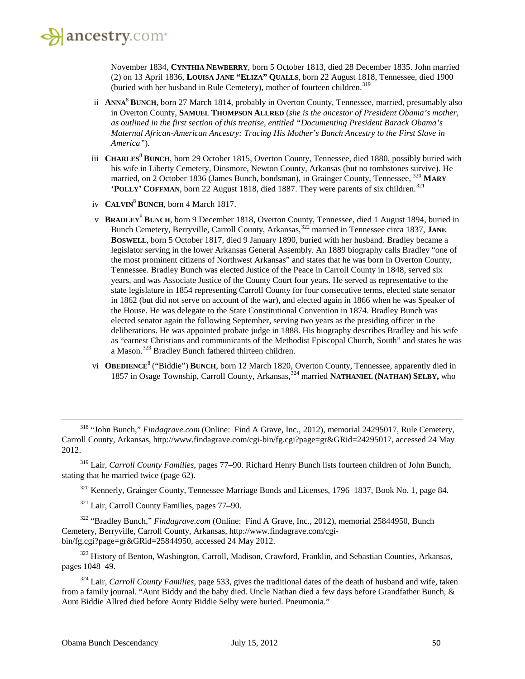November 1834, **CYNTHIA NEWBERRY**, born 5 October 1813, died 28 December 1835. John married (2) on 13 April 1836, **LOUISA JANE "ELIZA" QUALLS**, born 22 August 1818, Tennessee, died 1900 (buried with her husband in Rule Cemetery), mother of fourteen children.<sup>[319](#page-49-0)</sup>

- ii **ANNA**<sup>8</sup> **BUNCH**, born 27 March 1814, probably in Overton County, Tennessee, married, presumably also in Overton County, **SAMUEL THOMPSON ALLRED** (*she is the ancestor of President Obama's mother, as outlined in the first section of this treatise, entitled "Documenting President Barack Obama's Maternal African-American Ancestry: Tracing His Mother's Bunch Ancestry to the First Slave in America"*).
- iii **CHARLES**<sup>8</sup> **BUNCH**, born 29 October 1815, Overton County, Tennessee, died 1880, possibly buried with his wife in Liberty Cemetery, Dinsmore, Newton County, Arkansas (but no tombstones survive). He married, on 2 October 1836 (James Bunch, bondsman), in Grainger County, Tennessee, [320](#page-49-1) **MARY 'POLLY' COFFMAN**, born 22 August 1818, died 1887. They were parents of six children.<sup>[321](#page-49-2)</sup>
- iv **CALVIN**<sup>8</sup> **BUNCH**, born 4 March 1817.
- v **BRADLEY**<sup>8</sup> **BUNCH**, born 9 December 1818, Overton County, Tennessee, died 1 August 1894, buried in Bunch Cemetery, Berryville, Carroll County, Arkansas,<sup>[322](#page-49-3)</sup> married in Tennessee circa 1837, JANE **BOSWELL**, born 5 October 1817, died 9 January 1890, buried with her husband. Bradley became a legislator serving in the lower Arkansas General Assembly. An 1889 biography calls Bradley "one of the most prominent citizens of Northwest Arkansas" and states that he was born in Overton County, Tennessee. Bradley Bunch was elected Justice of the Peace in Carroll County in 1848, served six years, and was Associate Justice of the County Court four years. He served as representative to the state legislature in 1854 representing Carroll County for four consecutive terms, elected state senator in 1862 (but did not serve on account of the war), and elected again in 1866 when he was Speaker of the House. He was delegate to the State Constitutional Convention in 1874. Bradley Bunch was elected senator again the following September, serving two years as the presiding officer in the deliberations. He was appointed probate judge in 1888. His biography describes Bradley and his wife as "earnest Christians and communicants of the Methodist Episcopal Church, South" and states he was a Mason.[323](#page-49-4) Bradley Bunch fathered thirteen children.
- vi **OBEDIENCE**<sup>8</sup> ("Biddie") **BUNCH**, born 12 March 1820, Overton County, Tennessee, apparently died in 1857 in Osage Township, Carroll County, Arkansas,<sup>[324](#page-49-5)</sup> married **NATHANIEL (NATHAN)** SELBY, who

<span id="page-49-1"></span><span id="page-49-0"></span><sup>319</sup> Lair, *Carroll County Families*, pages 77–90. Richard Henry Bunch lists fourteen children of John Bunch, stating that he married twice (page 62).

<sup>320</sup> Kennerly, Grainger County, Tennessee Marriage Bonds and Licenses, 1796–1837, Book No. 1, page 84.

<sup>321</sup> Lair, Carroll County Families, pages 77–90.

<span id="page-49-3"></span><span id="page-49-2"></span><sup>322</sup> "Bradley Bunch," *Findagrave.com* (Online: Find A Grave, Inc., 2012), memorial 25844950, Bunch Cemetery, Berryville, Carroll County, Arkansas, http://www.findagrave.com/cgibin/fg.cgi?page=gr&GRid=25844950, accessed 24 May 2012.

<span id="page-49-4"></span><sup>323</sup> History of Benton, Washington, Carroll, Madison, Crawford, Franklin, and Sebastian Counties, Arkansas, pages 1048–49.

<span id="page-49-5"></span><sup>324</sup> Lair, *Carroll County Families*, page 533, gives the traditional dates of the death of husband and wife, taken from a family journal. "Aunt Biddy and the baby died. Uncle Nathan died a few days before Grandfather Bunch, & Aunt Biddie Allred died before Aunty Biddie Selby were buried. Pneumonia."

<sup>318</sup> "John Bunch," *Findagrave.com* (Online: Find A Grave, Inc., 2012), memorial 24295017, Rule Cemetery, Carroll County, Arkansas, http://www.findagrave.com/cgi-bin/fg.cgi?page=gr&GRid=24295017, accessed 24 May 2012.